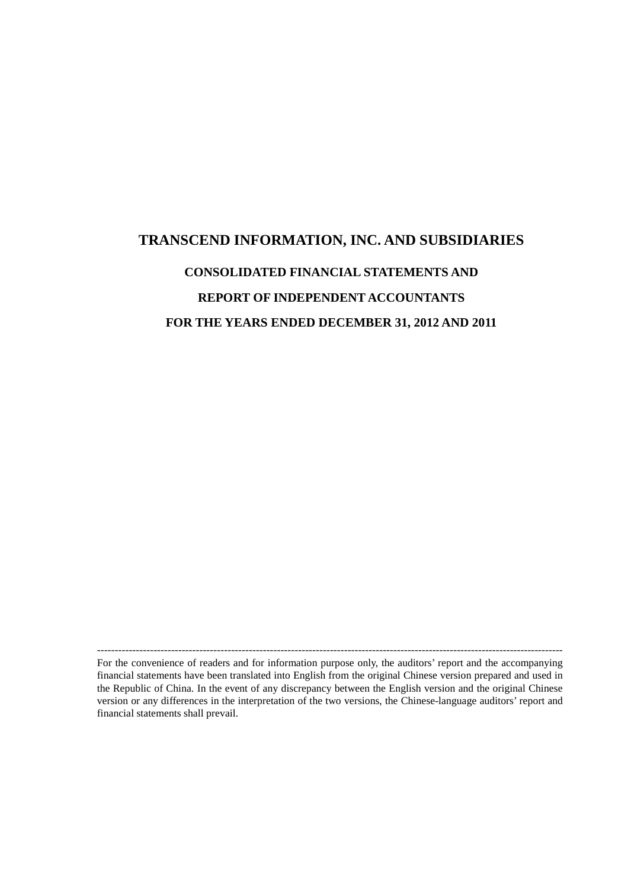# **TRANSCEND INFORMATION, INC. AND SUBSIDIARIES CONSOLIDATED FINANCIAL STATEMENTS AND REPORT OF INDEPENDENT ACCOUNTANTS FOR THE YEARS ENDED DECEMBER 31, 2012 AND 2011**

For the convenience of readers and for information purpose only, the auditors' report and the accompanying financial statements have been translated into English from the original Chinese version prepared and used in the Republic of China. In the event of any discrepancy between the English version and the original Chinese version or any differences in the interpretation of the two versions, the Chinese-language auditors' report and financial statements shall prevail.

------------------------------------------------------------------------------------------------------------------------------------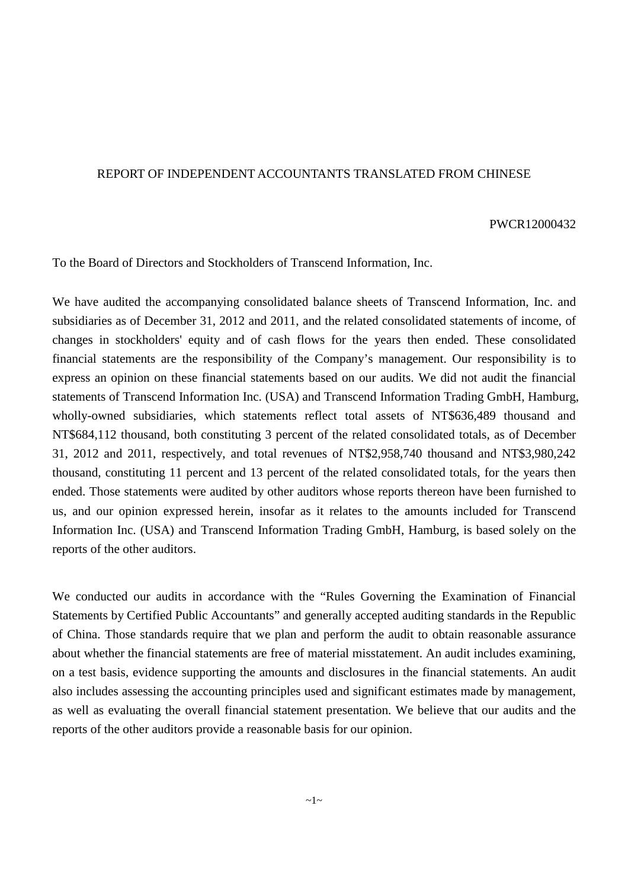#### REPORT OF INDEPENDENT ACCOUNTANTS TRANSLATED FROM CHINESE

#### PWCR12000432

To the Board of Directors and Stockholders of Transcend Information, Inc.

We have audited the accompanying consolidated balance sheets of Transcend Information, Inc. and subsidiaries as of December 31, 2012 and 2011, and the related consolidated statements of income, of changes in stockholders' equity and of cash flows for the years then ended. These consolidated financial statements are the responsibility of the Company's management. Our responsibility is to express an opinion on these financial statements based on our audits. We did not audit the financial statements of Transcend Information Inc. (USA) and Transcend Information Trading GmbH, Hamburg, wholly-owned subsidiaries, which statements reflect total assets of NT\$636,489 thousand and NT\$684,112 thousand, both constituting 3 percent of the related consolidated totals, as of December 31, 2012 and 2011, respectively, and total revenues of NT\$2,958,740 thousand and NT\$3,980,242 thousand, constituting 11 percent and 13 percent of the related consolidated totals, for the years then ended. Those statements were audited by other auditors whose reports thereon have been furnished to us, and our opinion expressed herein, insofar as it relates to the amounts included for Transcend Information Inc. (USA) and Transcend Information Trading GmbH, Hamburg, is based solely on the reports of the other auditors.

We conducted our audits in accordance with the "Rules Governing the Examination of Financial Statements by Certified Public Accountants" and generally accepted auditing standards in the Republic of China. Those standards require that we plan and perform the audit to obtain reasonable assurance about whether the financial statements are free of material misstatement. An audit includes examining, on a test basis, evidence supporting the amounts and disclosures in the financial statements. An audit also includes assessing the accounting principles used and significant estimates made by management, as well as evaluating the overall financial statement presentation. We believe that our audits and the reports of the other auditors provide a reasonable basis for our opinion.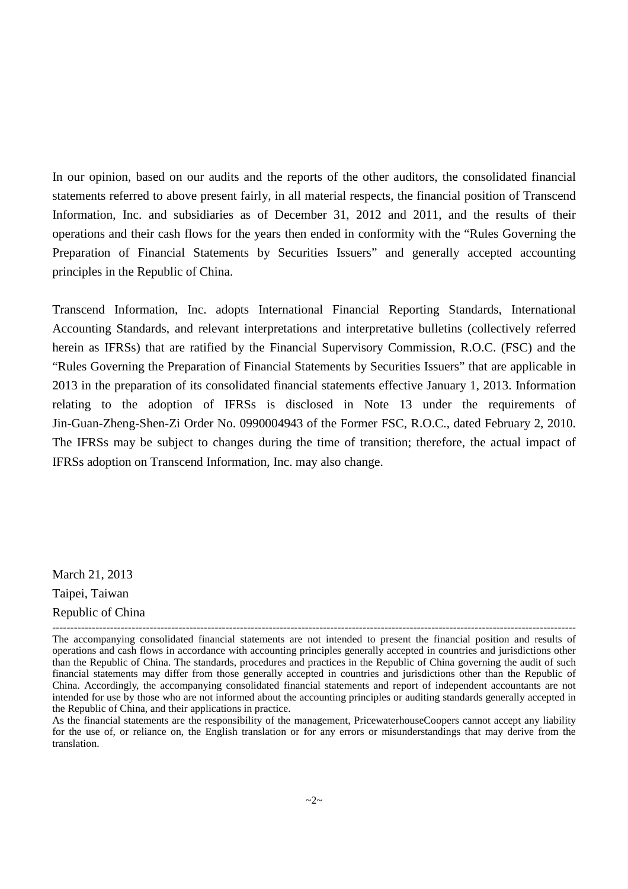In our opinion, based on our audits and the reports of the other auditors, the consolidated financial statements referred to above present fairly, in all material respects, the financial position of Transcend Information, Inc. and subsidiaries as of December 31, 2012 and 2011, and the results of their operations and their cash flows for the years then ended in conformity with the "Rules Governing the Preparation of Financial Statements by Securities Issuers" and generally accepted accounting principles in the Republic of China.

Transcend Information, Inc. adopts International Financial Reporting Standards, International Accounting Standards, and relevant interpretations and interpretative bulletins (collectively referred herein as IFRSs) that are ratified by the Financial Supervisory Commission, R.O.C. (FSC) and the "Rules Governing the Preparation of Financial Statements by Securities Issuers" that are applicable in 2013 in the preparation of its consolidated financial statements effective January 1, 2013. Information relating to the adoption of IFRSs is disclosed in Note 13 under the requirements of Jin-Guan-Zheng-Shen-Zi Order No. 0990004943 of the Former FSC, R.O.C., dated February 2, 2010. The IFRSs may be subject to changes during the time of transition; therefore, the actual impact of IFRSs adoption on Transcend Information, Inc. may also change.

March 21, 2013 Taipei, Taiwan Republic of China

<sup>-------------------------------------------------------------------------------------------------------------------------------------------------</sup> The accompanying consolidated financial statements are not intended to present the financial position and results of operations and cash flows in accordance with accounting principles generally accepted in countries and jurisdictions other than the Republic of China. The standards, procedures and practices in the Republic of China governing the audit of such financial statements may differ from those generally accepted in countries and jurisdictions other than the Republic of China. Accordingly, the accompanying consolidated financial statements and report of independent accountants are not intended for use by those who are not informed about the accounting principles or auditing standards generally accepted in the Republic of China, and their applications in practice.

As the financial statements are the responsibility of the management, PricewaterhouseCoopers cannot accept any liability for the use of, or reliance on, the English translation or for any errors or misunderstandings that may derive from the translation.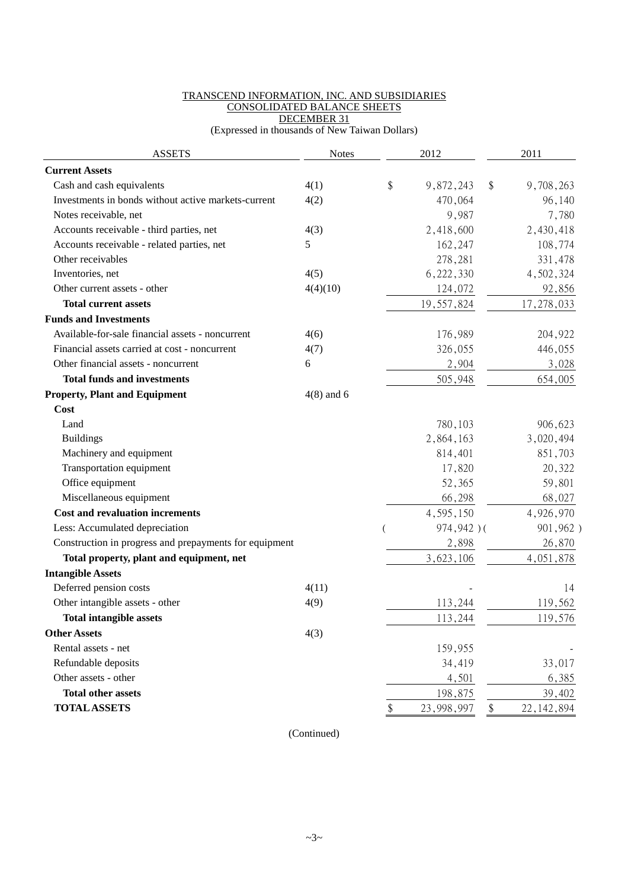#### TRANSCEND INFORMATION, INC. AND SUBSIDIARIES CONSOLIDATED BALANCE SHEETS DECEMBER 31

(Expressed in thousands of New Taiwan Dollars)

| <b>ASSETS</b>                                          | <b>Notes</b> | 2012             | 2011               |
|--------------------------------------------------------|--------------|------------------|--------------------|
| <b>Current Assets</b>                                  |              |                  |                    |
| Cash and cash equivalents                              | 4(1)         | \$<br>9,872,243  | \$<br>9,708,263    |
| Investments in bonds without active markets-current    | 4(2)         | 470,064          | 96,140             |
| Notes receivable, net                                  |              | 9,987            | 7,780              |
| Accounts receivable - third parties, net               | 4(3)         | 2,418,600        | 2,430,418          |
| Accounts receivable - related parties, net             | 5            | 162,247          | 108,774            |
| Other receivables                                      |              | 278,281          | 331,478            |
| Inventories, net                                       | 4(5)         | 6,222,330        | 4,502,324          |
| Other current assets - other                           | 4(4)(10)     | 124,072          | 92,856             |
| <b>Total current assets</b>                            |              | 19,557,824       | 17,278,033         |
| <b>Funds and Investments</b>                           |              |                  |                    |
| Available-for-sale financial assets - noncurrent       | 4(6)         | 176,989          | 204,922            |
| Financial assets carried at cost - noncurrent          | 4(7)         | 326,055          | 446,055            |
| Other financial assets - noncurrent                    | 6            | 2,904            | 3,028              |
| <b>Total funds and investments</b>                     |              | 505,948          | 654,005            |
| <b>Property, Plant and Equipment</b>                   | $4(8)$ and 6 |                  |                    |
| Cost                                                   |              |                  |                    |
| Land                                                   |              | 780,103          | 906,623            |
| <b>Buildings</b>                                       |              | 2,864,163        | 3,020,494          |
| Machinery and equipment                                |              | 814,401          | 851,703            |
| Transportation equipment                               |              | 17,820           | 20,322             |
| Office equipment                                       |              | 52,365           | 59,801             |
| Miscellaneous equipment                                |              | 66,298           | 68,027             |
| <b>Cost and revaluation increments</b>                 |              | 4,595,150        | 4,926,970          |
| Less: Accumulated depreciation                         |              | 974,942)(        | 901,962)           |
| Construction in progress and prepayments for equipment |              | 2,898            | 26,870             |
| Total property, plant and equipment, net               |              | 3,623,106        | 4,051,878          |
| <b>Intangible Assets</b>                               |              |                  |                    |
| Deferred pension costs                                 | 4(11)        |                  | 14                 |
| Other intangible assets - other                        | 4(9)         | 113,244          | 119,562            |
| <b>Total intangible assets</b>                         |              | 113,244          | 119,576            |
| <b>Other Assets</b>                                    | 4(3)         |                  |                    |
| Rental assets - net                                    |              | 159,955          |                    |
| Refundable deposits                                    |              | 34,419           | 33,017             |
| Other assets - other                                   |              | 4,501            | 6,385              |
| <b>Total other assets</b>                              |              | 198,875          | 39,402             |
| <b>TOTAL ASSETS</b>                                    |              | \$<br>23,998,997 | \$<br>22, 142, 894 |

(Continued)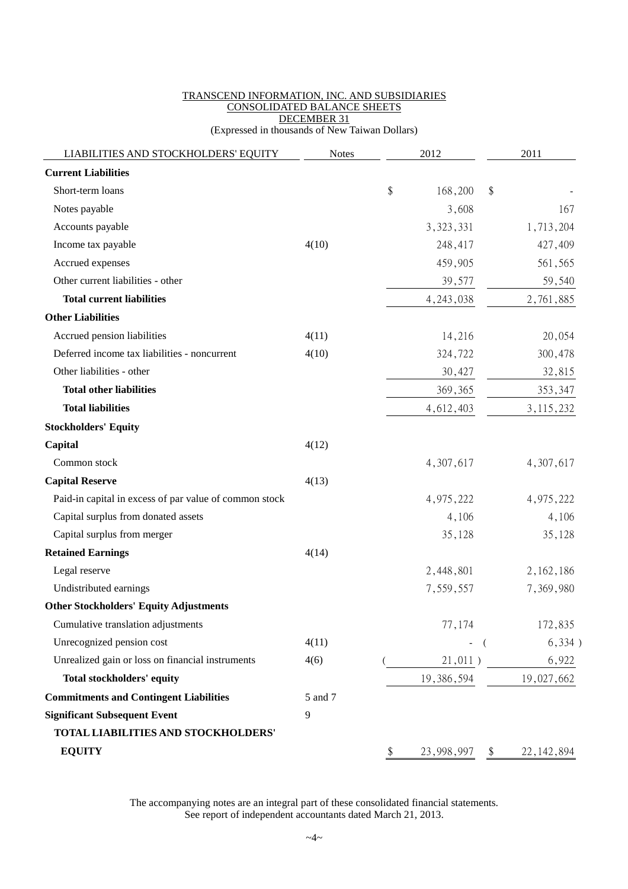#### TRANSCEND INFORMATION, INC. AND SUBSIDIARIES CONSOLIDATED BALANCE SHEETS DECEMBER 31 (Expressed in thousands of New Taiwan Dollars)

| LIABILITIES AND STOCKHOLDERS' EQUITY                   | <b>Notes</b> | 2012 |             | 2011 |                           |
|--------------------------------------------------------|--------------|------|-------------|------|---------------------------|
| <b>Current Liabilities</b>                             |              |      |             |      |                           |
| Short-term loans                                       |              | \$   | 168,200     | \$   |                           |
| Notes payable                                          |              |      | 3,608       |      | 167                       |
| Accounts payable                                       |              |      | 3, 323, 331 |      | 1,713,204                 |
| Income tax payable                                     | 4(10)        |      | 248,417     |      | 427,409                   |
| Accrued expenses                                       |              |      | 459,905     |      | 561,565                   |
| Other current liabilities - other                      |              |      | 39,577      |      | 59,540                    |
| <b>Total current liabilities</b>                       |              |      | 4, 243, 038 |      | 2,761,885                 |
| <b>Other Liabilities</b>                               |              |      |             |      |                           |
| Accrued pension liabilities                            | 4(11)        |      | 14,216      |      | 20,054                    |
| Deferred income tax liabilities - noncurrent           | 4(10)        |      | 324,722     |      | 300,478                   |
| Other liabilities - other                              |              |      | 30,427      |      | 32,815                    |
| <b>Total other liabilities</b>                         |              |      | 369,365     |      | 353,347                   |
| <b>Total liabilities</b>                               |              |      | 4,612,403   |      | 3, 115, 232               |
| <b>Stockholders' Equity</b>                            |              |      |             |      |                           |
| Capital                                                | 4(12)        |      |             |      |                           |
| Common stock                                           |              |      | 4,307,617   |      | 4,307,617                 |
| <b>Capital Reserve</b>                                 | 4(13)        |      |             |      |                           |
| Paid-in capital in excess of par value of common stock |              |      | 4,975,222   |      | 4,975,222                 |
| Capital surplus from donated assets                    |              |      | 4,106       |      | 4,106                     |
| Capital surplus from merger                            |              |      | 35,128      |      | 35,128                    |
| <b>Retained Earnings</b>                               | 4(14)        |      |             |      |                           |
| Legal reserve                                          |              |      | 2,448,801   |      | 2, 162, 186               |
| Undistributed earnings                                 |              |      | 7,559,557   |      | 7,369,980                 |
| <b>Other Stockholders' Equity Adjustments</b>          |              |      |             |      |                           |
| Cumulative translation adjustments                     |              |      | 77,174      |      | 172,835                   |
| Unrecognized pension cost                              | 4(11)        |      |             |      | 6,334)<br>$-$ (           |
| Unrealized gain or loss on financial instruments       | 4(6)         |      |             |      | $21,011)$ 6,922           |
| <b>Total stockholders' equity</b>                      |              |      |             |      | 19, 386, 594 19, 027, 662 |
| <b>Commitments and Contingent Liabilities</b>          | 5 and 7      |      |             |      |                           |
| <b>Significant Subsequent Event</b>                    | 9            |      |             |      |                           |
| TOTAL LIABILITIES AND STOCKHOLDERS'                    |              |      |             |      |                           |
| <b>EQUITY</b>                                          |              | \$   | 23,998,997  |      | 22, 142, 894              |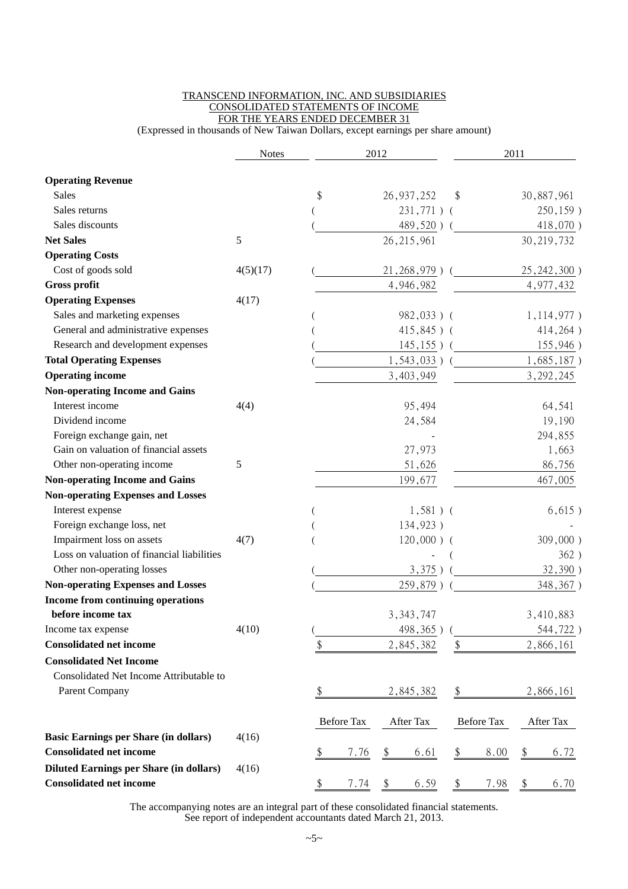#### TRANSCEND INFORMATION, INC. AND SUBSIDIARIES CONSOLIDATED STATEMENTS OF INCOME FOR THE YEARS ENDED DECEMBER 31

(Expressed in thousands of New Taiwan Dollars, except earnings per share amount)

|                                                | <b>Notes</b> | 2012 |            |    | 2011            |        |                   |    |               |
|------------------------------------------------|--------------|------|------------|----|-----------------|--------|-------------------|----|---------------|
| <b>Operating Revenue</b>                       |              |      |            |    |                 |        |                   |    |               |
| Sales                                          |              | \$   |            |    | 26, 937, 252    | \$     |                   |    | 30,887,961    |
| Sales returns                                  |              |      |            |    | $231,771)$ (    |        |                   |    | 250,159)      |
| Sales discounts                                |              |      |            |    | 489,520)        |        |                   |    | 418,070)      |
| <b>Net Sales</b>                               | 5            |      |            |    | 26, 215, 961    |        |                   |    | 30, 219, 732  |
| <b>Operating Costs</b>                         |              |      |            |    |                 |        |                   |    |               |
| Cost of goods sold                             | 4(5)(17)     |      |            |    | 21, 268, 979)   |        |                   |    | 25, 242, 300) |
| <b>Gross profit</b>                            |              |      |            |    | 4,946,982       |        |                   |    | 4,977,432     |
| <b>Operating Expenses</b>                      | 4(17)        |      |            |    |                 |        |                   |    |               |
| Sales and marketing expenses                   |              |      |            |    | $982,033$ ) (   |        |                   |    | 1,114,977)    |
| General and administrative expenses            |              |      |            |    | $415,845$ ) (   |        |                   |    | 414,264)      |
| Research and development expenses              |              |      |            |    | $145, 155$ ) (  |        |                   |    | 155,946)      |
| <b>Total Operating Expenses</b>                |              |      |            |    | $1,543,033$ ) ( |        |                   |    | $1,685,187$ ) |
| <b>Operating income</b>                        |              |      |            |    | 3,403,949       |        |                   |    | 3, 292, 245   |
| <b>Non-operating Income and Gains</b>          |              |      |            |    |                 |        |                   |    |               |
| Interest income                                | 4(4)         |      |            |    | 95,494          |        |                   |    | 64,541        |
| Dividend income                                |              |      |            |    | 24,584          |        |                   |    | 19,190        |
| Foreign exchange gain, net                     |              |      |            |    |                 |        |                   |    | 294,855       |
| Gain on valuation of financial assets          |              |      |            |    | 27,973          |        |                   |    | 1,663         |
| Other non-operating income                     | 5            |      |            |    | 51,626          | 86,756 |                   |    |               |
| <b>Non-operating Income and Gains</b>          |              |      |            |    | 199,677         |        |                   |    | 467,005       |
| <b>Non-operating Expenses and Losses</b>       |              |      |            |    |                 |        |                   |    |               |
| Interest expense                               |              |      |            |    | $1,581$ ) (     |        |                   |    | 6,615)        |
| Foreign exchange loss, net                     |              |      |            |    | 134,923)        |        |                   |    |               |
| Impairment loss on assets                      | 4(7)         |      |            |    | $120,000)$ (    |        |                   |    | $309,000$ )   |
| Loss on valuation of financial liabilities     |              |      |            |    |                 |        |                   |    | 362)          |
| Other non-operating losses                     |              |      |            |    | 3,375)          |        |                   |    | 32,390)       |
| <b>Non-operating Expenses and Losses</b>       |              |      |            |    | 259,879)        |        |                   |    | 348,367)      |
| Income from continuing operations              |              |      |            |    |                 |        |                   |    |               |
| before income tax                              |              |      |            |    | 3, 343, 747     |        |                   |    | 3,410,883     |
| Income tax expense                             | 4(10)        |      |            |    | 498,365)        |        |                   |    | 544,722)      |
| <b>Consolidated net income</b>                 |              | \$   |            |    | 2,845,382       | \$     |                   |    | 2,866,161     |
| <b>Consolidated Net Income</b>                 |              |      |            |    |                 |        |                   |    |               |
| Consolidated Net Income Attributable to        |              |      |            |    |                 |        |                   |    |               |
| Parent Company                                 |              | \$   |            |    | 2,845,382       | \$     |                   |    | 2,866,161     |
|                                                |              |      | Before Tax |    | After Tax       |        | <b>Before Tax</b> |    | After Tax     |
| <b>Basic Earnings per Share (in dollars)</b>   | 4(16)        |      |            |    |                 |        |                   |    |               |
| <b>Consolidated net income</b>                 |              | \$   | 7.76       | \$ | 6.61            | \$     | 8.00              |    | 6.72          |
| <b>Diluted Earnings per Share (in dollars)</b> | 4(16)        |      |            |    |                 |        |                   |    |               |
| <b>Consolidated net income</b>                 |              | \$   | 7.74       | \$ | 6.59            | \$     | 7.98              | \$ | 6.70          |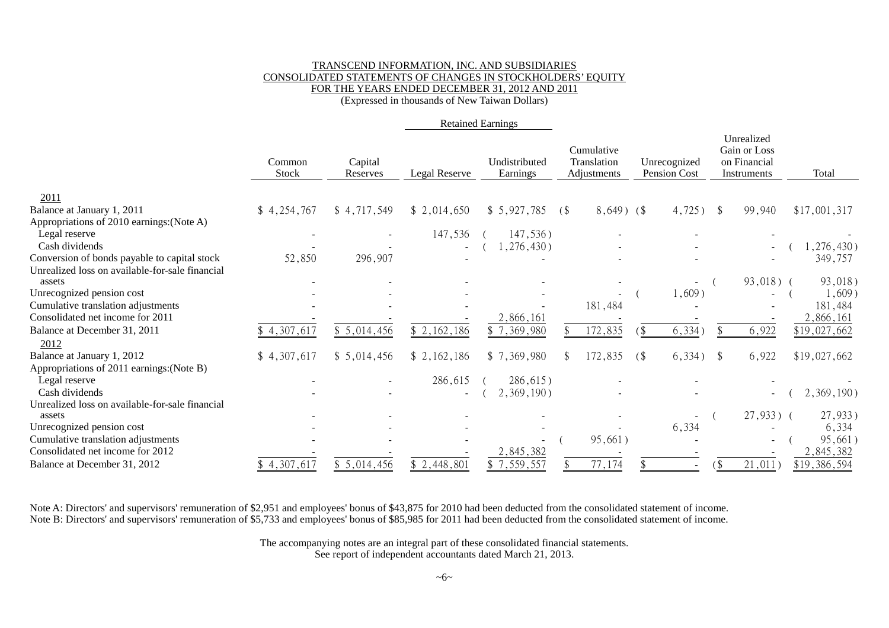#### TRANSCEND INFORMATION, INC. AND SUBSIDIARIES CONSOLIDATED STATEMENTS OF CHANGES IN STOCKHOLDERS' EQUITY FOR THE YEARS ENDED DECEMBER 31, 2012 AND 2011 (Expressed in thousands of New Taiwan Dollars)

|                                                           |                 |                     | <b>Retained Earnings</b> |                           |                                             |                                       |                                                           |                      |
|-----------------------------------------------------------|-----------------|---------------------|--------------------------|---------------------------|---------------------------------------------|---------------------------------------|-----------------------------------------------------------|----------------------|
|                                                           | Common<br>Stock | Capital<br>Reserves | Legal Reserve            | Undistributed<br>Earnings | Cumulative<br>Translation<br>Adjustments    | Unrecognized<br>Pension Cost          | Unrealized<br>Gain or Loss<br>on Financial<br>Instruments | Total                |
| 2011                                                      |                 |                     |                          |                           |                                             |                                       |                                                           |                      |
| Balance at January 1, 2011                                | \$4,254,767     | \$4,717,549         | \$2,014,650              | \$5,927,785               | $8,649$ ) (\$<br>$\left( \text{\$} \right)$ | 4,725)                                | 99,940<br><sup>\$</sup>                                   | \$17,001,317         |
| Appropriations of 2010 earnings: (Note A)                 |                 |                     |                          |                           |                                             |                                       |                                                           |                      |
| Legal reserve                                             |                 |                     | 147,536                  | 147,536)                  |                                             |                                       |                                                           |                      |
| Cash dividends                                            |                 |                     |                          | 1,276,430)                |                                             |                                       |                                                           | ,276,430)            |
| Conversion of bonds payable to capital stock              | 52,850          | 296,907             |                          |                           |                                             |                                       |                                                           | 349,757              |
| Unrealized loss on available-for-sale financial<br>assets |                 |                     |                          |                           |                                             |                                       |                                                           |                      |
| Unrecognized pension cost                                 |                 |                     |                          |                           |                                             | $\overline{\phantom{a}}$<br>$1,609$ ) | $93,018)$ (                                               | 93,018)<br>$1,609$ ) |
| Cumulative translation adjustments                        |                 |                     |                          |                           | 181,484                                     |                                       |                                                           | 181,484              |
| Consolidated net income for 2011                          |                 |                     |                          | 2,866,161                 |                                             |                                       |                                                           | 2,866,161            |
| Balance at December 31, 2011                              | \$4,307,617     | \$5,014,456         | \$2,162,186              | \$7,369,980               | 172,835                                     | 6,334)                                | 6,922                                                     | \$19,027,662         |
| 2012                                                      |                 |                     |                          |                           |                                             |                                       |                                                           |                      |
| Balance at January 1, 2012                                | \$4,307,617     | \$5,014,456         | \$2,162,186              | \$7,369,980               | 172,835                                     | 6,334)<br>(                           | 6,922<br>$\mathcal{S}$                                    | \$19,027,662         |
| Appropriations of 2011 earnings: (Note B)                 |                 |                     |                          |                           |                                             |                                       |                                                           |                      |
| Legal reserve                                             |                 |                     | 286,615                  | $286,615$ )               |                                             |                                       |                                                           |                      |
| Cash dividends                                            |                 |                     |                          | 2,369,190)                |                                             |                                       |                                                           | 2,369,190)           |
| Unrealized loss on available-for-sale financial           |                 |                     |                          |                           |                                             |                                       |                                                           |                      |
| assets                                                    |                 |                     |                          |                           |                                             |                                       | $27,933$ ) (                                              | 27,933)              |
| Unrecognized pension cost                                 |                 |                     |                          |                           |                                             | 6,334                                 |                                                           | 6,334                |
| Cumulative translation adjustments                        |                 |                     |                          |                           | 95,661)                                     |                                       |                                                           | 95,661)              |
| Consolidated net income for 2012                          |                 |                     |                          | 2,845,382                 |                                             |                                       |                                                           | 2,845,382            |
| Balance at December 31, 2012                              | \$4,307,617     | \$5,014,456         | \$2,448,801              | \$7,559,557               | 77,174                                      |                                       | 21,011<br>\$                                              | \$19,386,594         |

Note A: Directors' and supervisors' remuneration of \$2,951 and employees' bonus of \$43,875 for 2010 had been deducted from the consolidated statement of income. Note B: Directors' and supervisors' remuneration of \$5,733 and employees' bonus of \$85,985 for 2011 had been deducted from the consolidated statement of income.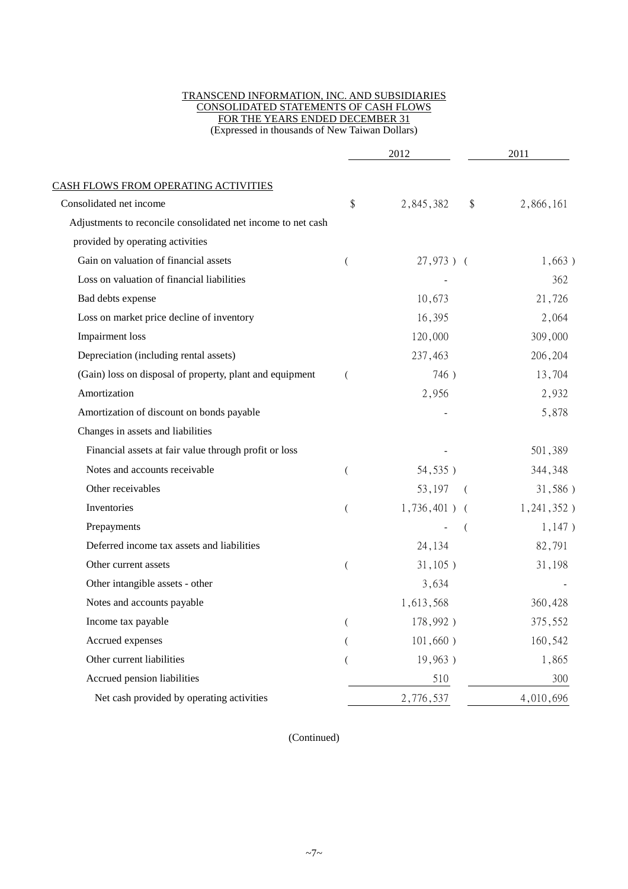#### TRANSCEND INFORMATION, INC. AND SUBSIDIARIES CONSOLIDATED STATEMENTS OF CASH FLOWS FOR THE YEARS ENDED DECEMBER 31 (Expressed in thousands of New Taiwan Dollars)

|                                                              | 2012 |                    | 2011       |  |
|--------------------------------------------------------------|------|--------------------|------------|--|
| <b>CASH FLOWS FROM OPERATING ACTIVITIES</b>                  |      |                    |            |  |
| Consolidated net income                                      | \$   | 2,845,382<br>\$    | 2,866,161  |  |
| Adjustments to reconcile consolidated net income to net cash |      |                    |            |  |
| provided by operating activities                             |      |                    |            |  |
| Gain on valuation of financial assets                        |      | $27,973$ ) (       | 1,663)     |  |
| Loss on valuation of financial liabilities                   |      |                    | 362        |  |
| Bad debts expense                                            |      | 10,673             | 21,726     |  |
| Loss on market price decline of inventory                    |      | 16,395             | 2,064      |  |
| Impairment loss                                              |      | 120,000            | 309,000    |  |
| Depreciation (including rental assets)                       |      | 237,463            | 206,204    |  |
| (Gain) loss on disposal of property, plant and equipment     |      | 746)               | 13,704     |  |
| Amortization                                                 |      | 2,956              | 2,932      |  |
| Amortization of discount on bonds payable                    |      |                    | 5,878      |  |
| Changes in assets and liabilities                            |      |                    |            |  |
| Financial assets at fair value through profit or loss        |      |                    | 501,389    |  |
| Notes and accounts receivable                                |      | 54,535)            | 344,348    |  |
| Other receivables                                            |      | 53,197<br>$\left($ | 31,586)    |  |
| Inventories                                                  |      | $1,736,401$ ) (    | 1,241,352) |  |
| Prepayments                                                  |      |                    | 1,147)     |  |
| Deferred income tax assets and liabilities                   |      | 24,134             | 82,791     |  |
| Other current assets                                         |      | 31,105)            | 31,198     |  |
| Other intangible assets - other                              |      | 3,634              |            |  |
| Notes and accounts payable                                   |      | 1,613,568          | 360,428    |  |
| Income tax payable                                           |      | $178,992$ )        | 375,552    |  |
| Accrued expenses                                             |      | 101,660)           | 160,542    |  |
| Other current liabilities                                    |      | 19,963)            | 1,865      |  |
| Accrued pension liabilities                                  |      | 510                | 300        |  |
| Net cash provided by operating activities                    |      | 2,776,537          | 4,010,696  |  |

(Continued)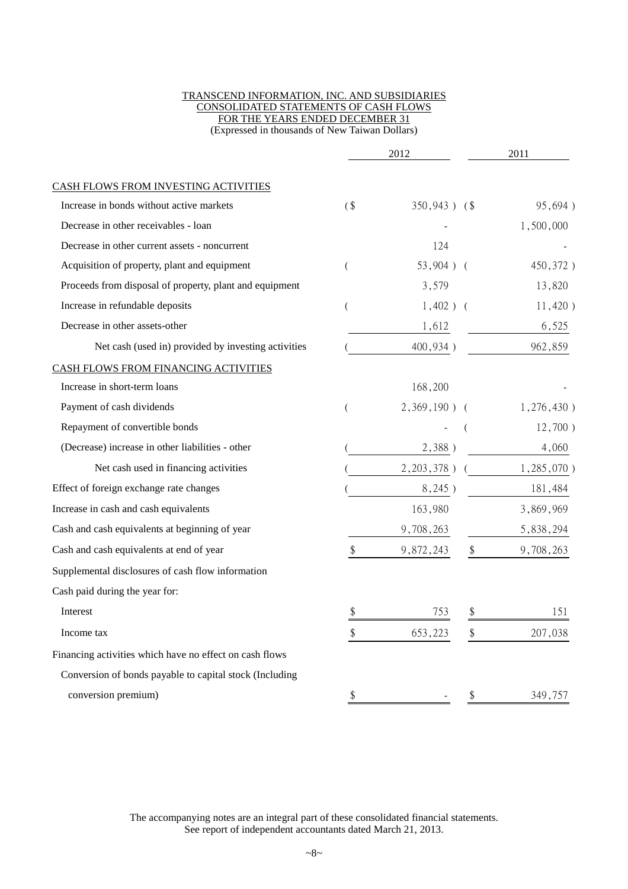#### TRANSCEND INFORMATION, INC. AND SUBSIDIARIES CONSOLIDATED STATEMENTS OF CASH FLOWS FOR THE YEARS ENDED DECEMBER 31 (Expressed in thousands of New Taiwan Dollars)

|                                                         | 2012   |                  | 2011            |
|---------------------------------------------------------|--------|------------------|-----------------|
| CASH FLOWS FROM INVESTING ACTIVITIES                    |        |                  |                 |
| Increase in bonds without active markets                | $($ \$ | $350,943$ ) (\$) | 95,694)         |
| Decrease in other receivables - loan                    |        |                  | 1,500,000       |
| Decrease in other current assets - noncurrent           |        | 124              |                 |
| Acquisition of property, plant and equipment            |        | $53,904$ ) (     | 450,372)        |
| Proceeds from disposal of property, plant and equipment |        | 3,579            | 13,820          |
| Increase in refundable deposits                         |        | $1,402$ ) (      | 11,420)         |
| Decrease in other assets-other                          |        | 1,612            | 6,525           |
| Net cash (used in) provided by investing activities     |        | 400,934)         | 962,859         |
| CASH FLOWS FROM FINANCING ACTIVITIES                    |        |                  |                 |
| Increase in short-term loans                            |        | 168,200          |                 |
| Payment of cash dividends                               |        | $2,369,190$ ) (  | 1,276,430)      |
| Repayment of convertible bonds                          |        |                  | $12,700$ )      |
| (Decrease) increase in other liabilities - other        |        | 2,388)           | 4,060           |
| Net cash used in financing activities                   |        | $2,203,378$ )    | $1,285,070$ )   |
| Effect of foreign exchange rate changes                 |        | 8,245)           | 181,484         |
| Increase in cash and cash equivalents                   |        | 163,980          | 3,869,969       |
| Cash and cash equivalents at beginning of year          |        | 9,708,263        | 5,838,294       |
| Cash and cash equivalents at end of year                | \$     | 9,872,243        | \$<br>9,708,263 |
| Supplemental disclosures of cash flow information       |        |                  |                 |
| Cash paid during the year for:                          |        |                  |                 |
| Interest                                                | \$     | 753              | \$<br>151       |
| Income tax                                              | \$     | 653,223          | \$<br>207,038   |
| Financing activities which have no effect on cash flows |        |                  |                 |
| Conversion of bonds payable to capital stock (Including |        |                  |                 |
| conversion premium)                                     | \$     |                  | \$<br>349,757   |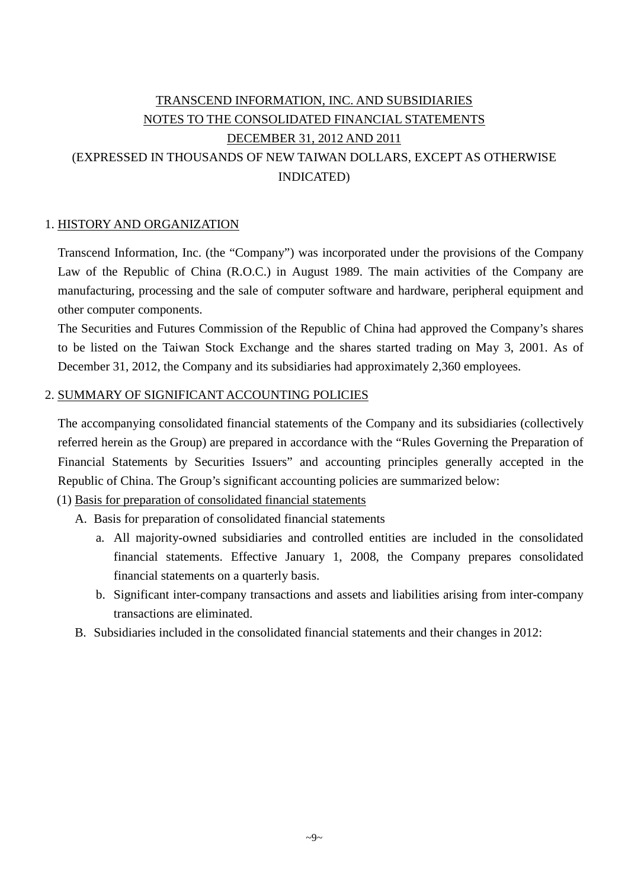# TRANSCEND INFORMATION, INC. AND SUBSIDIARIES NOTES TO THE CONSOLIDATED FINANCIAL STATEMENTS DECEMBER 31, 2012 AND 2011 (EXPRESSED IN THOUSANDS OF NEW TAIWAN DOLLARS, EXCEPT AS OTHERWISE INDICATED)

## 1. HISTORY AND ORGANIZATION

Transcend Information, Inc. (the "Company") was incorporated under the provisions of the Company Law of the Republic of China (R.O.C.) in August 1989. The main activities of the Company are manufacturing, processing and the sale of computer software and hardware, peripheral equipment and other computer components.

The Securities and Futures Commission of the Republic of China had approved the Company's shares to be listed on the Taiwan Stock Exchange and the shares started trading on May 3, 2001. As of December 31, 2012, the Company and its subsidiaries had approximately 2,360 employees.

## 2. SUMMARY OF SIGNIFICANT ACCOUNTING POLICIES

The accompanying consolidated financial statements of the Company and its subsidiaries (collectively referred herein as the Group) are prepared in accordance with the "Rules Governing the Preparation of Financial Statements by Securities Issuers" and accounting principles generally accepted in the Republic of China. The Group's significant accounting policies are summarized below:

## (1) Basis for preparation of consolidated financial statements

A. Basis for preparation of consolidated financial statements

- a. All majority-owned subsidiaries and controlled entities are included in the consolidated financial statements. Effective January 1, 2008, the Company prepares consolidated financial statements on a quarterly basis.
- b. Significant inter-company transactions and assets and liabilities arising from inter-company transactions are eliminated.
- B. Subsidiaries included in the consolidated financial statements and their changes in 2012: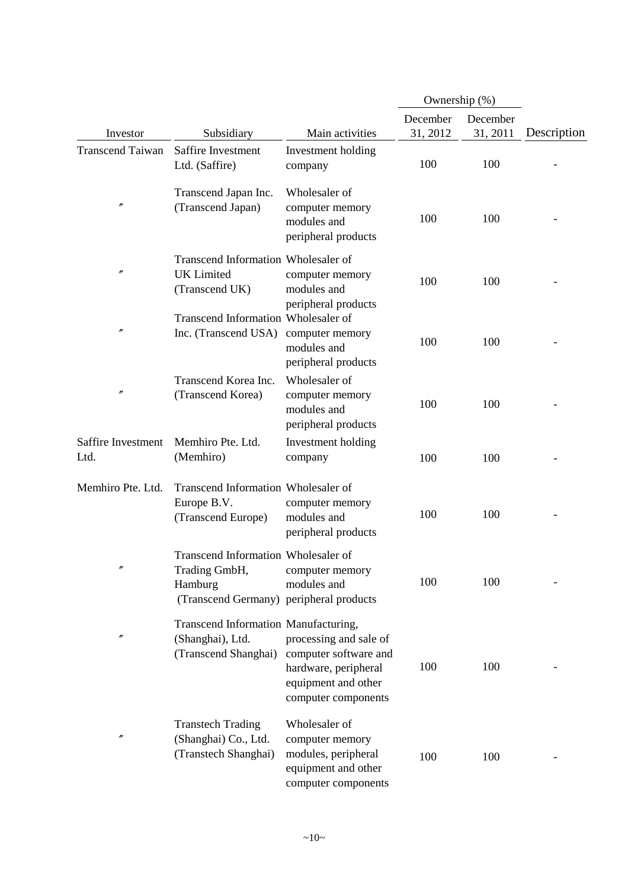|                            |                                                                                                            |                                                                                                                       | Ownership (%)        |                      |             |
|----------------------------|------------------------------------------------------------------------------------------------------------|-----------------------------------------------------------------------------------------------------------------------|----------------------|----------------------|-------------|
| Investor                   | Subsidiary                                                                                                 | Main activities                                                                                                       | December<br>31, 2012 | December<br>31, 2011 | Description |
| <b>Transcend Taiwan</b>    | Saffire Investment<br>Ltd. (Saffire)                                                                       | Investment holding<br>company                                                                                         | 100                  | 100                  |             |
| $\prime\prime$             | Transcend Japan Inc.<br>(Transcend Japan)                                                                  | Wholesaler of<br>computer memory<br>modules and<br>peripheral products                                                | 100                  | 100                  |             |
| $\prime\prime$             | Transcend Information Wholesaler of<br><b>UK</b> Limited<br>(Transcend UK)                                 | computer memory<br>modules and<br>peripheral products                                                                 | 100                  | 100                  |             |
| $^{\prime\prime}$          | Transcend Information Wholesaler of<br>Inc. (Transcend USA)                                                | computer memory<br>modules and<br>peripheral products                                                                 | 100                  | 100                  |             |
| $^{\prime\prime}$          | Transcend Korea Inc.<br>(Transcend Korea)                                                                  | Wholesaler of<br>computer memory<br>modules and<br>peripheral products                                                | 100                  | 100                  |             |
| Saffire Investment<br>Ltd. | Memhiro Pte. Ltd.<br>(Memhiro)                                                                             | Investment holding<br>company                                                                                         | 100                  | 100                  |             |
| Memhiro Pte. Ltd.          | Transcend Information Wholesaler of<br>Europe B.V.<br>(Transcend Europe)                                   | computer memory<br>modules and<br>peripheral products                                                                 | 100                  | 100                  |             |
|                            | Transcend Information Wholesaler of<br>Trading GmbH,<br>Hamburg<br>(Transcend Germany) peripheral products | computer memory<br>modules and                                                                                        | 100                  | 100                  |             |
| n                          | Transcend Information Manufacturing,<br>(Shanghai), Ltd.<br>(Transcend Shanghai)                           | processing and sale of<br>computer software and<br>hardware, peripheral<br>equipment and other<br>computer components | 100                  | 100                  |             |
| $\prime\prime$             | <b>Transtech Trading</b><br>(Shanghai) Co., Ltd.<br>(Transtech Shanghai)                                   | Wholesaler of<br>computer memory<br>modules, peripheral<br>equipment and other<br>computer components                 | 100                  | 100                  |             |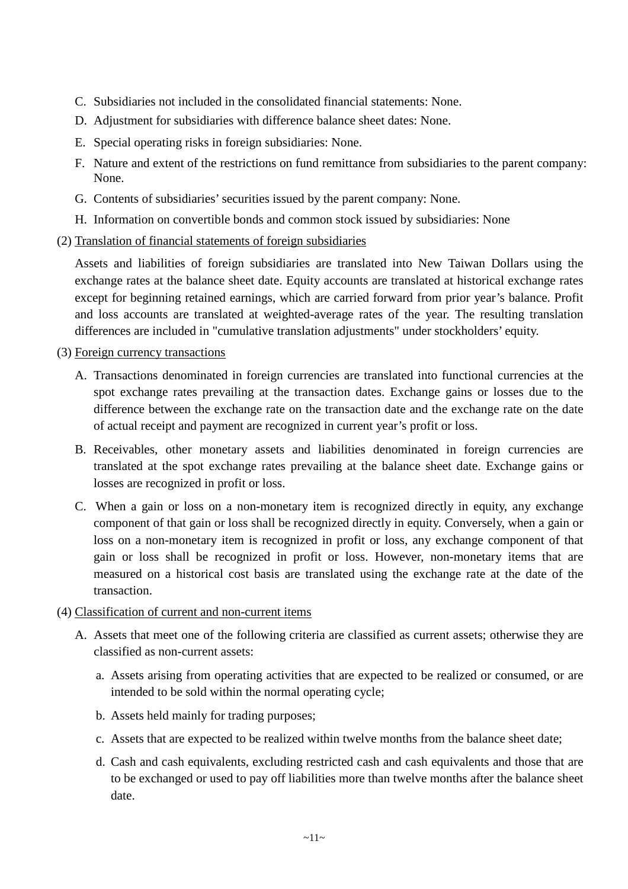- C. Subsidiaries not included in the consolidated financial statements: None.
- D. Adjustment for subsidiaries with difference balance sheet dates: None.
- E. Special operating risks in foreign subsidiaries: None.
- F. Nature and extent of the restrictions on fund remittance from subsidiaries to the parent company: None.
- G. Contents of subsidiaries' securities issued by the parent company: None.
- H. Information on convertible bonds and common stock issued by subsidiaries: None
- (2) Translation of financial statements of foreign subsidiaries

Assets and liabilities of foreign subsidiaries are translated into New Taiwan Dollars using the exchange rates at the balance sheet date. Equity accounts are translated at historical exchange rates except for beginning retained earnings, which are carried forward from prior year's balance. Profit and loss accounts are translated at weighted-average rates of the year. The resulting translation differences are included in "cumulative translation adjustments" under stockholders' equity.

- (3) Foreign currency transactions
	- A. Transactions denominated in foreign currencies are translated into functional currencies at the spot exchange rates prevailing at the transaction dates. Exchange gains or losses due to the difference between the exchange rate on the transaction date and the exchange rate on the date of actual receipt and payment are recognized in current year's profit or loss.
	- B. Receivables, other monetary assets and liabilities denominated in foreign currencies are translated at the spot exchange rates prevailing at the balance sheet date. Exchange gains or losses are recognized in profit or loss.
	- C. When a gain or loss on a non-monetary item is recognized directly in equity, any exchange component of that gain or loss shall be recognized directly in equity. Conversely, when a gain or loss on a non-monetary item is recognized in profit or loss, any exchange component of that gain or loss shall be recognized in profit or loss. However, non-monetary items that are measured on a historical cost basis are translated using the exchange rate at the date of the transaction.
- (4) Classification of current and non-current items
	- A. Assets that meet one of the following criteria are classified as current assets; otherwise they are classified as non-current assets:
		- a. Assets arising from operating activities that are expected to be realized or consumed, or are intended to be sold within the normal operating cycle;
		- b. Assets held mainly for trading purposes;
		- c. Assets that are expected to be realized within twelve months from the balance sheet date;
		- d. Cash and cash equivalents, excluding restricted cash and cash equivalents and those that are to be exchanged or used to pay off liabilities more than twelve months after the balance sheet date.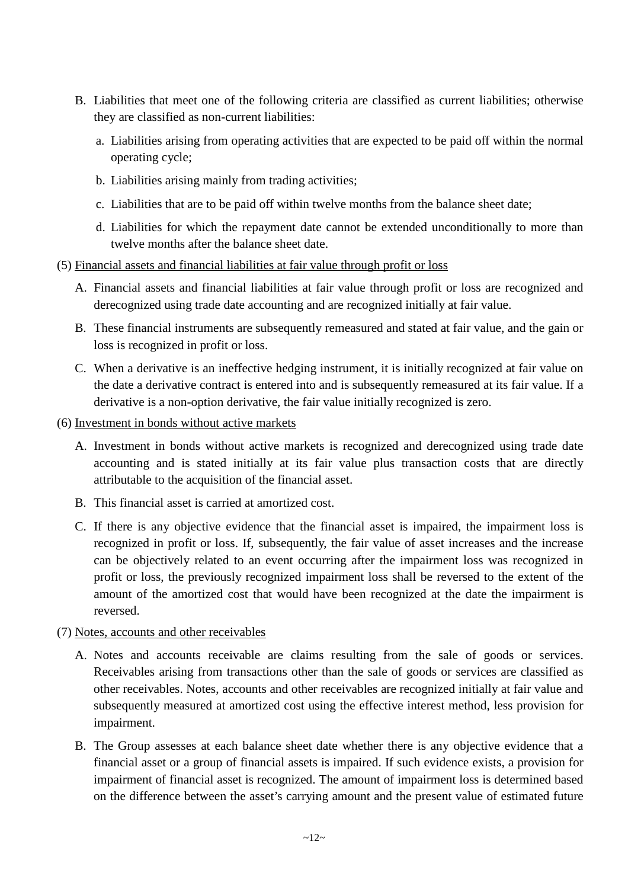- B. Liabilities that meet one of the following criteria are classified as current liabilities; otherwise they are classified as non-current liabilities:
	- a. Liabilities arising from operating activities that are expected to be paid off within the normal operating cycle;
	- b. Liabilities arising mainly from trading activities;
	- c. Liabilities that are to be paid off within twelve months from the balance sheet date;
	- d. Liabilities for which the repayment date cannot be extended unconditionally to more than twelve months after the balance sheet date.
- (5) Financial assets and financial liabilities at fair value through profit or loss
	- A. Financial assets and financial liabilities at fair value through profit or loss are recognized and derecognized using trade date accounting and are recognized initially at fair value.
	- B. These financial instruments are subsequently remeasured and stated at fair value, and the gain or loss is recognized in profit or loss.
	- C. When a derivative is an ineffective hedging instrument, it is initially recognized at fair value on the date a derivative contract is entered into and is subsequently remeasured at its fair value. If a derivative is a non-option derivative, the fair value initially recognized is zero.
- (6) Investment in bonds without active markets
	- A. Investment in bonds without active markets is recognized and derecognized using trade date accounting and is stated initially at its fair value plus transaction costs that are directly attributable to the acquisition of the financial asset.
	- B. This financial asset is carried at amortized cost.
	- C. If there is any objective evidence that the financial asset is impaired, the impairment loss is recognized in profit or loss. If, subsequently, the fair value of asset increases and the increase can be objectively related to an event occurring after the impairment loss was recognized in profit or loss, the previously recognized impairment loss shall be reversed to the extent of the amount of the amortized cost that would have been recognized at the date the impairment is reversed.

#### (7) Notes, accounts and other receivables

- A. Notes and accounts receivable are claims resulting from the sale of goods or services. Receivables arising from transactions other than the sale of goods or services are classified as other receivables. Notes, accounts and other receivables are recognized initially at fair value and subsequently measured at amortized cost using the effective interest method, less provision for impairment.
- B. The Group assesses at each balance sheet date whether there is any objective evidence that a financial asset or a group of financial assets is impaired. If such evidence exists, a provision for impairment of financial asset is recognized. The amount of impairment loss is determined based on the difference between the asset's carrying amount and the present value of estimated future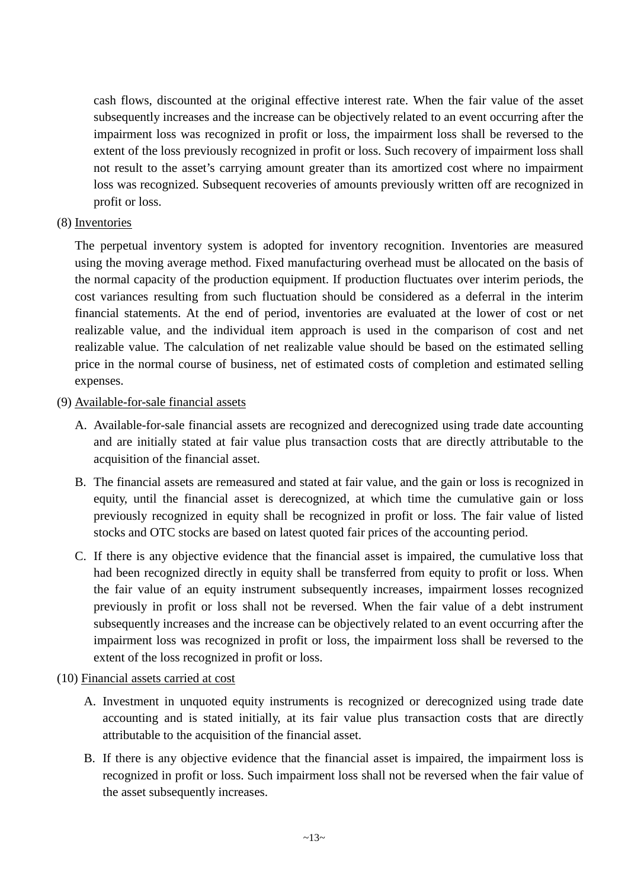cash flows, discounted at the original effective interest rate. When the fair value of the asset subsequently increases and the increase can be objectively related to an event occurring after the impairment loss was recognized in profit or loss, the impairment loss shall be reversed to the extent of the loss previously recognized in profit or loss. Such recovery of impairment loss shall not result to the asset's carrying amount greater than its amortized cost where no impairment loss was recognized. Subsequent recoveries of amounts previously written off are recognized in profit or loss.

## (8) Inventories

The perpetual inventory system is adopted for inventory recognition. Inventories are measured using the moving average method. Fixed manufacturing overhead must be allocated on the basis of the normal capacity of the production equipment. If production fluctuates over interim periods, the cost variances resulting from such fluctuation should be considered as a deferral in the interim financial statements. At the end of period, inventories are evaluated at the lower of cost or net realizable value, and the individual item approach is used in the comparison of cost and net realizable value. The calculation of net realizable value should be based on the estimated selling price in the normal course of business, net of estimated costs of completion and estimated selling expenses.

## (9) Available-for-sale financial assets

- A. Available-for-sale financial assets are recognized and derecognized using trade date accounting and are initially stated at fair value plus transaction costs that are directly attributable to the acquisition of the financial asset.
- B. The financial assets are remeasured and stated at fair value, and the gain or loss is recognized in equity, until the financial asset is derecognized, at which time the cumulative gain or loss previously recognized in equity shall be recognized in profit or loss. The fair value of listed stocks and OTC stocks are based on latest quoted fair prices of the accounting period.
- C. If there is any objective evidence that the financial asset is impaired, the cumulative loss that had been recognized directly in equity shall be transferred from equity to profit or loss. When the fair value of an equity instrument subsequently increases, impairment losses recognized previously in profit or loss shall not be reversed. When the fair value of a debt instrument subsequently increases and the increase can be objectively related to an event occurring after the impairment loss was recognized in profit or loss, the impairment loss shall be reversed to the extent of the loss recognized in profit or loss.

## (10) Financial assets carried at cost

- A. Investment in unquoted equity instruments is recognized or derecognized using trade date accounting and is stated initially, at its fair value plus transaction costs that are directly attributable to the acquisition of the financial asset.
- B. If there is any objective evidence that the financial asset is impaired, the impairment loss is recognized in profit or loss. Such impairment loss shall not be reversed when the fair value of the asset subsequently increases.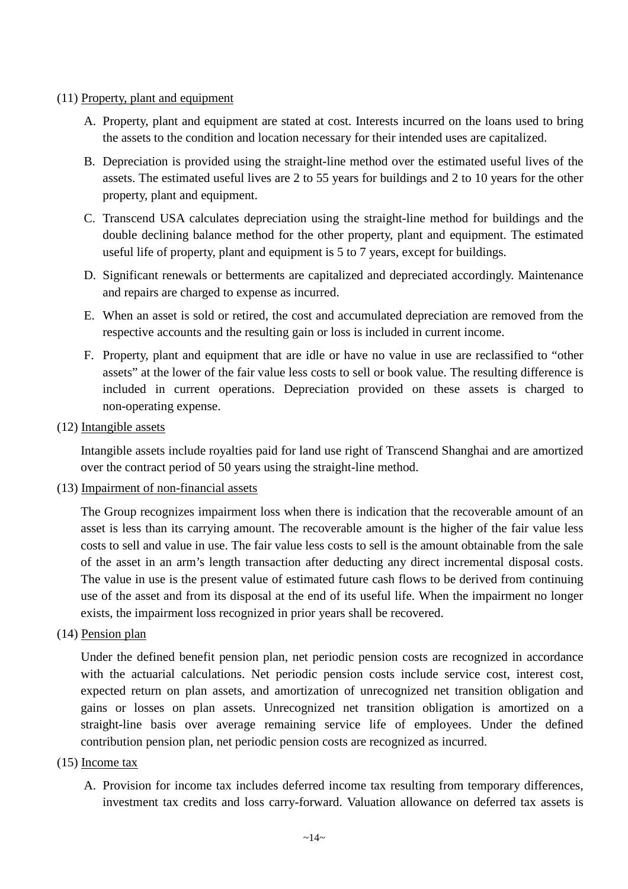#### (11) Property, plant and equipment

- A. Property, plant and equipment are stated at cost. Interests incurred on the loans used to bring the assets to the condition and location necessary for their intended uses are capitalized.
- B. Depreciation is provided using the straight-line method over the estimated useful lives of the assets. The estimated useful lives are 2 to 55 years for buildings and 2 to 10 years for the other property, plant and equipment.
- C. Transcend USA calculates depreciation using the straight-line method for buildings and the double declining balance method for the other property, plant and equipment. The estimated useful life of property, plant and equipment is 5 to 7 years, except for buildings.
- D. Significant renewals or betterments are capitalized and depreciated accordingly. Maintenance and repairs are charged to expense as incurred.
- E. When an asset is sold or retired, the cost and accumulated depreciation are removed from the respective accounts and the resulting gain or loss is included in current income.
- F. Property, plant and equipment that are idle or have no value in use are reclassified to "other assets" at the lower of the fair value less costs to sell or book value. The resulting difference is included in current operations. Depreciation provided on these assets is charged to non-operating expense.

## (12) Intangible assets

Intangible assets include royalties paid for land use right of Transcend Shanghai and are amortized over the contract period of 50 years using the straight-line method.

#### (13) Impairment of non-financial assets

The Group recognizes impairment loss when there is indication that the recoverable amount of an asset is less than its carrying amount. The recoverable amount is the higher of the fair value less costs to sell and value in use. The fair value less costs to sell is the amount obtainable from the sale of the asset in an arm's length transaction after deducting any direct incremental disposal costs. The value in use is the present value of estimated future cash flows to be derived from continuing use of the asset and from its disposal at the end of its useful life. When the impairment no longer exists, the impairment loss recognized in prior years shall be recovered.

#### (14) Pension plan

Under the defined benefit pension plan, net periodic pension costs are recognized in accordance with the actuarial calculations. Net periodic pension costs include service cost, interest cost, expected return on plan assets, and amortization of unrecognized net transition obligation and gains or losses on plan assets. Unrecognized net transition obligation is amortized on a straight-line basis over average remaining service life of employees. Under the defined contribution pension plan, net periodic pension costs are recognized as incurred.

#### (15) Income tax

A. Provision for income tax includes deferred income tax resulting from temporary differences, investment tax credits and loss carry-forward. Valuation allowance on deferred tax assets is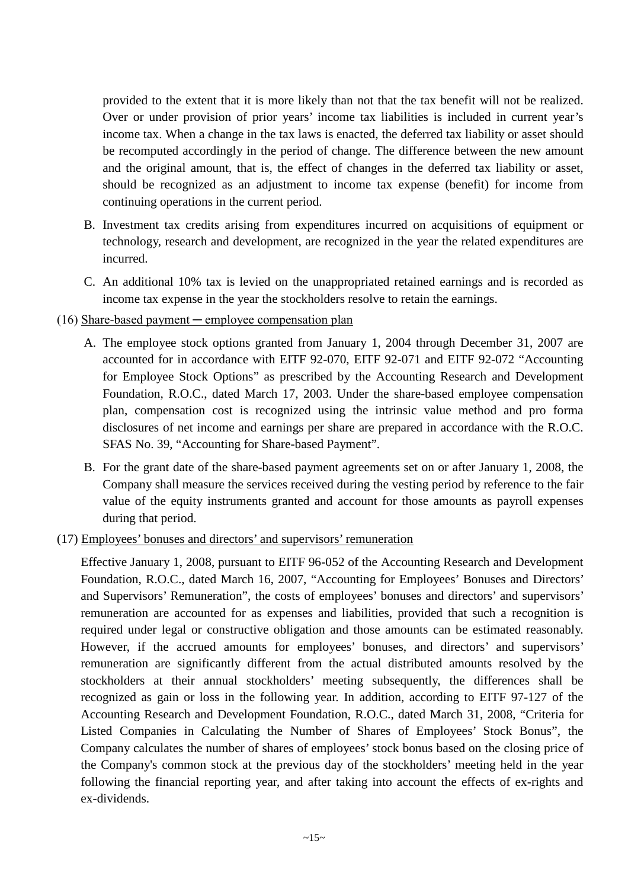provided to the extent that it is more likely than not that the tax benefit will not be realized. Over or under provision of prior years' income tax liabilities is included in current year's income tax. When a change in the tax laws is enacted, the deferred tax liability or asset should be recomputed accordingly in the period of change. The difference between the new amount and the original amount, that is, the effect of changes in the deferred tax liability or asset, should be recognized as an adjustment to income tax expense (benefit) for income from continuing operations in the current period.

- B. Investment tax credits arising from expenditures incurred on acquisitions of equipment or technology, research and development, are recognized in the year the related expenditures are incurred.
- C. An additional 10% tax is levied on the unappropriated retained earnings and is recorded as income tax expense in the year the stockholders resolve to retain the earnings.

## $(16)$  Share-based payment — employee compensation plan

- A. The employee stock options granted from January 1, 2004 through December 31, 2007 are accounted for in accordance with EITF 92-070, EITF 92-071 and EITF 92-072 "Accounting for Employee Stock Options" as prescribed by the Accounting Research and Development Foundation, R.O.C., dated March 17, 2003. Under the share-based employee compensation plan, compensation cost is recognized using the intrinsic value method and pro forma disclosures of net income and earnings per share are prepared in accordance with the R.O.C. SFAS No. 39, "Accounting for Share-based Payment".
- B. For the grant date of the share-based payment agreements set on or after January 1, 2008, the Company shall measure the services received during the vesting period by reference to the fair value of the equity instruments granted and account for those amounts as payroll expenses during that period.
- (17) Employees' bonuses and directors' and supervisors' remuneration

Effective January 1, 2008, pursuant to EITF 96-052 of the Accounting Research and Development Foundation, R.O.C., dated March 16, 2007, "Accounting for Employees' Bonuses and Directors' and Supervisors' Remuneration", the costs of employees' bonuses and directors' and supervisors' remuneration are accounted for as expenses and liabilities, provided that such a recognition is required under legal or constructive obligation and those amounts can be estimated reasonably. However, if the accrued amounts for employees' bonuses, and directors' and supervisors' remuneration are significantly different from the actual distributed amounts resolved by the stockholders at their annual stockholders' meeting subsequently, the differences shall be recognized as gain or loss in the following year. In addition, according to EITF 97-127 of the Accounting Research and Development Foundation, R.O.C., dated March 31, 2008, "Criteria for Listed Companies in Calculating the Number of Shares of Employees' Stock Bonus", the Company calculates the number of shares of employees' stock bonus based on the closing price of the Company's common stock at the previous day of the stockholders' meeting held in the year following the financial reporting year, and after taking into account the effects of ex-rights and ex-dividends.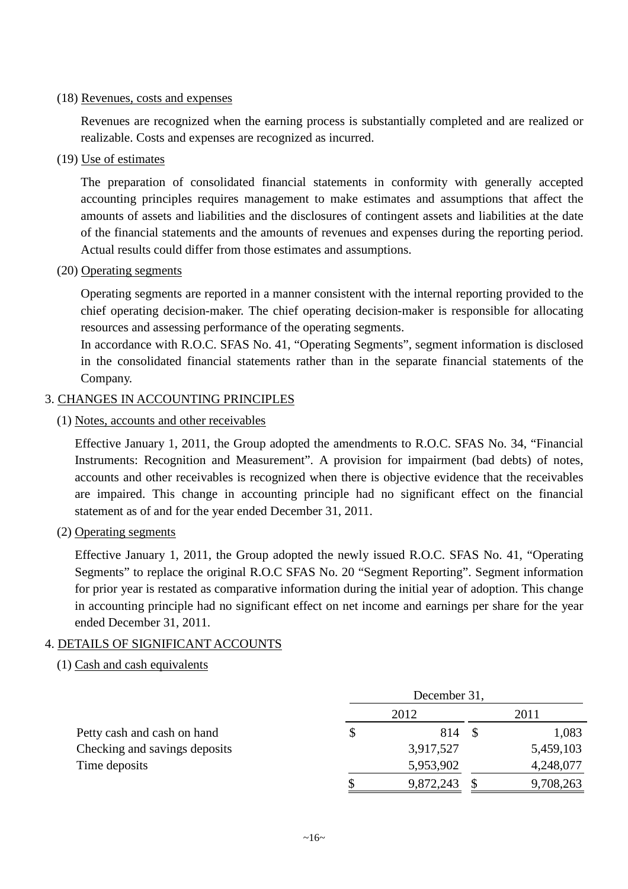#### (18) Revenues, costs and expenses

Revenues are recognized when the earning process is substantially completed and are realized or realizable. Costs and expenses are recognized as incurred.

(19) Use of estimates

The preparation of consolidated financial statements in conformity with generally accepted accounting principles requires management to make estimates and assumptions that affect the amounts of assets and liabilities and the disclosures of contingent assets and liabilities at the date of the financial statements and the amounts of revenues and expenses during the reporting period. Actual results could differ from those estimates and assumptions.

(20) Operating segments

Operating segments are reported in a manner consistent with the internal reporting provided to the chief operating decision-maker. The chief operating decision-maker is responsible for allocating resources and assessing performance of the operating segments.

In accordance with R.O.C. SFAS No. 41, "Operating Segments", segment information is disclosed in the consolidated financial statements rather than in the separate financial statements of the Company.

## 3. CHANGES IN ACCOUNTING PRINCIPLES

(1) Notes, accounts and other receivables

Effective January 1, 2011, the Group adopted the amendments to R.O.C. SFAS No. 34, "Financial Instruments: Recognition and Measurement". A provision for impairment (bad debts) of notes, accounts and other receivables is recognized when there is objective evidence that the receivables are impaired. This change in accounting principle had no significant effect on the financial statement as of and for the year ended December 31, 2011.

(2) Operating segments

Effective January 1, 2011, the Group adopted the newly issued R.O.C. SFAS No. 41, "Operating Segments" to replace the original R.O.C SFAS No. 20 "Segment Reporting". Segment information for prior year is restated as comparative information during the initial year of adoption. This change in accounting principle had no significant effect on net income and earnings per share for the year ended December 31, 2011.

## 4. DETAILS OF SIGNIFICANT ACCOUNTS

## (1) Cash and cash equivalents

|                               | December 31, |           |  |           |  |  |
|-------------------------------|--------------|-----------|--|-----------|--|--|
| Petty cash and cash on hand   |              | 2012      |  | 2011      |  |  |
|                               | \$           | 814       |  | 1,083     |  |  |
| Checking and savings deposits |              | 3,917,527 |  | 5,459,103 |  |  |
| Time deposits                 |              | 5,953,902 |  | 4,248,077 |  |  |
|                               | \$           | 9,872,243 |  | 9,708,263 |  |  |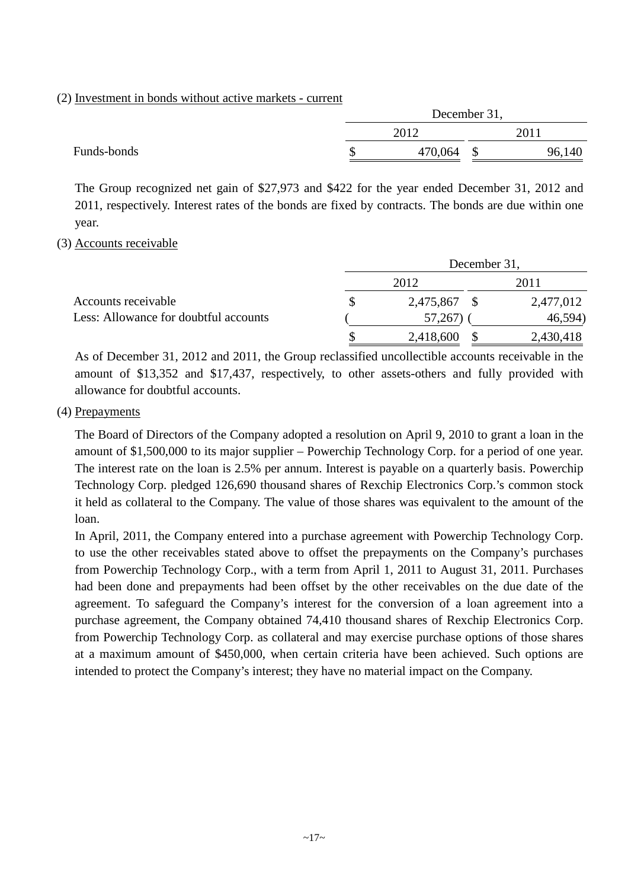#### (2) Investment in bonds without active markets - current

|             |      | December 31, |  |        |  |  |
|-------------|------|--------------|--|--------|--|--|
|             | 2012 |              |  | 2011   |  |  |
| Funds-bonds |      | 470,064      |  | 96,140 |  |  |

The Group recognized net gain of \$27,973 and \$422 for the year ended December 31, 2012 and 2011, respectively. Interest rates of the bonds are fixed by contracts. The bonds are due within one year.

#### (3) Accounts receivable

|                                       | December 31, |           |    |           |  |  |
|---------------------------------------|--------------|-----------|----|-----------|--|--|
| Accounts receivable                   |              | 2012      |    | 2011      |  |  |
|                                       |              | 2,475,867 | -8 | 2,477,012 |  |  |
| Less: Allowance for doubtful accounts |              | 57,267)   |    | 46,594)   |  |  |
|                                       |              | 2,418,600 |    | 2,430,418 |  |  |

As of December 31, 2012 and 2011, the Group reclassified uncollectible accounts receivable in the amount of \$13,352 and \$17,437, respectively, to other assets-others and fully provided with allowance for doubtful accounts.

#### (4) Prepayments

The Board of Directors of the Company adopted a resolution on April 9, 2010 to grant a loan in the amount of \$1,500,000 to its major supplier – Powerchip Technology Corp. for a period of one year. The interest rate on the loan is 2.5% per annum. Interest is payable on a quarterly basis. Powerchip Technology Corp. pledged 126,690 thousand shares of Rexchip Electronics Corp.'s common stock it held as collateral to the Company. The value of those shares was equivalent to the amount of the loan.

In April, 2011, the Company entered into a purchase agreement with Powerchip Technology Corp. to use the other receivables stated above to offset the prepayments on the Company's purchases from Powerchip Technology Corp., with a term from April 1, 2011 to August 31, 2011. Purchases had been done and prepayments had been offset by the other receivables on the due date of the agreement. To safeguard the Company's interest for the conversion of a loan agreement into a purchase agreement, the Company obtained 74,410 thousand shares of Rexchip Electronics Corp. from Powerchip Technology Corp. as collateral and may exercise purchase options of those shares at a maximum amount of \$450,000, when certain criteria have been achieved. Such options are intended to protect the Company's interest; they have no material impact on the Company.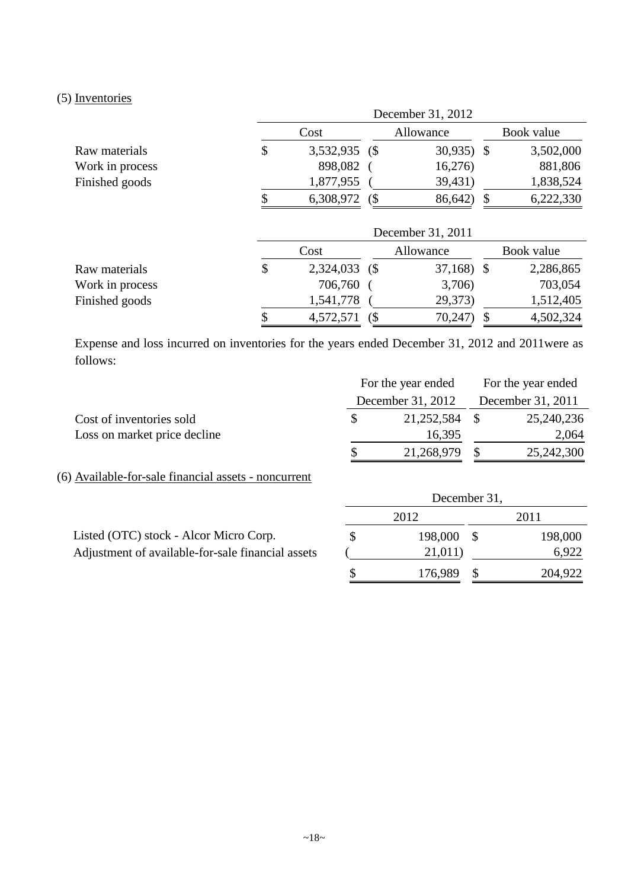## (5) Inventories

|                 |    | December 31, 2012 |  |             |  |            |  |  |  |
|-----------------|----|-------------------|--|-------------|--|------------|--|--|--|
|                 |    | Cost              |  | Allowance   |  | Book value |  |  |  |
| Raw materials   | \$ | 3,532,935 (\$     |  | $30,935$ \$ |  | 3,502,000  |  |  |  |
| Work in process |    | 898,082           |  | 16,276      |  | 881,806    |  |  |  |
| Finished goods  |    | 1,877,955         |  | 39,431)     |  | 1,838,524  |  |  |  |
|                 | S  | 6,308,972         |  | 86,642)     |  | 6,222,330  |  |  |  |

|                 |                      | December 31, 2011 |            |
|-----------------|----------------------|-------------------|------------|
|                 | Cost                 | Allowance         | Book value |
| Raw materials   | \$<br>2,324,033 (\$) | $37,168$ \$       | 2,286,865  |
| Work in process | 706,760              | 3,706)            | 703,054    |
| Finished goods  | 1,541,778            | 29,373)           | 1,512,405  |
|                 | 4,572,571            | 70,247            | 4,502,324  |

Expense and loss incurred on inventories for the years ended December 31, 2012 and 2011were as follows:

|                              | For the year ended |               |  | For the year ended |  |  |
|------------------------------|--------------------|---------------|--|--------------------|--|--|
|                              | December 31, 2012  |               |  | December 31, 2011  |  |  |
| Cost of inventories sold     |                    | 21,252,584 \$ |  | 25,240,236         |  |  |
| Loss on market price decline |                    | 16,395        |  | 2,064              |  |  |
|                              |                    | 21,268,979    |  | 25,242,300         |  |  |

(6) Available-for-sale financial assets - noncurrent

|                                                   | 2012    | 2011    |
|---------------------------------------------------|---------|---------|
| Listed (OTC) stock - Alcor Micro Corp.            | 198,000 | 198,000 |
| Adjustment of available-for-sale financial assets | 21,011) | 6,922   |
|                                                   | 176.989 | 204,922 |

December 31,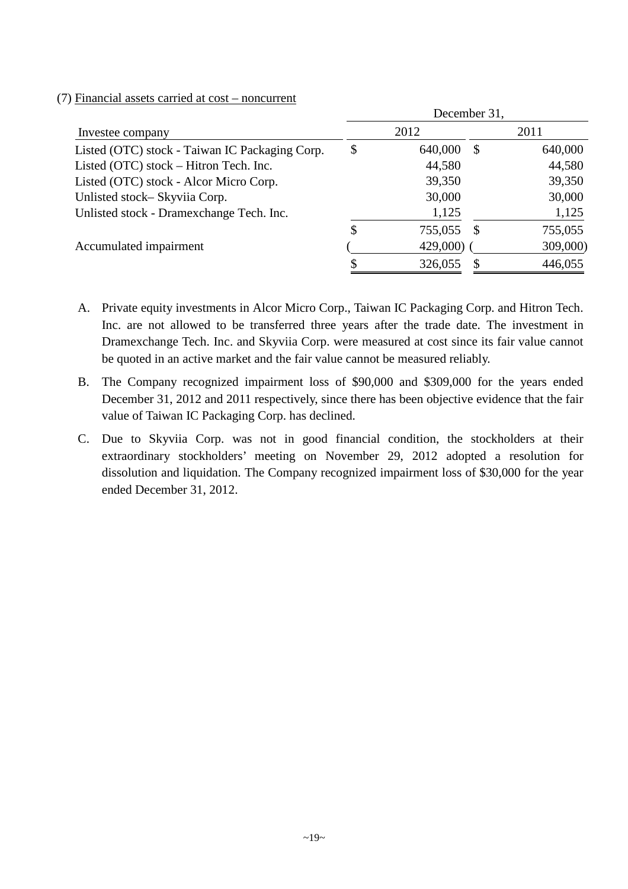|                                                | December 31, |             |          |          |  |  |  |
|------------------------------------------------|--------------|-------------|----------|----------|--|--|--|
| Investee company                               |              | 2012        |          | 2011     |  |  |  |
| Listed (OTC) stock - Taiwan IC Packaging Corp. | \$           | 640,000     | S        | 640,000  |  |  |  |
| Listed (OTC) stock – Hitron Tech. Inc.         |              | 44,580      |          | 44,580   |  |  |  |
| Listed (OTC) stock - Alcor Micro Corp.         |              | 39,350      |          | 39,350   |  |  |  |
| Unlisted stock-Skyviia Corp.                   |              | 30,000      |          | 30,000   |  |  |  |
| Unlisted stock - Dramexchange Tech. Inc.       |              | 1,125       |          | 1,125    |  |  |  |
|                                                | \$           | 755,055     | <b>S</b> | 755,055  |  |  |  |
| Accumulated impairment                         |              | $429,000$ ) |          | 309,000) |  |  |  |
|                                                |              | 326,055     |          | 446,055  |  |  |  |

### (7) Financial assets carried at cost – noncurrent

- A. Private equity investments in Alcor Micro Corp., Taiwan IC Packaging Corp. and Hitron Tech. Inc. are not allowed to be transferred three years after the trade date. The investment in Dramexchange Tech. Inc. and Skyviia Corp. were measured at cost since its fair value cannot be quoted in an active market and the fair value cannot be measured reliably.
- B. The Company recognized impairment loss of \$90,000 and \$309,000 for the years ended December 31, 2012 and 2011 respectively, since there has been objective evidence that the fair value of Taiwan IC Packaging Corp. has declined.
- C. Due to Skyviia Corp. was not in good financial condition, the stockholders at their extraordinary stockholders' meeting on November 29, 2012 adopted a resolution for dissolution and liquidation. The Company recognized impairment loss of \$30,000 for the year ended December 31, 2012.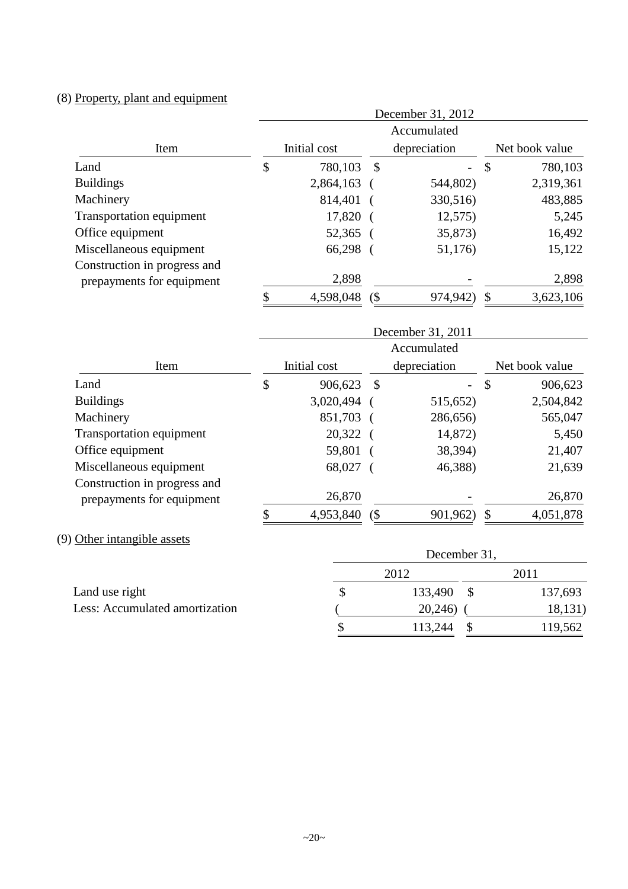# (8) Property, plant and equipment

|                                       | December 31, 2012 |              |               |                   |                |                           |  |
|---------------------------------------|-------------------|--------------|---------------|-------------------|----------------|---------------------------|--|
|                                       |                   |              |               | Accumulated       |                |                           |  |
| Item                                  |                   | Initial cost |               | depreciation      | Net book value |                           |  |
| Land                                  | \$                | 780,103      | $\mathcal{S}$ |                   | \$             | 780,103                   |  |
| <b>Buildings</b>                      |                   | 2,864,163    |               | 544,802)          |                | 2,319,361                 |  |
| Machinery                             |                   | 814,401      |               | 330,516)          |                | 483,885                   |  |
| <b>Transportation equipment</b>       |                   | 17,820       |               | 12,575            |                | 5,245                     |  |
| Office equipment                      |                   | 52,365       |               | 35,873)           |                | 16,492                    |  |
| Miscellaneous equipment               |                   | 66,298       |               | 51,176)           |                | 15,122                    |  |
| Construction in progress and          |                   |              |               |                   |                |                           |  |
| prepayments for equipment             |                   | 2,898        |               |                   |                | 2,898                     |  |
|                                       | \$                | 4,598,048    | $($ \$        | 974,942)          | \$             | 3,623,106                 |  |
|                                       |                   |              |               |                   |                |                           |  |
|                                       |                   |              |               | December 31, 2011 |                |                           |  |
|                                       |                   |              |               |                   |                |                           |  |
|                                       |                   |              |               | Accumulated       |                |                           |  |
| Item                                  |                   | Initial cost |               | depreciation      |                | Net book value            |  |
|                                       | \$                | 906,623      | $\mathcal{S}$ |                   | $\mathcal{S}$  | 906,623                   |  |
|                                       |                   | 3,020,494    |               | 515,652)          |                | 2,504,842                 |  |
| Land<br><b>Buildings</b><br>Machinery |                   | 851,703      |               | 286,656)          |                | 565,047                   |  |
| <b>Transportation equipment</b>       |                   | 20,322       |               | 14,872)           |                |                           |  |
| Office equipment                      |                   | 59,801       |               | 38,394)           |                |                           |  |
| Miscellaneous equipment               |                   | 68,027       |               | 46,388)           |                |                           |  |
| Construction in progress and          |                   |              |               |                   |                | 5,450<br>21,407<br>21,639 |  |
| prepayments for equipment             |                   | 26,870       |               |                   |                | 26,870                    |  |

|                                | December 31, |                 |         |  |  |  |  |  |
|--------------------------------|--------------|-----------------|---------|--|--|--|--|--|
|                                |              | 2012            | 2011    |  |  |  |  |  |
| Land use right                 |              | 133,490<br>- \$ | 137,693 |  |  |  |  |  |
| Less: Accumulated amortization |              | 20,246)         | 18,131) |  |  |  |  |  |
|                                |              | 113,244         | 119,562 |  |  |  |  |  |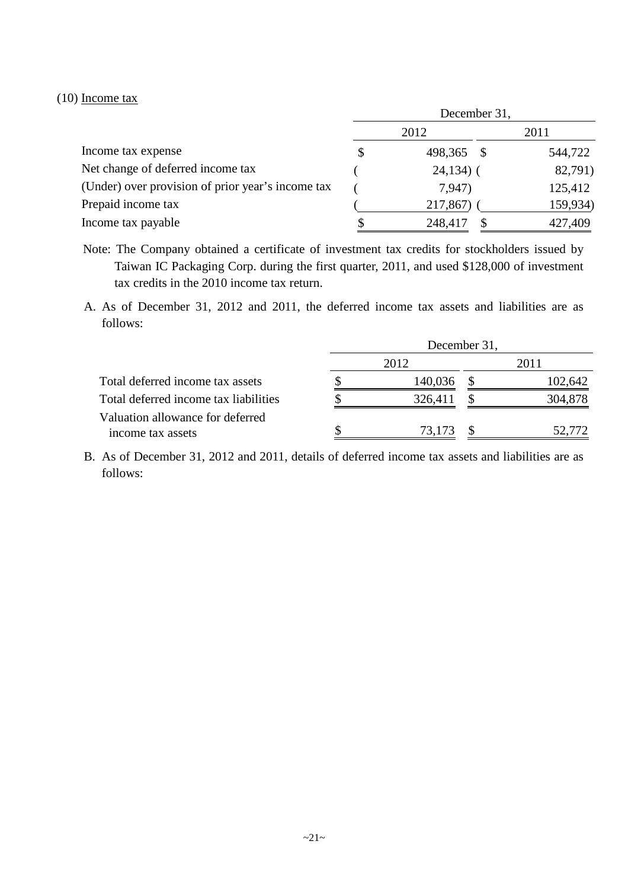#### (10) Income tax

|                                                   | December 31, |              |  |          |  |  |
|---------------------------------------------------|--------------|--------------|--|----------|--|--|
|                                                   |              | 2012         |  | 2011     |  |  |
| Income tax expense                                | \$           | 498,365 \$   |  | 544,722  |  |  |
| Net change of deferred income tax                 |              | $24,134$ ) ( |  | 82,791)  |  |  |
| (Under) over provision of prior year's income tax |              | 7,947)       |  | 125,412  |  |  |
| Prepaid income tax                                |              | 217,867)     |  | 159,934) |  |  |
| Income tax payable                                |              | 248,417      |  | 427,409  |  |  |

Note: The Company obtained a certificate of investment tax credits for stockholders issued by Taiwan IC Packaging Corp. during the first quarter, 2011, and used \$128,000 of investment tax credits in the 2010 income tax return.

A. As of December 31, 2012 and 2011, the deferred income tax assets and liabilities are as follows:

|                                       | December 31, |         |  |         |  |
|---------------------------------------|--------------|---------|--|---------|--|
|                                       |              | 2012    |  | 2011    |  |
| Total deferred income tax assets      |              | 140,036 |  | 102,642 |  |
| Total deferred income tax liabilities | S            | 326,411 |  | 304,878 |  |
| Valuation allowance for deferred      |              |         |  |         |  |
| income tax assets                     |              | 73,173  |  | 52,772  |  |

B. As of December 31, 2012 and 2011, details of deferred income tax assets and liabilities are as follows: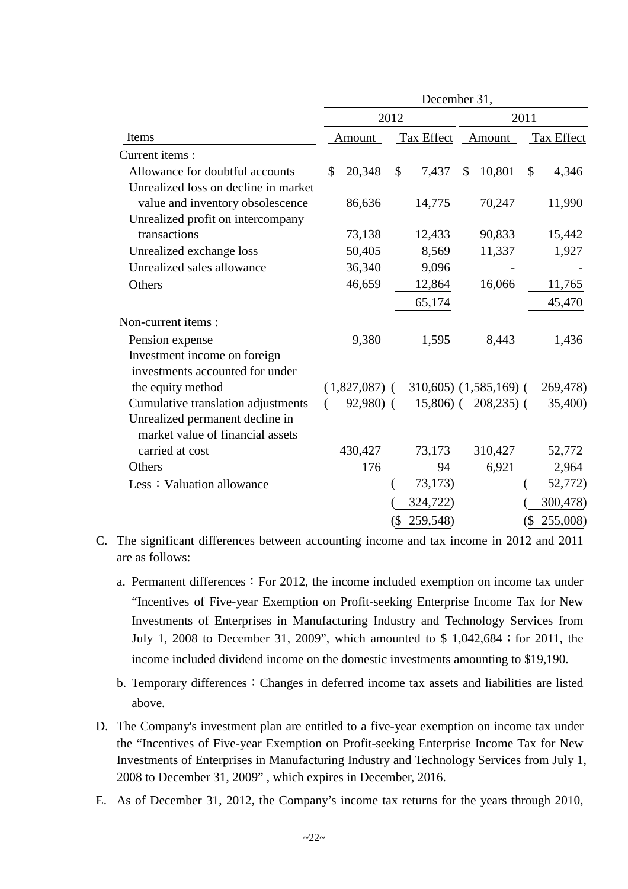|                                                                     |               |                 |        | December 31, |    |                           |        |            |
|---------------------------------------------------------------------|---------------|-----------------|--------|--------------|----|---------------------------|--------|------------|
|                                                                     |               | 2012            |        | 2011         |    |                           |        |            |
| Items                                                               |               | Amount          |        | Tax Effect   |    | Amount                    |        | Tax Effect |
| Current items:                                                      |               |                 |        |              |    |                           |        |            |
| Allowance for doubtful accounts                                     | $\mathcal{S}$ | 20,348          | \$     | 7,437        | \$ | 10,801                    | \$     | 4,346      |
| Unrealized loss on decline in market                                |               |                 |        |              |    |                           |        |            |
| value and inventory obsolescence                                    |               | 86,636          |        | 14,775       |    | 70,247                    |        | 11,990     |
| Unrealized profit on intercompany                                   |               |                 |        |              |    |                           |        |            |
| transactions                                                        |               | 73,138          |        | 12,433       |    | 90,833                    |        | 15,442     |
| Unrealized exchange loss                                            |               | 50,405          |        | 8,569        |    | 11,337                    |        | 1,927      |
| Unrealized sales allowance                                          |               | 36,340          |        | 9,096        |    |                           |        |            |
| Others                                                              |               | 46,659          |        | 12,864       |    | 16,066                    |        | 11,765     |
|                                                                     |               |                 |        | 65,174       |    |                           |        | 45,470     |
| Non-current items:                                                  |               |                 |        |              |    |                           |        |            |
| Pension expense                                                     |               | 9,380           |        | 1,595        |    | 8,443                     |        | 1,436      |
| Investment income on foreign                                        |               |                 |        |              |    |                           |        |            |
| investments accounted for under                                     |               |                 |        |              |    |                           |        |            |
| the equity method                                                   |               | $(1,827,087)$ ( |        |              |    | $310,605$ $(1,585,169)$ ( |        | 269,478)   |
| Cumulative translation adjustments                                  | $\left($      | 92,980) (       |        | $15,806$ (   |    | $208,235$ (               |        | 35,400)    |
| Unrealized permanent decline in<br>market value of financial assets |               |                 |        |              |    |                           |        |            |
| carried at cost                                                     |               | 430,427         |        | 73,173       |    | 310,427                   |        | 52,772     |
| Others                                                              |               | 176             |        | 94           |    | 6,921                     |        | 2,964      |
| Less: Valuation allowance                                           |               |                 |        | 73,173)      |    |                           |        | 52,772)    |
|                                                                     |               |                 |        | 324,722)     |    |                           |        | 300,478)   |
|                                                                     |               |                 | $($ \$ | 259,548)     |    |                           | $(\$)$ | 255,008)   |
|                                                                     |               |                 |        |              |    |                           |        |            |

- C. The significant differences between accounting income and tax income in 2012 and 2011 are as follows:
	- a. Permanent differences: For 2012, the income included exemption on income tax under "Incentives of Five-year Exemption on Profit-seeking Enterprise Income Tax for New Investments of Enterprises in Manufacturing Industry and Technology Services from July 1, 2008 to December 31, 2009", which amounted to \$ 1,042,684; for 2011, the income included dividend income on the domestic investments amounting to \$19,190.
	- b. Temporary differences: Changes in deferred income tax assets and liabilities are listed above.
- D. The Company's investment plan are entitled to a five-year exemption on income tax under the "Incentives of Five-year Exemption on Profit-seeking Enterprise Income Tax for New Investments of Enterprises in Manufacturing Industry and Technology Services from July 1, 2008 to December 31, 2009" , which expires in December, 2016.
- E. As of December 31, 2012, the Company's income tax returns for the years through 2010,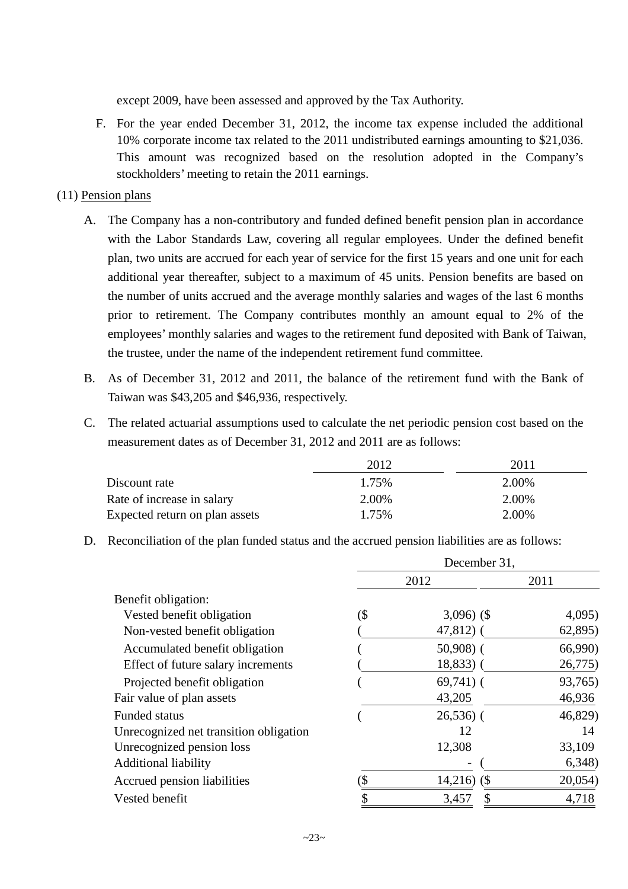except 2009, have been assessed and approved by the Tax Authority.

F. For the year ended December 31, 2012, the income tax expense included the additional 10% corporate income tax related to the 2011 undistributed earnings amounting to \$21,036. This amount was recognized based on the resolution adopted in the Company's stockholders' meeting to retain the 2011 earnings.

## (11) Pension plans

- A. The Company has a non-contributory and funded defined benefit pension plan in accordance with the Labor Standards Law, covering all regular employees. Under the defined benefit plan, two units are accrued for each year of service for the first 15 years and one unit for each additional year thereafter, subject to a maximum of 45 units. Pension benefits are based on the number of units accrued and the average monthly salaries and wages of the last 6 months prior to retirement. The Company contributes monthly an amount equal to 2% of the employees' monthly salaries and wages to the retirement fund deposited with Bank of Taiwan, the trustee, under the name of the independent retirement fund committee.
- B. As of December 31, 2012 and 2011, the balance of the retirement fund with the Bank of Taiwan was \$43,205 and \$46,936, respectively.
- C. The related actuarial assumptions used to calculate the net periodic pension cost based on the measurement dates as of December 31, 2012 and 2011 are as follows:

|                                | 2012  | 2011  |
|--------------------------------|-------|-------|
| Discount rate                  | 1.75% | 2.00% |
| Rate of increase in salary     | 2.00% | 2.00% |
| Expected return on plan assets | 1.75% | 2.00% |

D. Reconciliation of the plan funded status and the accrued pension liabilities are as follows:

|                                        | December 31, |                |         |  |  |  |
|----------------------------------------|--------------|----------------|---------|--|--|--|
|                                        | 2012         |                | 2011    |  |  |  |
| Benefit obligation:                    |              |                |         |  |  |  |
| Vested benefit obligation              | (\$          | $3,096)$ (\$)  | 4,095)  |  |  |  |
| Non-vested benefit obligation          |              | $47,812$ (     | 62,895) |  |  |  |
| Accumulated benefit obligation         |              | $50,908$ (     | 66,990) |  |  |  |
| Effect of future salary increments     |              | $18,833$ ) (   | 26,775) |  |  |  |
| Projected benefit obligation           |              | $69,741$ ) (   | 93,765) |  |  |  |
| Fair value of plan assets              |              | 43,205         | 46,936  |  |  |  |
| <b>Funded status</b>                   |              | $26,536$ (     | 46,829) |  |  |  |
| Unrecognized net transition obligation |              | 12             | 14      |  |  |  |
| Unrecognized pension loss              |              | 12,308         | 33,109  |  |  |  |
| <b>Additional liability</b>            |              |                | 6,348   |  |  |  |
| Accrued pension liabilities            |              | $14,216)$ (\$) | 20,054  |  |  |  |
| Vested benefit                         |              | 3,457<br>JЭ    | 4,718   |  |  |  |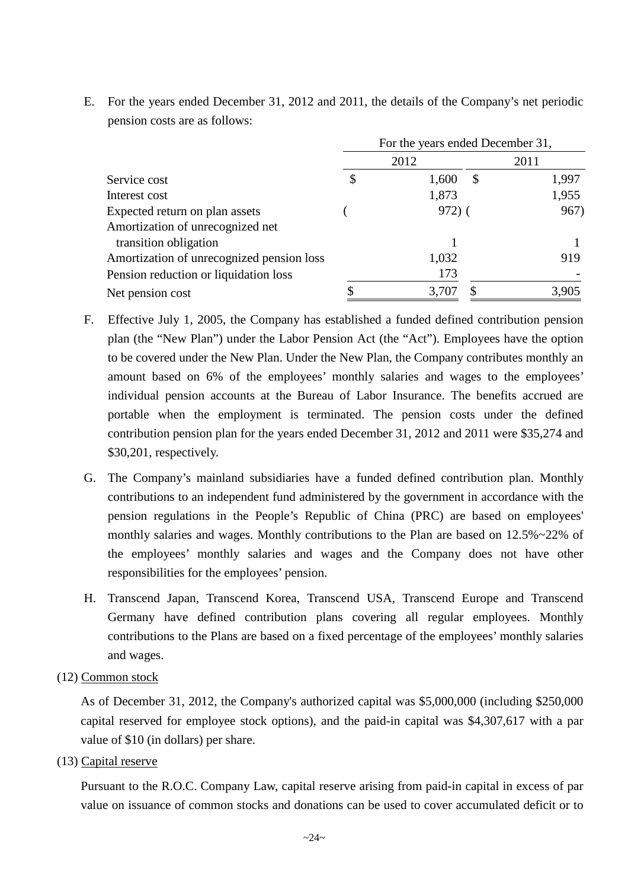- 2012 2011 Service cost \$ 1,600 \$ 1,997 Interest cost  $1,873$   $1,955$ Expected return on plan assets (972) (967) Amortization of unrecognized net transition obligation 1 1 Amortization of unrecognized pension loss 1,032 919 Pension reduction or liquidation loss 173 Net pension cost  $\qquad$   $\qquad$   $\qquad$   $\qquad$   $\qquad$   $\qquad$   $\qquad$   $\qquad$   $\qquad$   $\qquad$   $\qquad$   $\qquad$   $\qquad$   $\qquad$   $\qquad$   $\qquad$   $\qquad$   $\qquad$   $\qquad$   $\qquad$   $\qquad$   $\qquad$   $\qquad$   $\qquad$   $\qquad$   $\qquad$   $\qquad$   $\qquad$   $\qquad$   $\qquad$   $\qquad$   $\qquad$   $\qquad$   $\qquad$  For the years ended December 31,
- E. For the years ended December 31, 2012 and 2011, the details of the Company's net periodic pension costs are as follows:

- F. Effective July 1, 2005, the Company has established a funded defined contribution pension plan (the "New Plan") under the Labor Pension Act (the "Act"). Employees have the option to be covered under the New Plan. Under the New Plan, the Company contributes monthly an amount based on 6% of the employees' monthly salaries and wages to the employees' individual pension accounts at the Bureau of Labor Insurance. The benefits accrued are portable when the employment is terminated. The pension costs under the defined contribution pension plan for the years ended December 31, 2012 and 2011 were \$35,274 and \$30,201, respectively.
- G. The Company's mainland subsidiaries have a funded defined contribution plan. Monthly contributions to an independent fund administered by the government in accordance with the pension regulations in the People's Republic of China (PRC) are based on employees' monthly salaries and wages. Monthly contributions to the Plan are based on 12.5%~22% of the employees' monthly salaries and wages and the Company does not have other responsibilities for the employees' pension.
- H. Transcend Japan, Transcend Korea, Transcend USA, Transcend Europe and Transcend Germany have defined contribution plans covering all regular employees. Monthly contributions to the Plans are based on a fixed percentage of the employees' monthly salaries and wages.
- (12) Common stock

As of December 31, 2012, the Company's authorized capital was \$5,000,000 (including \$250,000 capital reserved for employee stock options), and the paid-in capital was \$4,307,617 with a par value of \$10 (in dollars) per share.

(13) Capital reserve

Pursuant to the R.O.C. Company Law, capital reserve arising from paid-in capital in excess of par value on issuance of common stocks and donations can be used to cover accumulated deficit or to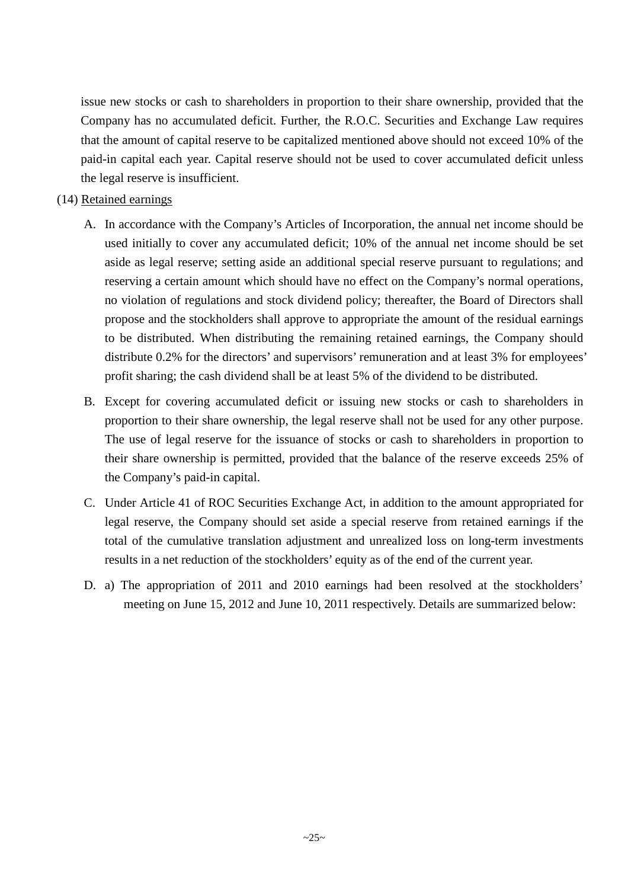issue new stocks or cash to shareholders in proportion to their share ownership, provided that the Company has no accumulated deficit. Further, the R.O.C. Securities and Exchange Law requires that the amount of capital reserve to be capitalized mentioned above should not exceed 10% of the paid-in capital each year. Capital reserve should not be used to cover accumulated deficit unless the legal reserve is insufficient.

## (14) Retained earnings

- A. In accordance with the Company's Articles of Incorporation, the annual net income should be used initially to cover any accumulated deficit; 10% of the annual net income should be set aside as legal reserve; setting aside an additional special reserve pursuant to regulations; and reserving a certain amount which should have no effect on the Company's normal operations, no violation of regulations and stock dividend policy; thereafter, the Board of Directors shall propose and the stockholders shall approve to appropriate the amount of the residual earnings to be distributed. When distributing the remaining retained earnings, the Company should distribute 0.2% for the directors' and supervisors' remuneration and at least 3% for employees' profit sharing; the cash dividend shall be at least 5% of the dividend to be distributed.
- B. Except for covering accumulated deficit or issuing new stocks or cash to shareholders in proportion to their share ownership, the legal reserve shall not be used for any other purpose. The use of legal reserve for the issuance of stocks or cash to shareholders in proportion to their share ownership is permitted, provided that the balance of the reserve exceeds 25% of the Company's paid-in capital.
- C. Under Article 41 of ROC Securities Exchange Act, in addition to the amount appropriated for legal reserve, the Company should set aside a special reserve from retained earnings if the total of the cumulative translation adjustment and unrealized loss on long-term investments results in a net reduction of the stockholders' equity as of the end of the current year.
- D. a) The appropriation of 2011 and 2010 earnings had been resolved at the stockholders' meeting on June 15, 2012 and June 10, 2011 respectively. Details are summarized below: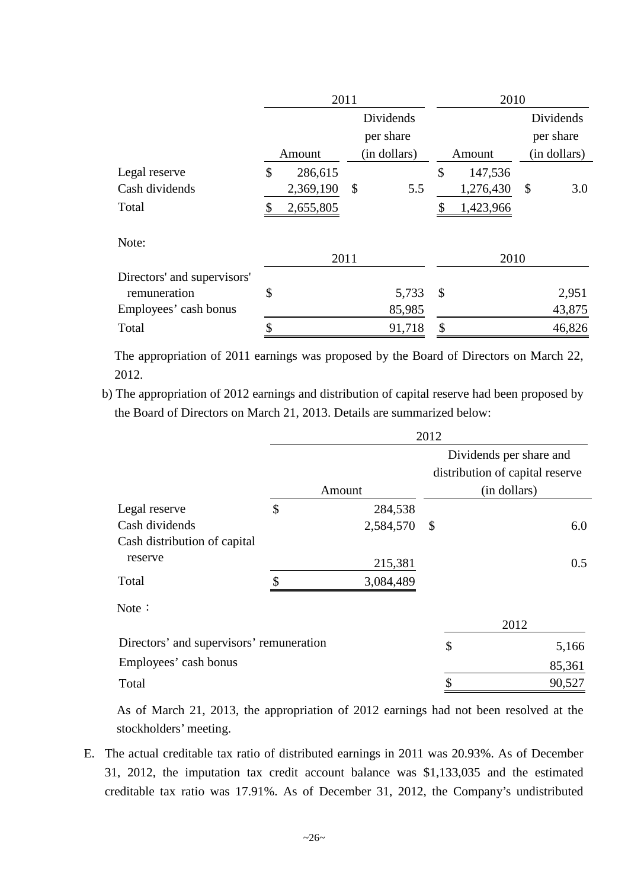|                             | 2011 |           |    | 2010         |               |           |    |           |  |              |
|-----------------------------|------|-----------|----|--------------|---------------|-----------|----|-----------|--|--------------|
|                             |      |           |    | Dividends    |               |           |    | Dividends |  |              |
|                             |      |           |    | per share    |               |           |    | per share |  |              |
|                             |      | Amount    |    | (in dollars) |               | Amount    |    |           |  | (in dollars) |
| Legal reserve               | \$   | 286,615   |    |              | $\mathcal{S}$ | 147,536   |    |           |  |              |
| Cash dividends              |      | 2,369,190 | \$ | 5.5          |               | 1,276,430 | \$ | 3.0       |  |              |
| Total                       |      | 2,655,805 |    |              |               | 1,423,966 |    |           |  |              |
| Note:                       |      |           |    |              |               |           |    |           |  |              |
|                             |      | 2011      |    |              |               | 2010      |    |           |  |              |
| Directors' and supervisors' |      |           |    |              |               |           |    |           |  |              |
| remuneration                | \$   |           |    | 5,733        | \$            |           |    | 2,951     |  |              |
| Employees' cash bonus       |      |           |    | 85,985       |               |           |    | 43,875    |  |              |
| Total                       | ¢    |           |    | 91,718       | \$            |           |    | 46,826    |  |              |

The appropriation of 2011 earnings was proposed by the Board of Directors on March 22, 2012.

b) The appropriation of 2012 earnings and distribution of capital reserve had been proposed by the Board of Directors on March 21, 2013. Details are summarized below:

|                                          | 2012 |           |                            |                                                            |  |  |  |
|------------------------------------------|------|-----------|----------------------------|------------------------------------------------------------|--|--|--|
|                                          |      |           |                            | Dividends per share and<br>distribution of capital reserve |  |  |  |
|                                          |      | Amount    |                            | (in dollars)                                               |  |  |  |
| Legal reserve                            | \$   | 284,538   |                            |                                                            |  |  |  |
| Cash dividends                           |      | 2,584,570 | $\boldsymbol{\mathcal{S}}$ | 6.0                                                        |  |  |  |
| Cash distribution of capital             |      |           |                            |                                                            |  |  |  |
| reserve                                  |      | 215,381   |                            | 0.5                                                        |  |  |  |
| Total                                    | \$   | 3,084,489 |                            |                                                            |  |  |  |
| Note:                                    |      |           |                            |                                                            |  |  |  |
|                                          |      |           |                            | 2012                                                       |  |  |  |
| Directors' and supervisors' remuneration |      |           | \$                         | 5,166                                                      |  |  |  |
| Employees' cash bonus                    |      |           |                            | 85,361                                                     |  |  |  |
| Total                                    |      |           | \$                         | 90,527                                                     |  |  |  |

As of March 21, 2013, the appropriation of 2012 earnings had not been resolved at the stockholders' meeting.

E. The actual creditable tax ratio of distributed earnings in 2011 was 20.93%. As of December 31, 2012, the imputation tax credit account balance was \$1,133,035 and the estimated creditable tax ratio was 17.91%. As of December 31, 2012, the Company's undistributed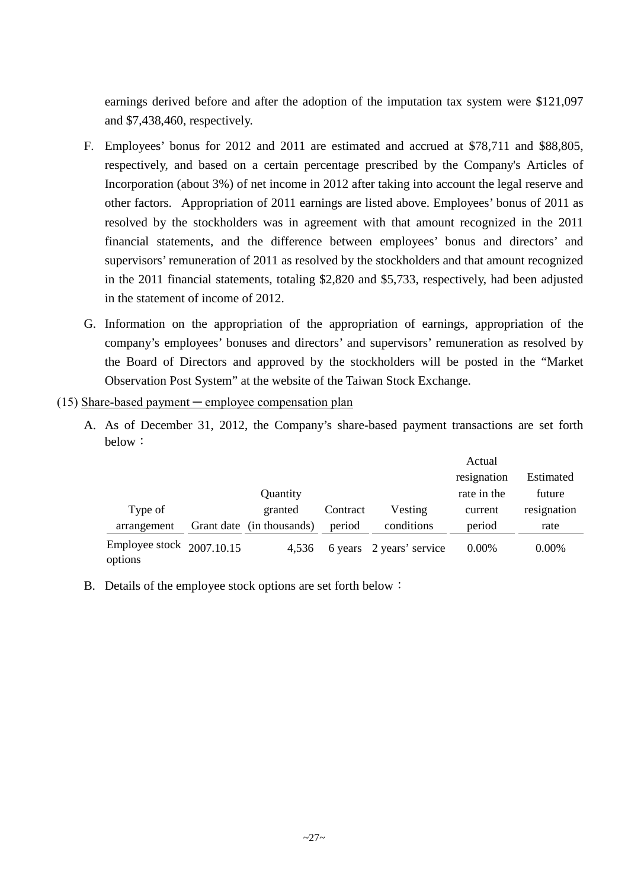earnings derived before and after the adoption of the imputation tax system were \$121,097 and \$7,438,460, respectively.

- F. Employees' bonus for 2012 and 2011 are estimated and accrued at \$78,711 and \$88,805, respectively, and based on a certain percentage prescribed by the Company's Articles of Incorporation (about 3%) of net income in 2012 after taking into account the legal reserve and other factors. Appropriation of 2011 earnings are listed above. Employees' bonus of 2011 as resolved by the stockholders was in agreement with that amount recognized in the 2011 financial statements, and the difference between employees' bonus and directors' and supervisors' remuneration of 2011 as resolved by the stockholders and that amount recognized in the 2011 financial statements, totaling \$2,820 and \$5,733, respectively, had been adjusted in the statement of income of 2012.
- G. Information on the appropriation of the appropriation of earnings, appropriation of the company's employees' bonuses and directors' and supervisors' remuneration as resolved by the Board of Directors and approved by the stockholders will be posted in the "Market Observation Post System" at the website of the Taiwan Stock Exchange.

#### $(15)$  Share-based payment — employee compensation plan

A. As of December 31, 2012, the Company's share-based payment transactions are set forth below:

|                                        |                           |          |                          | Actual      |             |
|----------------------------------------|---------------------------|----------|--------------------------|-------------|-------------|
|                                        |                           |          |                          | resignation | Estimated   |
|                                        | Quantity                  |          |                          | rate in the | future      |
| Type of                                | granted                   | Contract | Vesting                  | current     | resignation |
| arrangement                            | Grant date (in thousands) | period   | conditions               | period      | rate        |
| Employee stock $2007.10.15$<br>options | 4.536                     |          | 6 years 2 years' service | $0.00\%$    | 0.00%       |

B. Details of the employee stock options are set forth below: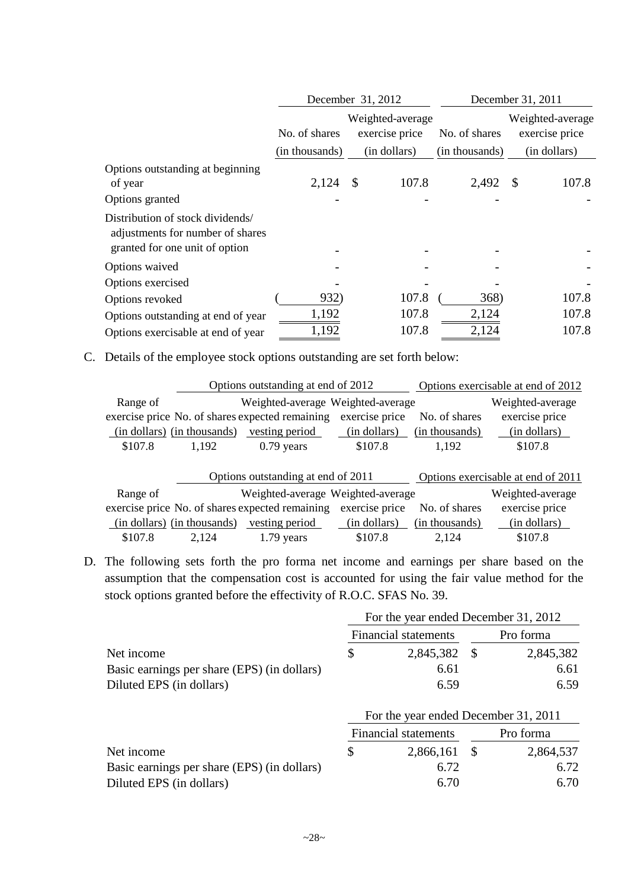|                                                                                                        |                                                     | December 31, 2012     | December 31, 2011 |                                    |  |  |
|--------------------------------------------------------------------------------------------------------|-----------------------------------------------------|-----------------------|-------------------|------------------------------------|--|--|
|                                                                                                        | Weighted-average<br>exercise price<br>No. of shares |                       | No. of shares     | Weighted-average<br>exercise price |  |  |
|                                                                                                        | (in thousands)                                      | (in dollars)          | (in thousands)    | (in dollars)                       |  |  |
| Options outstanding at beginning<br>of year<br>Options granted                                         | 2,124                                               | 107.8<br>$\mathbb{S}$ | 2,492             | 107.8<br>\$                        |  |  |
| Distribution of stock dividends/<br>adjustments for number of shares<br>granted for one unit of option |                                                     |                       |                   |                                    |  |  |
| Options waived                                                                                         |                                                     |                       |                   |                                    |  |  |
| Options exercised                                                                                      |                                                     |                       |                   |                                    |  |  |
| Options revoked                                                                                        | 932)                                                | 107.8                 | 368)              | 107.8                              |  |  |
| Options outstanding at end of year                                                                     | 1,192                                               | 107.8                 | 2,124             | 107.8                              |  |  |
| Options exercisable at end of year                                                                     | 1,192                                               | 107.8                 | 2,124             | 107.8                              |  |  |

C. Details of the employee stock options outstanding are set forth below:

|                             |                                   | Options outstanding at end of 2012              |                | Options exercisable at end of 2012 |                                    |  |
|-----------------------------|-----------------------------------|-------------------------------------------------|----------------|------------------------------------|------------------------------------|--|
| Range of                    | Weighted-average Weighted-average |                                                 |                |                                    |                                    |  |
|                             |                                   | exercise price No. of shares expected remaining | exercise price | No. of shares                      | exercise price                     |  |
| (in dollars) (in thousands) |                                   | vesting period                                  | (in dollars)   | (in thousands)                     | (in dollars)                       |  |
| \$107.8                     | 1,192                             | $0.79$ years                                    | \$107.8        | 1,192                              | \$107.8                            |  |
|                             |                                   |                                                 |                |                                    |                                    |  |
|                             |                                   | Options outstanding at end of 2011              |                |                                    | Options exercisable at end of 2011 |  |
| Range of                    |                                   | Weighted-average Weighted-average               |                |                                    | Weighted-average                   |  |
|                             |                                   | exercise price No. of shares expected remaining | exercise price | No. of shares                      | exercise price                     |  |
| (in dollars) (in thousands) |                                   | vesting period                                  | (in dollars)   | (in thousands)                     | (in dollars)                       |  |
| \$107.8                     | 2,124                             | $1.79$ years                                    | \$107.8        | 2,124                              | \$107.8                            |  |

D. The following sets forth the pro forma net income and earnings per share based on the assumption that the compensation cost is accounted for using the fair value method for the stock options granted before the effectivity of R.O.C. SFAS No. 39.

|                                             | For the year ended December 31, 2012 |                             |           |                                      |  |  |  |
|---------------------------------------------|--------------------------------------|-----------------------------|-----------|--------------------------------------|--|--|--|
|                                             |                                      | <b>Financial statements</b> | Pro forma |                                      |  |  |  |
| Net income                                  | \$                                   | 2,845,382                   | - \$      | 2,845,382                            |  |  |  |
| Basic earnings per share (EPS) (in dollars) |                                      | 6.61                        |           | 6.61                                 |  |  |  |
| Diluted EPS (in dollars)                    |                                      | 6.59                        |           | 6.59                                 |  |  |  |
|                                             |                                      |                             |           | For the year ended December 31, 2011 |  |  |  |
|                                             | <b>Financial statements</b>          |                             | Pro forma |                                      |  |  |  |
| Net income                                  | \$                                   | 2,866,161                   | -S        | 2,864,537                            |  |  |  |
| Basic earnings per share (EPS) (in dollars) |                                      | 6.72                        |           | 6.72                                 |  |  |  |
| Diluted EPS (in dollars)                    |                                      | 6.70                        |           | 6.70                                 |  |  |  |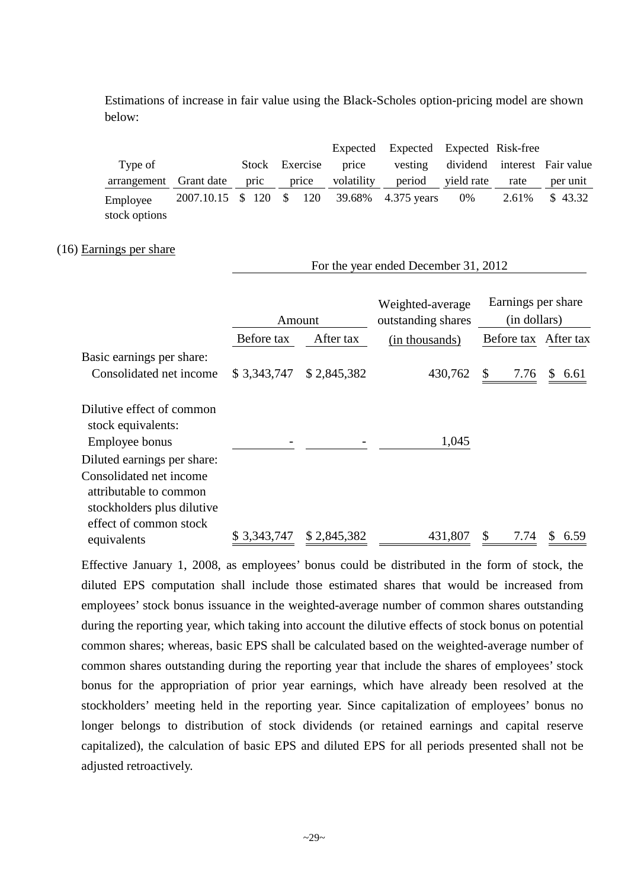Estimations of increase in fair value using the Black-Scholes option-pricing model are shown below:

|                           |      |                |            | Expected Expected Expected Risk-free        |            |       |                                      |
|---------------------------|------|----------------|------------|---------------------------------------------|------------|-------|--------------------------------------|
| Type of                   |      | Stock Exercise | price      |                                             |            |       | vesting dividend interest Fair value |
| arrangement Grant date    | pric | price          | volatility | period                                      | yield rate | rate  | per unit                             |
| Employee<br>stock options |      |                |            | 2007.10.15 \$ 120 \$ 120 39.68% 4.375 years | 0%         | 2.61% | \$43.32                              |

For the year ended December 31, 2012

#### (16) Earnings per share

|                                                                                                                             |             | Amount      | Weighted-average<br>outstanding shares | Earnings per share<br>(in dollars) |            |
|-----------------------------------------------------------------------------------------------------------------------------|-------------|-------------|----------------------------------------|------------------------------------|------------|
|                                                                                                                             | Before tax  | After tax   | (in thousands)                         | Before tax After tax               |            |
| Basic earnings per share:<br>Consolidated net income                                                                        | \$3,343,747 | \$2,845,382 | 430,762                                | \$<br>7.76                         | \$<br>6.61 |
| Dilutive effect of common<br>stock equivalents:<br>Employee bonus<br>Diluted earnings per share:<br>Consolidated net income |             |             | 1,045                                  |                                    |            |
| attributable to common<br>stockholders plus dilutive<br>effect of common stock<br>equivalents                               | \$3,343,747 | \$2,845,382 | 431,807                                | \$<br>7.74                         | 6.59<br>S. |

Effective January 1, 2008, as employees' bonus could be distributed in the form of stock, the diluted EPS computation shall include those estimated shares that would be increased from employees' stock bonus issuance in the weighted-average number of common shares outstanding during the reporting year, which taking into account the dilutive effects of stock bonus on potential common shares; whereas, basic EPS shall be calculated based on the weighted-average number of common shares outstanding during the reporting year that include the shares of employees' stock bonus for the appropriation of prior year earnings, which have already been resolved at the stockholders' meeting held in the reporting year. Since capitalization of employees' bonus no longer belongs to distribution of stock dividends (or retained earnings and capital reserve capitalized), the calculation of basic EPS and diluted EPS for all periods presented shall not be adjusted retroactively.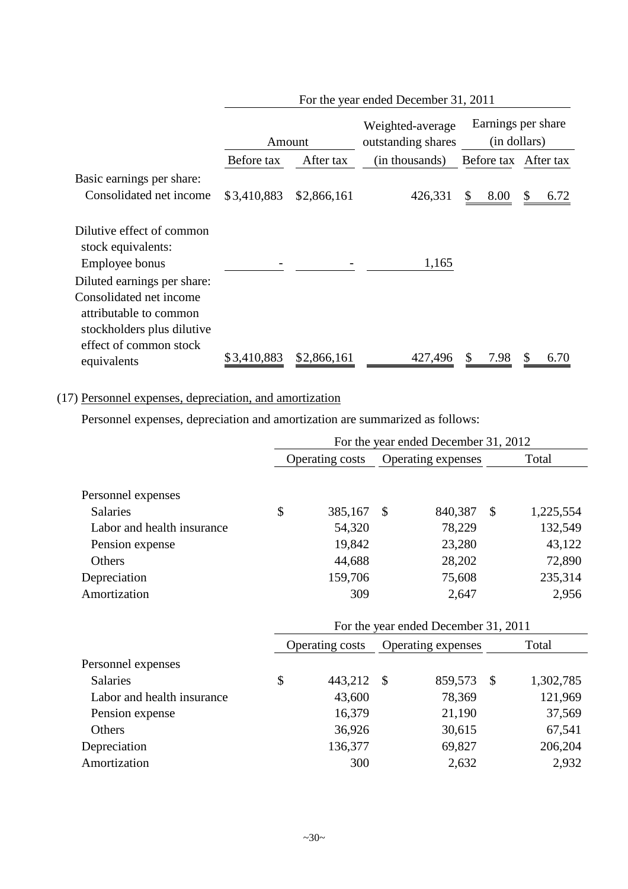|                                                                                                           |             | For the year ended December 31, 2011 |                                        |                      |                    |  |  |  |  |
|-----------------------------------------------------------------------------------------------------------|-------------|--------------------------------------|----------------------------------------|----------------------|--------------------|--|--|--|--|
|                                                                                                           | Amount      |                                      | Weighted-average<br>outstanding shares | (in dollars)         | Earnings per share |  |  |  |  |
|                                                                                                           | Before tax  | After tax                            | (in thousands)                         | Before tax After tax |                    |  |  |  |  |
| Basic earnings per share:                                                                                 |             |                                      |                                        |                      |                    |  |  |  |  |
| Consolidated net income                                                                                   | \$3,410,883 | \$2,866,161                          | 426,331                                | 8.00<br>\$           | \$<br>6.72         |  |  |  |  |
| Dilutive effect of common<br>stock equivalents:<br>Employee bonus<br>Diluted earnings per share:          |             |                                      | 1,165                                  |                      |                    |  |  |  |  |
| Consolidated net income<br>attributable to common<br>stockholders plus dilutive<br>effect of common stock |             |                                      |                                        |                      |                    |  |  |  |  |
| equivalents                                                                                               | \$3,410,883 | \$2,866,161                          | 427,496                                | 7.98                 | \$<br>6.70         |  |  |  |  |

# (17) Personnel expenses, depreciation, and amortization

Personnel expenses, depreciation and amortization are summarized as follows:

|                            | For the year ended December 31, 2012 |                        |                    |                                      |               |           |  |
|----------------------------|--------------------------------------|------------------------|--------------------|--------------------------------------|---------------|-----------|--|
|                            |                                      | Operating costs        |                    | Operating expenses                   |               | Total     |  |
|                            |                                      |                        |                    |                                      |               |           |  |
| Personnel expenses         |                                      |                        |                    |                                      |               |           |  |
| <b>Salaries</b>            | \$                                   | 385,167                | $\mathcal{S}$      | 840,387                              | $\mathcal{S}$ | 1,225,554 |  |
| Labor and health insurance |                                      | 54,320                 |                    | 78,229                               |               | 132,549   |  |
| Pension expense            |                                      | 19,842                 |                    | 23,280                               |               | 43,122    |  |
| Others                     |                                      | 44,688                 |                    | 28,202                               |               | 72,890    |  |
| Depreciation               |                                      | 159,706                |                    | 75,608                               |               | 235,314   |  |
| Amortization               |                                      | 309                    |                    | 2,647                                |               | 2,956     |  |
|                            |                                      |                        |                    | For the year ended December 31, 2011 |               |           |  |
|                            |                                      | <b>Operating costs</b> | Operating expenses |                                      |               | Total     |  |
| Personnel expenses         |                                      |                        |                    |                                      |               |           |  |
| <b>Salaries</b>            | $\mathcal{S}$                        | 443,212                | $\mathcal{S}$      | 859,573                              | $\mathcal{S}$ | 1,302,785 |  |
| Labor and health insurance |                                      | 43,600                 |                    | 78,369                               |               | 121,969   |  |
| Pension expense            |                                      | 16,379                 |                    | 21,190                               |               | 37,569    |  |
| Others                     |                                      | 36,926                 |                    | 30,615                               |               | 67,541    |  |
| Depreciation               |                                      | 136,377                |                    | 69,827                               |               | 206,204   |  |
| Amortization               |                                      | 300                    |                    | 2,632                                |               | 2,932     |  |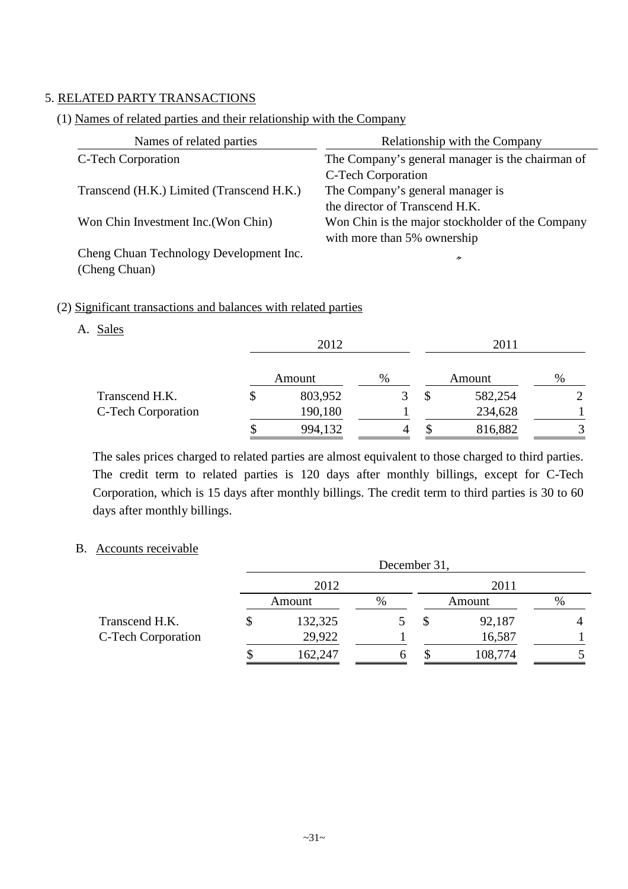# 5. RELATED PARTY TRANSACTIONS

# (1) Names of related parties and their relationship with the Company

| Names of related parties                  | Relationship with the Company                    |
|-------------------------------------------|--------------------------------------------------|
| C-Tech Corporation                        | The Company's general manager is the chairman of |
|                                           | C-Tech Corporation                               |
| Transcend (H.K.) Limited (Transcend H.K.) | The Company's general manager is                 |
|                                           | the director of Transcend H.K.                   |
| Won Chin Investment Inc. (Won Chin)       | Won Chin is the major stockholder of the Company |
|                                           | with more than 5% ownership                      |
| Cheng Chuan Technology Development Inc.   | 〃                                                |

# (2) Significant transactions and balances with related parties

## A. Sales

(Cheng Chuan)

|                    | 2012    |   |    | 2011    |   |  |
|--------------------|---------|---|----|---------|---|--|
|                    | Amount  | % |    | Amount  | % |  |
| Transcend H.K.     | 803,952 |   | \$ | 582,254 |   |  |
| C-Tech Corporation | 190,180 |   |    | 234,628 |   |  |
|                    | 994,132 |   |    | 816,882 |   |  |

The sales prices charged to related parties are almost equivalent to those charged to third parties. The credit term to related parties is 120 days after monthly billings, except for C-Tech Corporation, which is 15 days after monthly billings. The credit term to third parties is 30 to 60 days after monthly billings.

### B. Accounts receivable

|                    | December 31,  |   |  |         |   |  |  |  |
|--------------------|---------------|---|--|---------|---|--|--|--|
|                    | 2012          |   |  | 2011    |   |  |  |  |
|                    | Amount        | % |  | Amount  | % |  |  |  |
| Transcend H.K.     | \$<br>132,325 |   |  | 92,187  |   |  |  |  |
| C-Tech Corporation | 29,922        |   |  | 16,587  |   |  |  |  |
|                    | 162,247       |   |  | 108,774 |   |  |  |  |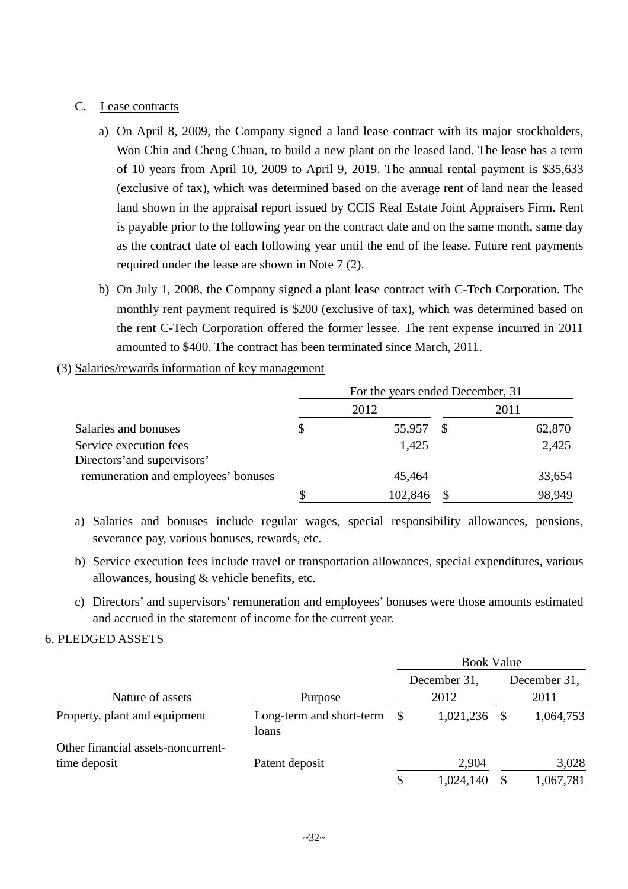## C. Lease contracts

- a) On April 8, 2009, the Company signed a land lease contract with its major stockholders, Won Chin and Cheng Chuan, to build a new plant on the leased land. The lease has a term of 10 years from April 10, 2009 to April 9, 2019. The annual rental payment is \$35,633 (exclusive of tax), which was determined based on the average rent of land near the leased land shown in the appraisal report issued by CCIS Real Estate Joint Appraisers Firm. Rent is payable prior to the following year on the contract date and on the same month, same day as the contract date of each following year until the end of the lease. Future rent payments required under the lease are shown in Note 7 (2).
- b) On July 1, 2008, the Company signed a plant lease contract with C-Tech Corporation. The monthly rent payment required is \$200 (exclusive of tax), which was determined based on the rent C-Tech Corporation offered the former lessee. The rent expense incurred in 2011 amounted to \$400. The contract has been terminated since March, 2011.
- (3) Salaries/rewards information of key management

|                                     | For the years ended December, 31 |         |  |        |  |  |  |
|-------------------------------------|----------------------------------|---------|--|--------|--|--|--|
|                                     |                                  | 2012    |  | 2011   |  |  |  |
| Salaries and bonuses                | S                                | 55,957  |  | 62,870 |  |  |  |
| Service execution fees              |                                  | 1,425   |  | 2,425  |  |  |  |
| Directors' and supervisors'         |                                  |         |  |        |  |  |  |
| remuneration and employees' bonuses |                                  | 45,464  |  | 33,654 |  |  |  |
|                                     |                                  | 102,846 |  | 98,949 |  |  |  |

a) Salaries and bonuses include regular wages, special responsibility allowances, pensions, severance pay, various bonuses, rewards, etc.

- b) Service execution fees include travel or transportation allowances, special expenditures, various allowances, housing & vehicle benefits, etc.
- c) Directors' and supervisors' remuneration and employees' bonuses were those amounts estimated and accrued in the statement of income for the current year.

#### 6. PLEDGED ASSETS

|                                    |                                   |    | <b>Book Value</b> |              |           |  |
|------------------------------------|-----------------------------------|----|-------------------|--------------|-----------|--|
|                                    |                                   |    | December 31,      | December 31, |           |  |
| Nature of assets                   | Purpose                           |    | 2012              |              | 2011      |  |
| Property, plant and equipment      | Long-term and short-term<br>loans | -S | 1,021,236         |              | 1,064,753 |  |
| Other financial assets-noncurrent- |                                   |    |                   |              |           |  |
| time deposit                       | Patent deposit                    |    | 2,904             |              | 3,028     |  |
|                                    |                                   | \$ | 1,024,140         |              | 1,067,781 |  |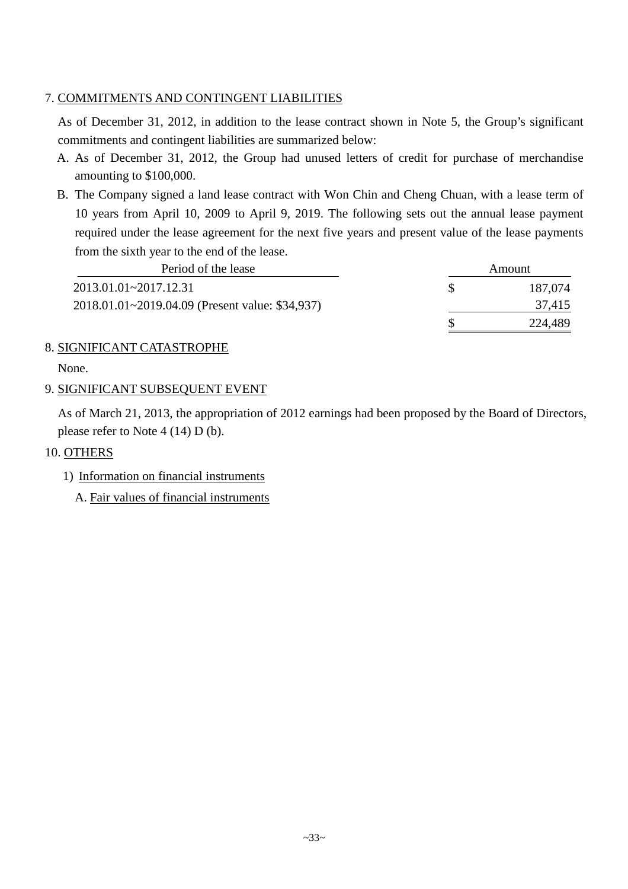# 7. COMMITMENTS AND CONTINGENT LIABILITIES

As of December 31, 2012, in addition to the lease contract shown in Note 5, the Group's significant commitments and contingent liabilities are summarized below:

- A. As of December 31, 2012, the Group had unused letters of credit for purchase of merchandise amounting to \$100,000.
- B. The Company signed a land lease contract with Won Chin and Cheng Chuan, with a lease term of 10 years from April 10, 2009 to April 9, 2019. The following sets out the annual lease payment required under the lease agreement for the next five years and present value of the lease payments from the sixth year to the end of the lease.

| Period of the lease                             | Amount  |
|-------------------------------------------------|---------|
| 2013.01.01~2017.12.31                           | 187,074 |
| 2018.01.01~2019.04.09 (Present value: \$34,937) | 37,415  |
|                                                 | 224,489 |

# 8. SIGNIFICANT CATASTROPHE

None.

# 9. SIGNIFICANT SUBSEQUENT EVENT

As of March 21, 2013, the appropriation of 2012 earnings had been proposed by the Board of Directors, please refer to Note 4 (14) D (b).

# 10. OTHERS

- 1) Information on financial instruments
	- A. Fair values of financial instruments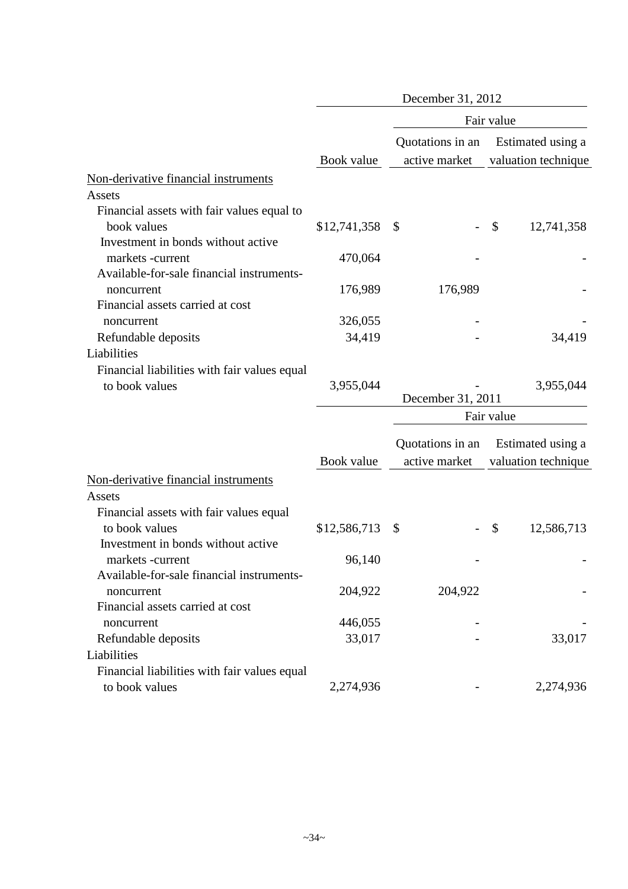|                                              |              | December 31, 2012                 |                                          |
|----------------------------------------------|--------------|-----------------------------------|------------------------------------------|
|                                              |              |                                   | Fair value                               |
|                                              | Book value   | Quotations in an<br>active market | Estimated using a<br>valuation technique |
| Non-derivative financial instruments         |              |                                   |                                          |
| Assets                                       |              |                                   |                                          |
| Financial assets with fair values equal to   |              |                                   |                                          |
| book values                                  | \$12,741,358 | $\boldsymbol{\mathsf{S}}$         | $\mathcal{S}$<br>12,741,358              |
| Investment in bonds without active           |              |                                   |                                          |
| markets -current                             | 470,064      |                                   |                                          |
| Available-for-sale financial instruments-    |              |                                   |                                          |
| noncurrent                                   | 176,989      | 176,989                           |                                          |
| Financial assets carried at cost             |              |                                   |                                          |
| noncurrent                                   | 326,055      |                                   |                                          |
| Refundable deposits                          | 34,419       |                                   | 34,419                                   |
| Liabilities                                  |              |                                   |                                          |
| Financial liabilities with fair values equal |              |                                   |                                          |
| to book values                               | 3,955,044    |                                   | 3,955,044                                |
|                                              |              | December 31, 2011                 |                                          |
|                                              |              |                                   | Fair value                               |
|                                              |              | Quotations in an                  | Estimated using a                        |
|                                              | Book value   | active market                     | valuation technique                      |
| Non-derivative financial instruments         |              |                                   |                                          |
| Assets                                       |              |                                   |                                          |
| Financial assets with fair values equal      |              |                                   |                                          |
| to book values                               | \$12,586,713 | $\mathcal{S}$                     | \$<br>12,586,713                         |
| Investment in bonds without active           |              |                                   |                                          |
| markets-current                              | 96,140       |                                   |                                          |
| Available-for-sale financial instruments-    |              |                                   |                                          |
| noncurrent                                   | 204,922      | 204,922                           |                                          |
| Financial assets carried at cost             |              |                                   |                                          |
| noncurrent                                   | 446,055      |                                   |                                          |
| Refundable deposits                          | 33,017       |                                   | 33,017                                   |
| Liabilities                                  |              |                                   |                                          |
| Financial liabilities with fair values equal |              |                                   |                                          |
| to book values                               | 2,274,936    |                                   | 2,274,936                                |
|                                              |              |                                   |                                          |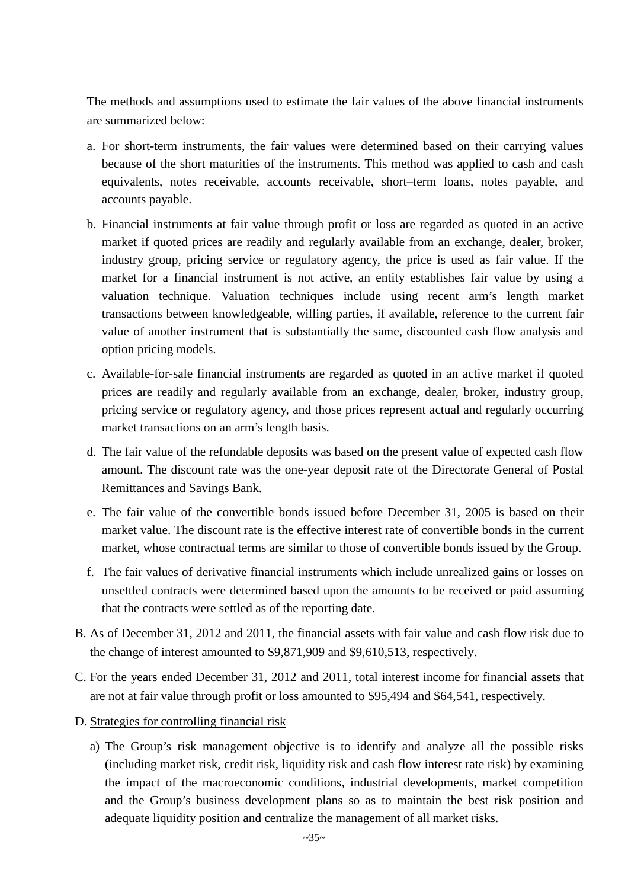The methods and assumptions used to estimate the fair values of the above financial instruments are summarized below:

- a. For short-term instruments, the fair values were determined based on their carrying values because of the short maturities of the instruments. This method was applied to cash and cash equivalents, notes receivable, accounts receivable, short–term loans, notes payable, and accounts payable.
- b. Financial instruments at fair value through profit or loss are regarded as quoted in an active market if quoted prices are readily and regularly available from an exchange, dealer, broker, industry group, pricing service or regulatory agency, the price is used as fair value. If the market for a financial instrument is not active, an entity establishes fair value by using a valuation technique. Valuation techniques include using recent arm's length market transactions between knowledgeable, willing parties, if available, reference to the current fair value of another instrument that is substantially the same, discounted cash flow analysis and option pricing models.
- c. Available-for-sale financial instruments are regarded as quoted in an active market if quoted prices are readily and regularly available from an exchange, dealer, broker, industry group, pricing service or regulatory agency, and those prices represent actual and regularly occurring market transactions on an arm's length basis.
- d. The fair value of the refundable deposits was based on the present value of expected cash flow amount. The discount rate was the one-year deposit rate of the Directorate General of Postal Remittances and Savings Bank.
- e. The fair value of the convertible bonds issued before December 31, 2005 is based on their market value. The discount rate is the effective interest rate of convertible bonds in the current market, whose contractual terms are similar to those of convertible bonds issued by the Group.
- f. The fair values of derivative financial instruments which include unrealized gains or losses on unsettled contracts were determined based upon the amounts to be received or paid assuming that the contracts were settled as of the reporting date.
- B. As of December 31, 2012 and 2011, the financial assets with fair value and cash flow risk due to the change of interest amounted to \$9,871,909 and \$9,610,513, respectively.
- C. For the years ended December 31, 2012 and 2011, total interest income for financial assets that are not at fair value through profit or loss amounted to \$95,494 and \$64,541, respectively.
- D. Strategies for controlling financial risk
	- a) The Group's risk management objective is to identify and analyze all the possible risks (including market risk, credit risk, liquidity risk and cash flow interest rate risk) by examining the impact of the macroeconomic conditions, industrial developments, market competition and the Group's business development plans so as to maintain the best risk position and adequate liquidity position and centralize the management of all market risks.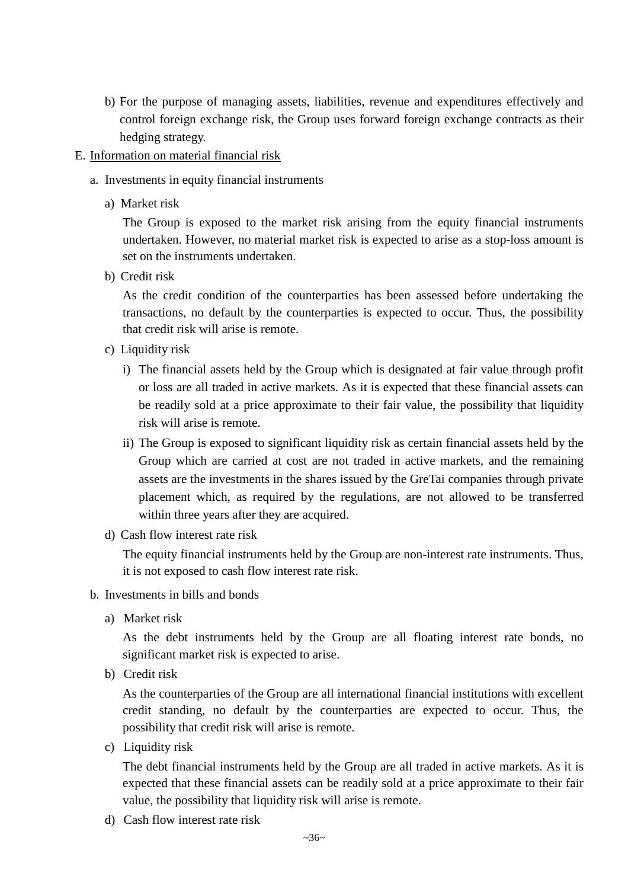b) For the purpose of managing assets, liabilities, revenue and expenditures effectively and control foreign exchange risk, the Group uses forward foreign exchange contracts as their hedging strategy.

## E. Information on material financial risk

- a. Investments in equity financial instruments
	- a) Market risk

The Group is exposed to the market risk arising from the equity financial instruments undertaken. However, no material market risk is expected to arise as a stop-loss amount is set on the instruments undertaken.

b) Credit risk

As the credit condition of the counterparties has been assessed before undertaking the transactions, no default by the counterparties is expected to occur. Thus, the possibility that credit risk will arise is remote.

- c) Liquidity risk
	- i) The financial assets held by the Group which is designated at fair value through profit or loss are all traded in active markets. As it is expected that these financial assets can be readily sold at a price approximate to their fair value, the possibility that liquidity risk will arise is remote.
	- ii) The Group is exposed to significant liquidity risk as certain financial assets held by the Group which are carried at cost are not traded in active markets, and the remaining assets are the investments in the shares issued by the GreTai companies through private placement which, as required by the regulations, are not allowed to be transferred within three years after they are acquired.
- d) Cash flow interest rate risk

The equity financial instruments held by the Group are non-interest rate instruments. Thus, it is not exposed to cash flow interest rate risk.

- b. Investments in bills and bonds
	- a) Market risk

As the debt instruments held by the Group are all floating interest rate bonds, no significant market risk is expected to arise.

b) Credit risk

As the counterparties of the Group are all international financial institutions with excellent credit standing, no default by the counterparties are expected to occur. Thus, the possibility that credit risk will arise is remote.

c) Liquidity risk

The debt financial instruments held by the Group are all traded in active markets. As it is expected that these financial assets can be readily sold at a price approximate to their fair value, the possibility that liquidity risk will arise is remote.

d) Cash flow interest rate risk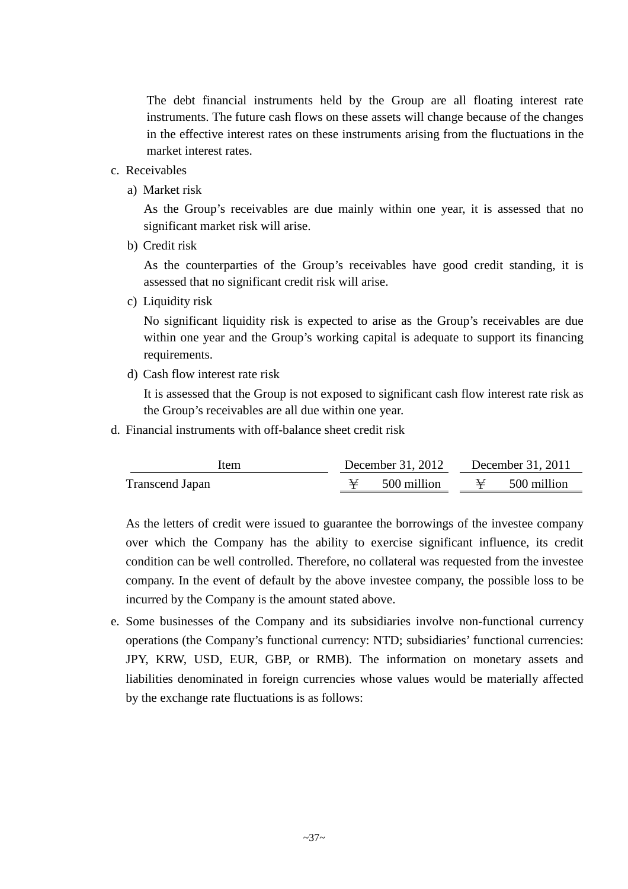The debt financial instruments held by the Group are all floating interest rate instruments. The future cash flows on these assets will change because of the changes in the effective interest rates on these instruments arising from the fluctuations in the market interest rates.

- c. Receivables
	- a) Market risk

As the Group's receivables are due mainly within one year, it is assessed that no significant market risk will arise.

b) Credit risk

As the counterparties of the Group's receivables have good credit standing, it is assessed that no significant credit risk will arise.

c) Liquidity risk

No significant liquidity risk is expected to arise as the Group's receivables are due within one year and the Group's working capital is adequate to support its financing requirements.

d) Cash flow interest rate risk

It is assessed that the Group is not exposed to significant cash flow interest rate risk as the Group's receivables are all due within one year.

d. Financial instruments with off-balance sheet credit risk

| Item                   | December 31, 2012   | December 31, 2011 |             |  |  |
|------------------------|---------------------|-------------------|-------------|--|--|
| <b>Transcend Japan</b> | $\cong$ 500 million | $\rightarrow$     | 500 million |  |  |

As the letters of credit were issued to guarantee the borrowings of the investee company over which the Company has the ability to exercise significant influence, its credit condition can be well controlled. Therefore, no collateral was requested from the investee company. In the event of default by the above investee company, the possible loss to be incurred by the Company is the amount stated above.

e. Some businesses of the Company and its subsidiaries involve non-functional currency operations (the Company's functional currency: NTD; subsidiaries' functional currencies: JPY, KRW, USD, EUR, GBP, or RMB). The information on monetary assets and liabilities denominated in foreign currencies whose values would be materially affected by the exchange rate fluctuations is as follows: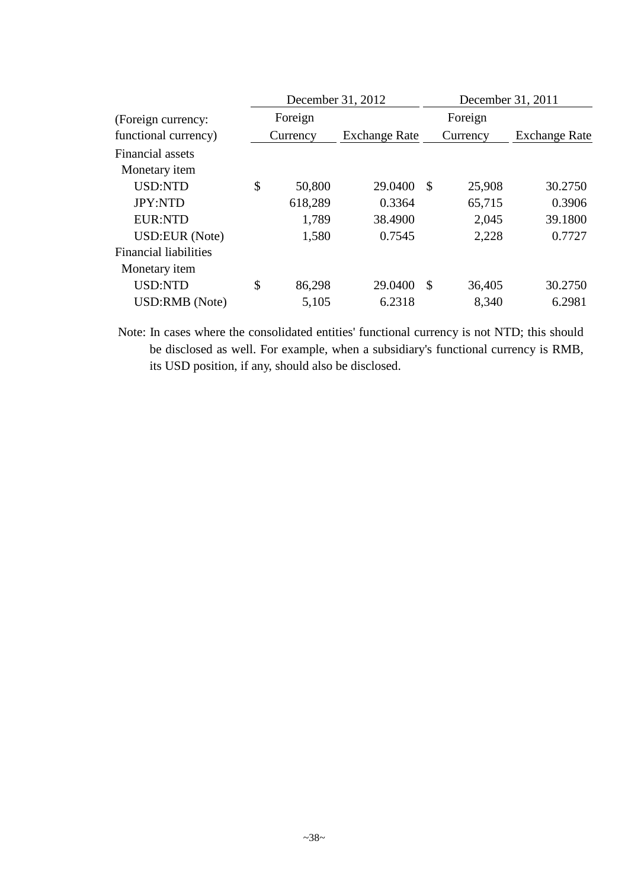|                              | December 31, 2012 |                      | December 31, 2011 |          |                      |  |
|------------------------------|-------------------|----------------------|-------------------|----------|----------------------|--|
| (Foreign currency:           | Foreign           |                      |                   | Foreign  |                      |  |
| functional currency)         | Currency          | <b>Exchange Rate</b> |                   | Currency | <b>Exchange Rate</b> |  |
| Financial assets             |                   |                      |                   |          |                      |  |
| Monetary <i>item</i>         |                   |                      |                   |          |                      |  |
| <b>USD:NTD</b>               | \$<br>50,800      | 29.0400              | $\mathcal{S}$     | 25,908   | 30.2750              |  |
| <b>JPY:NTD</b>               | 618,289           | 0.3364               |                   | 65,715   | 0.3906               |  |
| <b>EUR:NTD</b>               | 1,789             | 38.4900              |                   | 2,045    | 39.1800              |  |
| USD:EUR (Note)               | 1,580             | 0.7545               |                   | 2,228    | 0.7727               |  |
| <b>Financial liabilities</b> |                   |                      |                   |          |                      |  |
| Monetary item                |                   |                      |                   |          |                      |  |
| <b>USD:NTD</b>               | \$<br>86,298      | 29.0400              | $\mathcal{S}$     | 36,405   | 30.2750              |  |
| USD:RMB (Note)               | 5,105             | 6.2318               |                   | 8,340    | 6.2981               |  |

Note: In cases where the consolidated entities' functional currency is not NTD; this should be disclosed as well. For example, when a subsidiary's functional currency is RMB, its USD position, if any, should also be disclosed.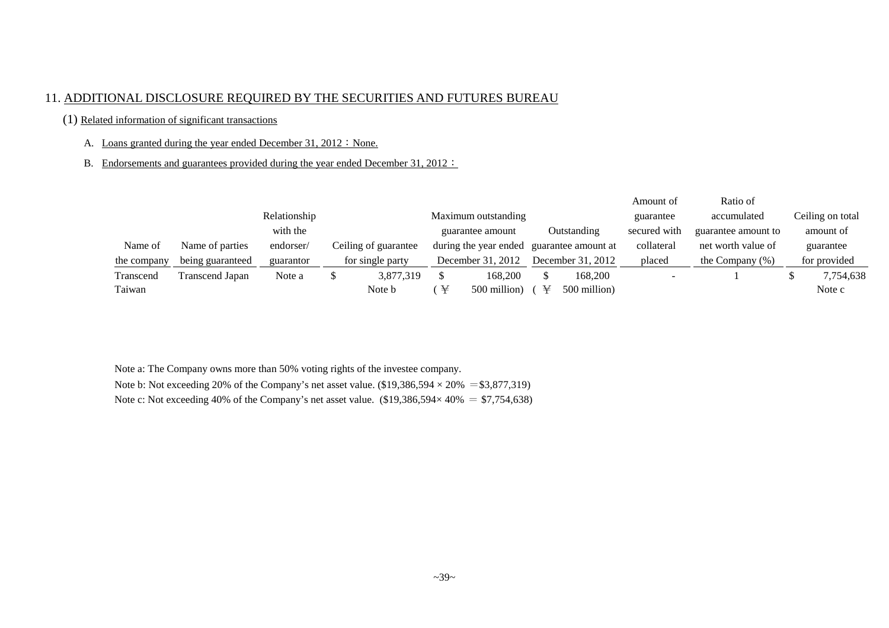#### 11. ADDITIONAL DISCLOSURE REQUIRED BY THE SECURITIES AND FUTURES BUREAU

#### (1) Related information of significant transactions

#### A. Loans granted during the year ended December 31,  $2012$ : None.

B. Endorsements and guarantees provided during the year ended December 31, 2012:

|             |                  |              |                      |                     |                       |  |                     | Amount of    | Ratio of            |                  |
|-------------|------------------|--------------|----------------------|---------------------|-----------------------|--|---------------------|--------------|---------------------|------------------|
|             |                  | Relationship |                      | Maximum outstanding |                       |  |                     | guarantee    | accumulated         | Ceiling on total |
|             |                  | with the     |                      |                     | guarantee amount      |  | Outstanding         | secured with | guarantee amount to | amount of        |
| Name of     | Name of parties  | endorser/    | Ceiling of guarantee |                     | during the year ended |  | guarantee amount at | collateral   | net worth value of  | guarantee        |
| the company | being guaranteed | guarantor    | for single party     |                     | December 31, 2012     |  | December 31, 2012   | placed       | the Company $(\%)$  | for provided     |
| Transcend   | Transcend Japan  | Note a       | 3,877,319            |                     | 168,200               |  | 168,200             |              |                     | 7,754,638        |
| Taiwan      |                  |              | Note b               | ¥                   | 500 million)          |  | 500 million)        |              |                     | Note c           |

Note a: The Company owns more than 50% voting rights of the investee company.

Note b: Not exceeding 20% of the Company's net asset value.  $(\$19,386,594 \times 20\% = \$3,877,319)$ 

Note c: Not exceeding 40% of the Company's net asset value. (\$19,386,594× 40% = \$7,754,638)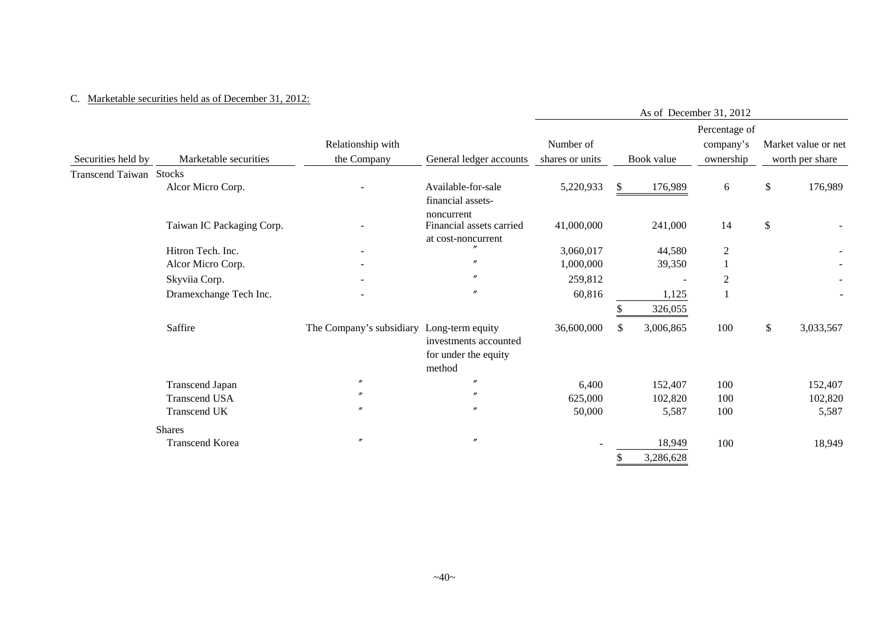#### C. Marketable securities held as of December 31, 2012:

|                         |                           |                          |                                                                             | As of December 31, 2012 |               |                     |                            |        |                     |  |  |
|-------------------------|---------------------------|--------------------------|-----------------------------------------------------------------------------|-------------------------|---------------|---------------------|----------------------------|--------|---------------------|--|--|
|                         |                           | Relationship with        |                                                                             | Number of               |               |                     | Percentage of<br>company's |        | Market value or net |  |  |
| Securities held by      | Marketable securities     | the Company              | General ledger accounts                                                     | shares or units         |               | Book value          | ownership                  |        | worth per share     |  |  |
| Transcend Taiwan Stocks |                           |                          |                                                                             |                         |               |                     |                            |        |                     |  |  |
|                         | Alcor Micro Corp.         |                          | Available-for-sale<br>financial assets-                                     | 5,220,933               | S.            | 176,989             | 6                          | \$     | 176,989             |  |  |
|                         | Taiwan IC Packaging Corp. |                          | noncurrent<br>Financial assets carried<br>at cost-noncurrent                | 41,000,000              |               | 241,000             | 14                         | $\$\,$ |                     |  |  |
|                         | Hitron Tech. Inc.         |                          |                                                                             | 3,060,017               |               | 44,580              | $\mathbf{2}$               |        |                     |  |  |
|                         | Alcor Micro Corp.         |                          | $\prime\prime$                                                              | 1,000,000               |               | 39,350              |                            |        |                     |  |  |
|                         | Skyviia Corp.             |                          | $\prime$                                                                    | 259,812                 |               |                     | $\overline{2}$             |        |                     |  |  |
|                         | Dramexchange Tech Inc.    |                          | $\prime$                                                                    | 60,816                  |               | 1,125               |                            |        |                     |  |  |
|                         |                           |                          |                                                                             |                         |               | 326,055             |                            |        |                     |  |  |
|                         | Saffire                   | The Company's subsidiary | Long-term equity<br>investments accounted<br>for under the equity<br>method | 36,600,000              | <sup>\$</sup> | 3,006,865           | 100                        | \$     | 3,033,567           |  |  |
|                         | <b>Transcend Japan</b>    | $\prime\prime$           | $\prime$                                                                    | 6,400                   |               | 152,407             | 100                        |        | 152,407             |  |  |
|                         | <b>Transcend USA</b>      | $\prime$                 | $\prime$                                                                    | 625,000                 |               | 102,820             | 100                        |        | 102,820             |  |  |
|                         | Transcend UK              | "                        | $\prime$                                                                    | 50,000                  |               | 5,587               | 100                        |        | 5,587               |  |  |
|                         | <b>Shares</b>             |                          |                                                                             |                         |               |                     |                            |        |                     |  |  |
|                         | Transcend Korea           | $\prime$                 | $^{\prime\prime}$                                                           |                         |               | 18,949<br>3,286,628 | 100                        |        | 18,949              |  |  |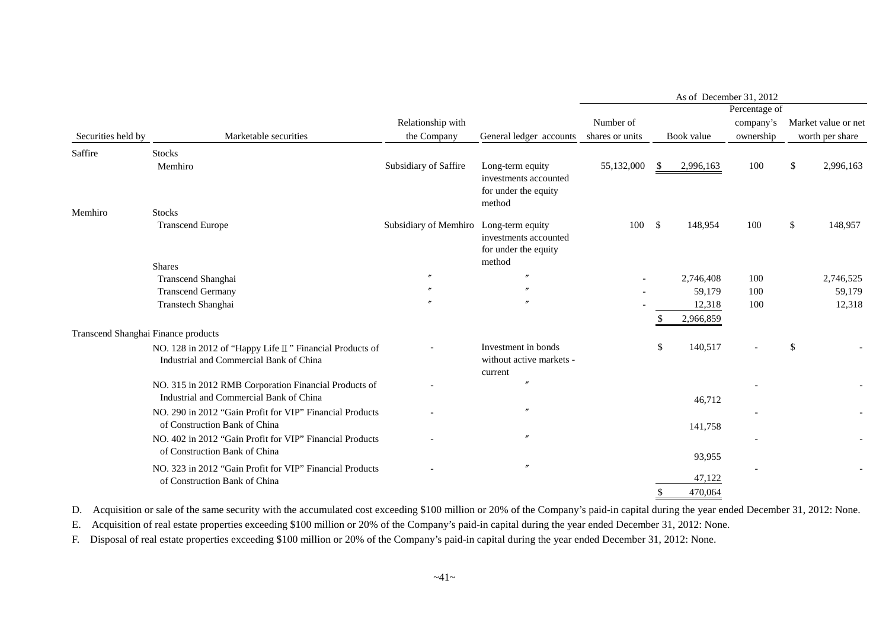| Percentage of<br>Relationship with<br>Number of<br>company's<br>the Company<br>Securities held by<br>Marketable securities<br>Book value<br>ownership<br>General ledger accounts<br>shares or units<br>Saffire<br><b>Stocks</b><br>Subsidiary of Saffire<br>Long-term equity<br>55,132,000<br>2,996,163<br>100<br>\$<br>Memhiro<br>- \$<br>investments accounted<br>for under the equity<br>method<br>Memhiro<br><b>Stocks</b><br>Subsidiary of Memhiro Long-term equity<br>100<br><b>Transcend Europe</b><br>100S<br>148,954<br>\$<br>investments accounted<br>for under the equity<br>method<br><b>Shares</b><br>$^{\prime\prime}$<br>Transcend Shanghai<br>2,746,408<br>100<br><b>Transcend Germany</b><br>100<br>59,179<br>$^{\prime\prime}$<br>Transtech Shanghai<br>12,318<br>100<br>2,966,859<br>Transcend Shanghai Finance products<br>Investment in bonds<br>140,517<br>\$<br>\$<br>NO. 128 in 2012 of "Happy Life II" Financial Products of<br>without active markets -<br>Industrial and Commercial Bank of China | Market value or net<br>worth per share<br>2,996,163<br>148,957 |
|------------------------------------------------------------------------------------------------------------------------------------------------------------------------------------------------------------------------------------------------------------------------------------------------------------------------------------------------------------------------------------------------------------------------------------------------------------------------------------------------------------------------------------------------------------------------------------------------------------------------------------------------------------------------------------------------------------------------------------------------------------------------------------------------------------------------------------------------------------------------------------------------------------------------------------------------------------------------------------------------------------------------------|----------------------------------------------------------------|
|                                                                                                                                                                                                                                                                                                                                                                                                                                                                                                                                                                                                                                                                                                                                                                                                                                                                                                                                                                                                                              |                                                                |
|                                                                                                                                                                                                                                                                                                                                                                                                                                                                                                                                                                                                                                                                                                                                                                                                                                                                                                                                                                                                                              |                                                                |
|                                                                                                                                                                                                                                                                                                                                                                                                                                                                                                                                                                                                                                                                                                                                                                                                                                                                                                                                                                                                                              |                                                                |
|                                                                                                                                                                                                                                                                                                                                                                                                                                                                                                                                                                                                                                                                                                                                                                                                                                                                                                                                                                                                                              |                                                                |
|                                                                                                                                                                                                                                                                                                                                                                                                                                                                                                                                                                                                                                                                                                                                                                                                                                                                                                                                                                                                                              |                                                                |
|                                                                                                                                                                                                                                                                                                                                                                                                                                                                                                                                                                                                                                                                                                                                                                                                                                                                                                                                                                                                                              |                                                                |
|                                                                                                                                                                                                                                                                                                                                                                                                                                                                                                                                                                                                                                                                                                                                                                                                                                                                                                                                                                                                                              |                                                                |
|                                                                                                                                                                                                                                                                                                                                                                                                                                                                                                                                                                                                                                                                                                                                                                                                                                                                                                                                                                                                                              |                                                                |
|                                                                                                                                                                                                                                                                                                                                                                                                                                                                                                                                                                                                                                                                                                                                                                                                                                                                                                                                                                                                                              | 2,746,525                                                      |
|                                                                                                                                                                                                                                                                                                                                                                                                                                                                                                                                                                                                                                                                                                                                                                                                                                                                                                                                                                                                                              | 59,179                                                         |
|                                                                                                                                                                                                                                                                                                                                                                                                                                                                                                                                                                                                                                                                                                                                                                                                                                                                                                                                                                                                                              | 12,318                                                         |
|                                                                                                                                                                                                                                                                                                                                                                                                                                                                                                                                                                                                                                                                                                                                                                                                                                                                                                                                                                                                                              |                                                                |
|                                                                                                                                                                                                                                                                                                                                                                                                                                                                                                                                                                                                                                                                                                                                                                                                                                                                                                                                                                                                                              |                                                                |
| current                                                                                                                                                                                                                                                                                                                                                                                                                                                                                                                                                                                                                                                                                                                                                                                                                                                                                                                                                                                                                      |                                                                |
| $\prime\prime$<br>NO. 315 in 2012 RMB Corporation Financial Products of                                                                                                                                                                                                                                                                                                                                                                                                                                                                                                                                                                                                                                                                                                                                                                                                                                                                                                                                                      |                                                                |
| Industrial and Commercial Bank of China<br>46,712                                                                                                                                                                                                                                                                                                                                                                                                                                                                                                                                                                                                                                                                                                                                                                                                                                                                                                                                                                            |                                                                |
| $\prime\prime$<br>NO. 290 in 2012 "Gain Profit for VIP" Financial Products                                                                                                                                                                                                                                                                                                                                                                                                                                                                                                                                                                                                                                                                                                                                                                                                                                                                                                                                                   |                                                                |
| of Construction Bank of China<br>141,758                                                                                                                                                                                                                                                                                                                                                                                                                                                                                                                                                                                                                                                                                                                                                                                                                                                                                                                                                                                     |                                                                |
| NO. 402 in 2012 "Gain Profit for VIP" Financial Products<br>of Construction Bank of China                                                                                                                                                                                                                                                                                                                                                                                                                                                                                                                                                                                                                                                                                                                                                                                                                                                                                                                                    |                                                                |
| 93,955<br>$\prime\prime$<br>NO. 323 in 2012 "Gain Profit for VIP" Financial Products                                                                                                                                                                                                                                                                                                                                                                                                                                                                                                                                                                                                                                                                                                                                                                                                                                                                                                                                         |                                                                |
| 47,122<br>of Construction Bank of China                                                                                                                                                                                                                                                                                                                                                                                                                                                                                                                                                                                                                                                                                                                                                                                                                                                                                                                                                                                      |                                                                |
| 470,064                                                                                                                                                                                                                                                                                                                                                                                                                                                                                                                                                                                                                                                                                                                                                                                                                                                                                                                                                                                                                      |                                                                |

D. Acquisition or sale of the same security with the accumulated cost exceeding \$100 million or 20% of the Company's paid-in capital during the year ended December 31, 2012: None.

E. Acquisition of real estate properties exceeding \$100 million or 20% of the Company's paid-in capital during the year ended December 31, 2012: None.

F. Disposal of real estate properties exceeding \$100 million or 20% of the Company's paid-in capital during the year ended December 31, 2012: None.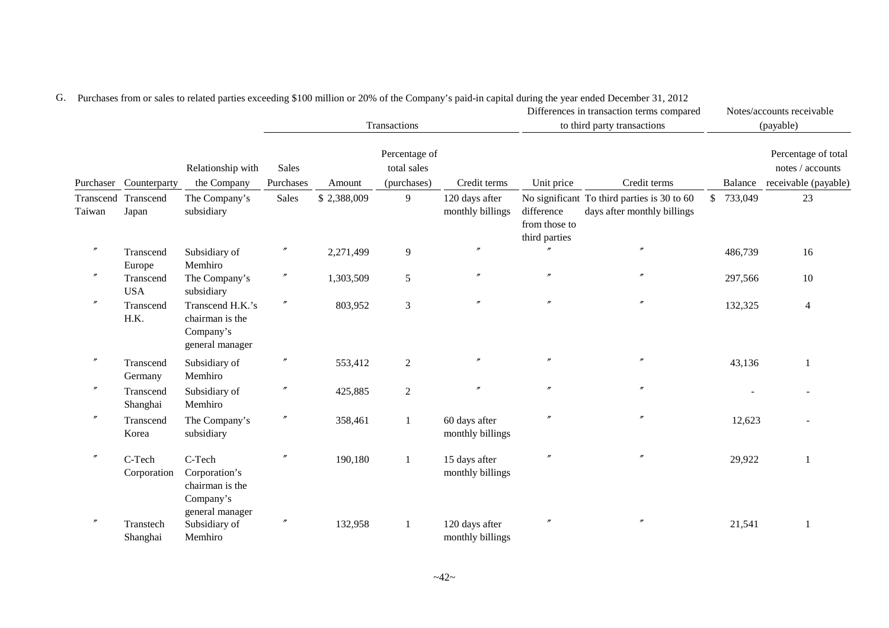|                     |                         |                                                                            |                           |             | Transactions                                |                                    |                                              | Differences in transaction terms compared<br>to third party transactions   |              |         | Notes/accounts receivable<br>(payable)                          |
|---------------------|-------------------------|----------------------------------------------------------------------------|---------------------------|-------------|---------------------------------------------|------------------------------------|----------------------------------------------|----------------------------------------------------------------------------|--------------|---------|-----------------------------------------------------------------|
|                     | Purchaser Counterparty  | Relationship with<br>the Company                                           | <b>Sales</b><br>Purchases | Amount      | Percentage of<br>total sales<br>(purchases) | Credit terms                       | Unit price                                   | Credit terms                                                               |              | Balance | Percentage of total<br>notes / accounts<br>receivable (payable) |
| Transcend<br>Taiwan | Transcend<br>Japan      | The Company's<br>subsidiary                                                | Sales                     | \$2,388,009 | 9                                           | 120 days after<br>monthly billings | difference<br>from those to<br>third parties | No significant To third parties is 30 to 60<br>days after monthly billings | $\mathbb{S}$ | 733,049 | 23                                                              |
| $^{\prime\prime}$   | Transcend<br>Europe     | Subsidiary of<br>Memhiro                                                   | $^{\prime\prime}$         | 2,271,499   | $\overline{9}$                              | $\prime$                           |                                              | $\prime$                                                                   |              | 486,739 | 16                                                              |
|                     | Transcend<br><b>USA</b> | The Company's<br>subsidiary                                                | $^{\prime\prime}$         | 1,303,509   | 5                                           | $\prime$                           | $\boldsymbol{''}$                            | $\prime$                                                                   |              | 297,566 | 10                                                              |
| $\prime\prime$      | Transcend<br>H.K.       | Transcend H.K.'s<br>chairman is the<br>Company's<br>general manager        | $\prime\prime$            | 803,952     | $\mathfrak{Z}$                              |                                    | $^{\prime\prime}$                            | $\prime\prime$                                                             |              | 132,325 | $\overline{4}$                                                  |
| $^{\prime\prime}$   | Transcend<br>Germany    | Subsidiary of<br>Memhiro                                                   | $^{\prime\prime}$         | 553,412     | $\overline{2}$                              |                                    |                                              | $^{\prime\prime}$                                                          |              | 43,136  | 1                                                               |
| $^{\prime\prime}$   | Transcend<br>Shanghai   | Subsidiary of<br>Memhiro                                                   | $^{\prime\prime}$         | 425,885     | $\mathbf{2}$                                | $\prime$                           | $\prime\prime$                               | $^{\prime\prime}$                                                          |              |         |                                                                 |
| $^{\prime\prime}$   | Transcend<br>Korea      | The Company's<br>subsidiary                                                | $^{\prime\prime}$         | 358,461     | $\mathbf{1}$                                | 60 days after<br>monthly billings  | $\prime$                                     | $^{\prime\prime}$                                                          |              | 12,623  |                                                                 |
| $^{\prime\prime}$   | C-Tech<br>Corporation   | C-Tech<br>Corporation's<br>chairman is the<br>Company's<br>general manager | $^{\prime\prime}$         | 190,180     |                                             | 15 days after<br>monthly billings  |                                              | $^{\prime\prime}$                                                          |              | 29,922  | 1                                                               |
|                     | Transtech<br>Shanghai   | Subsidiary of<br>Memhiro                                                   | $^{\prime\prime}$         | 132,958     |                                             | 120 days after<br>monthly billings | $^{\prime\prime}$                            | $^{\prime\prime}$                                                          |              | 21,541  | 1                                                               |

G. Purchases from or sales to related parties exceeding \$100 million or 20% of the Company's paid-in capital during the year ended December 31, 2012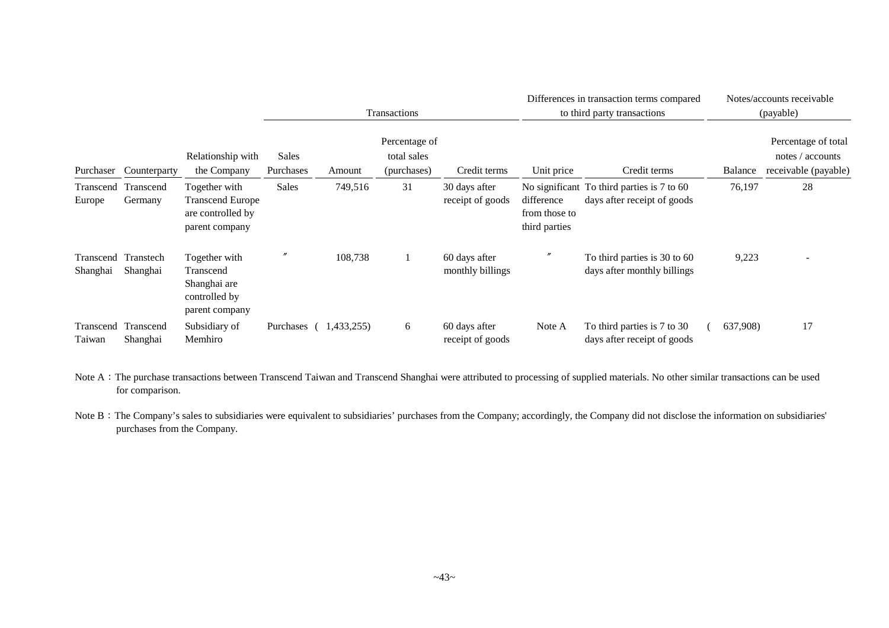|                       |                       |                                                                                 |                    |            | Transactions                                |                                   | Differences in transaction terms compared<br>to third party transactions |                                                                           |  | Notes/accounts receivable<br>(payable) |                                                                 |  |
|-----------------------|-----------------------|---------------------------------------------------------------------------------|--------------------|------------|---------------------------------------------|-----------------------------------|--------------------------------------------------------------------------|---------------------------------------------------------------------------|--|----------------------------------------|-----------------------------------------------------------------|--|
| Purchaser             | Counterparty          | Relationship with<br>the Company                                                | Sales<br>Purchases | Amount     | Percentage of<br>total sales<br>(purchases) | Credit terms                      | Unit price                                                               | Credit terms                                                              |  | Balance                                | Percentage of total<br>notes / accounts<br>receivable (payable) |  |
| Transcend<br>Europe   | Transcend<br>Germany  | Together with<br><b>Transcend Europe</b><br>are controlled by<br>parent company | <b>Sales</b>       | 749,516    | 31                                          | 30 days after<br>receipt of goods | difference<br>from those to<br>third parties                             | No significant To third parties is 7 to 60<br>days after receipt of goods |  | 76,197                                 | 28                                                              |  |
| Transcend<br>Shanghai | Transtech<br>Shanghai | Together with<br>Transcend<br>Shanghai are<br>controlled by<br>parent company   | n                  | 108,738    |                                             | 60 days after<br>monthly billings | $^{\prime\prime}$                                                        | To third parties is 30 to 60<br>days after monthly billings               |  | 9,223                                  | ۰                                                               |  |
| Transcend<br>Taiwan   | Transcend<br>Shanghai | Subsidiary of<br>Memhiro                                                        | Purchases          | 1,433,255) | 6                                           | 60 days after<br>receipt of goods | Note A                                                                   | To third parties is 7 to 30<br>days after receipt of goods                |  | 637,908)                               | 17                                                              |  |

Note A: The purchase transactions between Transcend Taiwan and Transcend Shanghai were attributed to processing of supplied materials. No other similar transactions can be used for comparison.

Note B: The Company's sales to subsidiaries were equivalent to subsidiaries' purchases from the Company; accordingly, the Company did not disclose the information on subsidiaries' purchases from the Company.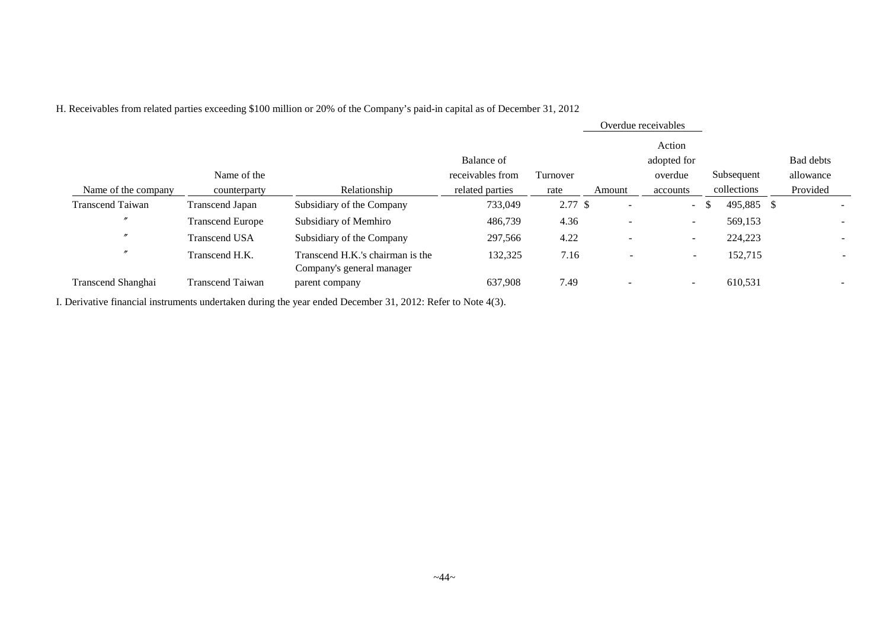H. Receivables from related parties exceeding \$100 million or 20% of the Company's paid-in capital as of December 31, 2012

|                         |                      |                                  |                  |          |                          | Overdue receivables      |             |                          |
|-------------------------|----------------------|----------------------------------|------------------|----------|--------------------------|--------------------------|-------------|--------------------------|
|                         |                      |                                  | Balance of       |          |                          | Action<br>adopted for    |             | <b>Bad debts</b>         |
|                         | Name of the          |                                  | receivables from | Turnover |                          | overdue                  | Subsequent  | allowance                |
| Name of the company     | counterparty         | Relationship                     | related parties  | rate     | Amount                   | accounts                 | collections | Provided                 |
| <b>Transcend Taiwan</b> | Transcend Japan      | Subsidiary of the Company        | 733,049          | 2.77S    | $\overline{\phantom{a}}$ | $\sim$                   | 495,885 \$  | -                        |
| $\prime$                | Transcend Europe     | Subsidiary of Memhiro            | 486,739          | 4.36     | $\overline{\phantom{a}}$ | $\overline{\phantom{a}}$ | 569,153     |                          |
| $\prime$                | <b>Transcend USA</b> | Subsidiary of the Company        | 297,566          | 4.22     | $\overline{\phantom{a}}$ | $\overline{\phantom{a}}$ | 224,223     |                          |
| $\prime$                | Transcend H.K.       | Transcend H.K.'s chairman is the | 132,325          | 7.16     | $\overline{\phantom{0}}$ | $-$                      | 152,715     | $\overline{\phantom{a}}$ |
|                         |                      | Company's general manager        |                  |          |                          |                          |             |                          |
| Transcend Shanghai      | Transcend Taiwan     | parent company                   | 637,908          | 7.49     | $\overline{\phantom{a}}$ | $\sim$                   | 610,531     | -                        |

I. Derivative financial instruments undertaken during the year ended December 31, 2012: Refer to Note 4(3).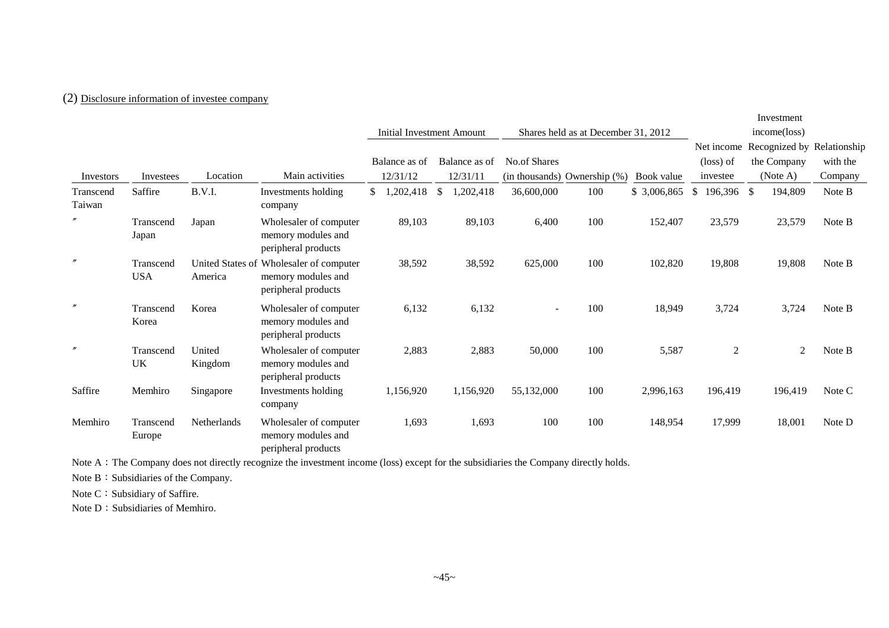# (2) Disclosure information of investee company

|                     |                         |                    |                                                                                      |                                  |                            |                     |                                     |              |                    | Investment                            |          |
|---------------------|-------------------------|--------------------|--------------------------------------------------------------------------------------|----------------------------------|----------------------------|---------------------|-------------------------------------|--------------|--------------------|---------------------------------------|----------|
|                     |                         |                    |                                                                                      | <b>Initial Investment Amount</b> |                            |                     | Shares held as at December 31, 2012 |              |                    |                                       |          |
|                     |                         |                    |                                                                                      |                                  |                            |                     |                                     |              |                    | Net income Recognized by Relationship |          |
|                     |                         |                    |                                                                                      | Balance as of                    | Balance as of              | <b>No.of Shares</b> |                                     |              | $(\text{loss})$ of | the Company                           | with the |
| Investors           | Investees               | Location           | Main activities                                                                      | 12/31/12                         | 12/31/11                   |                     | (in thousands) Ownership (%)        | Book value   | investee           | (Note A)                              | Company  |
| Transcend<br>Taiwan | Saffire                 | B.V.I.             | Investments holding<br>company                                                       | 1,202,418<br>\$                  | 1,202,418<br><sup>\$</sup> | 36,600,000          | 100                                 | \$ 3,006,865 | $$196,396$ \$      | 194,809                               | Note B   |
| $^{\prime\prime}$   | Transcend<br>Japan      | Japan              | Wholesaler of computer<br>memory modules and<br>peripheral products                  | 89,103                           | 89,103                     | 6,400               | 100                                 | 152,407      | 23,579             | 23,579                                | Note B   |
| $^{\prime\prime}$   | Transcend<br><b>USA</b> | America            | United States of Wholesaler of computer<br>memory modules and<br>peripheral products | 38,592                           | 38,592                     | 625,000             | 100                                 | 102,820      | 19,808             | 19,808                                | Note B   |
| $^{\prime\prime}$   | Transcend<br>Korea      | Korea              | Wholesaler of computer<br>memory modules and<br>peripheral products                  | 6,132                            | 6,132                      |                     | 100                                 | 18,949       | 3,724              | 3,724                                 | Note B   |
| $^{\prime\prime}$   | Transcend<br>UK         | United<br>Kingdom  | Wholesaler of computer<br>memory modules and<br>peripheral products                  | 2,883                            | 2,883                      | 50,000              | 100                                 | 5,587        | $\overline{2}$     | $\overline{2}$                        | Note B   |
| Saffire             | Memhiro                 | Singapore          | Investments holding<br>company                                                       | 1,156,920                        | 1,156,920                  | 55,132,000          | 100                                 | 2,996,163    | 196,419            | 196,419                               | Note C   |
| Memhiro             | Transcend<br>Europe     | <b>Netherlands</b> | Wholesaler of computer<br>memory modules and<br>peripheral products                  | 1,693                            | 1,693                      | 100                 | 100                                 | 148,954      | 17,999             | 18,001                                | Note D   |

Note A: The Company does not directly recognize the investment income (loss) except for the subsidiaries the Company directly holds.

Note B: Subsidiaries of the Company.

Note C: Subsidiary of Saffire.

Note D: Subsidiaries of Memhiro.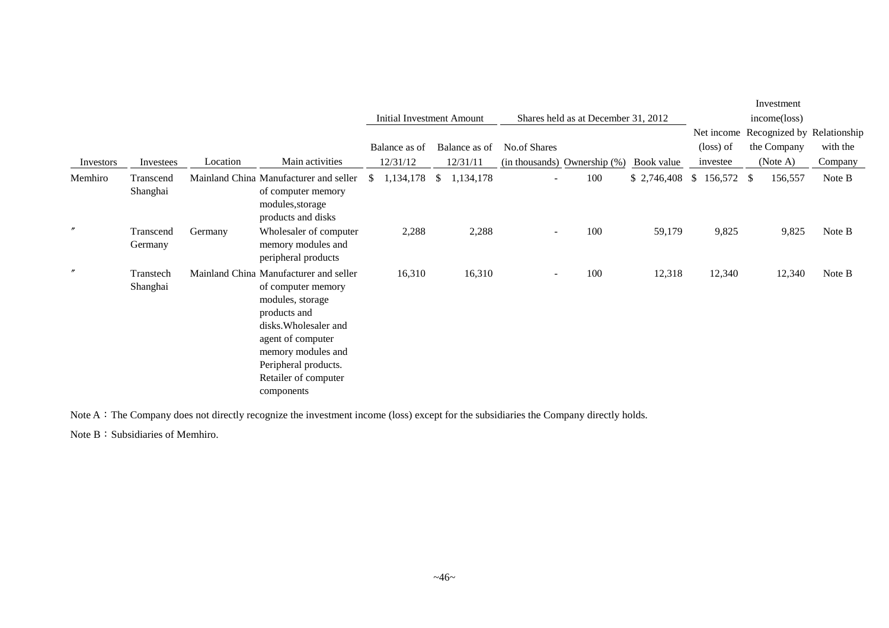|                   |                       |          |                                                                                                                                                                                                                                    |    |                           |              |               |              |                          |                                     |             |                  | Investment   |                                       |
|-------------------|-----------------------|----------|------------------------------------------------------------------------------------------------------------------------------------------------------------------------------------------------------------------------------------|----|---------------------------|--------------|---------------|--------------|--------------------------|-------------------------------------|-------------|------------------|--------------|---------------------------------------|
|                   |                       |          |                                                                                                                                                                                                                                    |    | Initial Investment Amount |              |               |              |                          | Shares held as at December 31, 2012 |             |                  | income(loss) |                                       |
|                   |                       |          |                                                                                                                                                                                                                                    |    |                           |              |               |              |                          |                                     |             |                  |              | Net income Recognized by Relationship |
|                   |                       |          |                                                                                                                                                                                                                                    |    | Balance as of             |              | Balance as of | No.of Shares |                          |                                     |             | (loss) of        | the Company  | with the                              |
| Investors         | Investees             | Location | Main activities                                                                                                                                                                                                                    |    | 12/31/12                  |              | 12/31/11      |              |                          | (in thousands) Ownership (%)        | Book value  | investee         | (Note A)     | Company                               |
| Memhiro           | Transcend<br>Shanghai |          | Mainland China Manufacturer and seller<br>of computer memory<br>modules, storage<br>products and disks                                                                                                                             | S. | 1,134,178                 | $\mathbb{S}$ | 1,134,178     |              | $\overline{\phantom{0}}$ | 100                                 | \$2,746,408 | $$156,572$ \, \$ | 156,557      | Note B                                |
| $^{\prime\prime}$ | Transcend<br>Germany  | Germany  | Wholesaler of computer<br>memory modules and<br>peripheral products                                                                                                                                                                |    | 2,288                     |              | 2,288         |              | $\blacksquare$           | 100                                 | 59,179      | 9,825            | 9,825        | Note B                                |
| $^{\prime\prime}$ | Transtech<br>Shanghai |          | Mainland China Manufacturer and seller<br>of computer memory<br>modules, storage<br>products and<br>disks. Wholesaler and<br>agent of computer<br>memory modules and<br>Peripheral products.<br>Retailer of computer<br>components |    | 16,310                    |              | 16,310        |              | ۰                        | 100                                 | 12,318      | 12,340           | 12,340       | Note B                                |

Note A: The Company does not directly recognize the investment income (loss) except for the subsidiaries the Company directly holds.

Note B: Subsidiaries of Memhiro.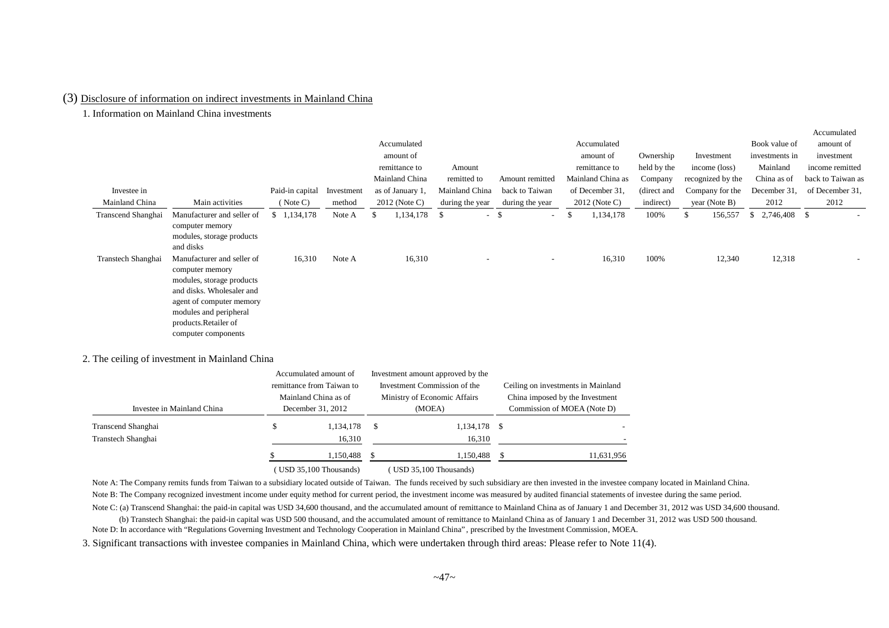#### (3) Disclosure of information on indirect investments in Mainland China

1. Information on Mainland China investments

|                    |                                                                                                                                                                                                              |                 |            |     |                  |                          |                          |                   |             |                   |                    | Accumulated              |
|--------------------|--------------------------------------------------------------------------------------------------------------------------------------------------------------------------------------------------------------|-----------------|------------|-----|------------------|--------------------------|--------------------------|-------------------|-------------|-------------------|--------------------|--------------------------|
|                    |                                                                                                                                                                                                              |                 |            |     | Accumulated      |                          |                          | Accumulated       |             |                   | Book value of      | amount of                |
|                    |                                                                                                                                                                                                              |                 |            |     | amount of        |                          |                          | amount of         | Ownership   | Investment        | investments in     | investment               |
|                    |                                                                                                                                                                                                              |                 |            |     | remittance to    | Amount                   |                          | remittance to     | held by the | income (loss)     | Mainland           | income remitted          |
|                    |                                                                                                                                                                                                              |                 |            |     | Mainland China   | remitted to              | Amount remitted          | Mainland China as | Company     | recognized by the | China as of        | back to Taiwan as        |
| Investee in        |                                                                                                                                                                                                              | Paid-in capital | Investment |     | as of January 1, | Mainland China           | back to Taiwan           | of December 31,   | (direct and | Company for the   | December 31,       | of December 31,          |
| Mainland China     | Main activities                                                                                                                                                                                              | (Note C)        | method     |     | 2012 (Note C)    | during the year          | during the year          | 2012 (Note C)     | indirect)   | year (Note B)     | 2012               | 2012                     |
| Transcend Shanghai | Manufacturer and seller of                                                                                                                                                                                   | \$1,134,178     | Note A     | \$. | 1,134,178        | -S                       | $-$ \$<br>$\sim$         | \$<br>1,134,178   | 100%        | \$<br>156,557     | 2,746,408 \$<br>S. | $\overline{\phantom{0}}$ |
|                    | computer memory<br>modules, storage products<br>and disks                                                                                                                                                    |                 |            |     |                  |                          |                          |                   |             |                   |                    |                          |
| Transtech Shanghai | Manufacturer and seller of<br>computer memory<br>modules, storage products<br>and disks. Wholesaler and<br>agent of computer memory<br>modules and peripheral<br>products.Retailer of<br>computer components | 16,310          | Note A     |     | 16,310           | $\overline{\phantom{a}}$ | $\overline{\phantom{a}}$ | 16,310            | 100%        | 12,340            | 12,318             | $\overline{\phantom{0}}$ |

#### 2. The ceiling of investment in Mainland China

|                            | Accumulated amount of          | Investment amount approved by the |  |                                    |
|----------------------------|--------------------------------|-----------------------------------|--|------------------------------------|
|                            | remittance from Taiwan to      | Investment Commission of the      |  | Ceiling on investments in Mainland |
|                            | Mainland China as of           | Ministry of Economic Affairs      |  | China imposed by the Investment    |
| Investee in Mainland China | December 31, 2012              | (MOEA)                            |  | Commission of MOEA (Note D)        |
| Transcend Shanghai         | 1,134,178                      | 1,134,178 \$                      |  |                                    |
| Transtech Shanghai         | 16,310                         | 16,310                            |  |                                    |
|                            | 1,150,488                      | 1,150,488                         |  | 11,631,956                         |
|                            | $(110D.25.100.$ Theorem de $($ | $(TITCD 25.100.$ Thomagailte      |  |                                    |

( USD 35,100 Thousands) ( USD 35,100 Thousands)

Note A: The Company remits funds from Taiwan to a subsidiary located outside of Taiwan. The funds received by such subsidiary are then invested in the investee company located in Mainland China. Note B: The Company recognized investment income under equity method for current period, the investment income was measured by audited financial statements of investee during the same period.

Note C: (a) Transcend Shanghai: the paid-in capital was USD 34,600 thousand, and the accumulated amount of remittance to Mainland China as of January 1 and December 31, 2012 was USD 34,600 thousand. (b) Transtech Shanghai: the paid-in capital was USD 500 thousand, and the accumulated amount of remittance to Mainland China as of January 1 and December 31, 2012 was USD 500 thousand.

Note D: In accordance with "Regulations Governing Investment and Technology Cooperation in Mainland China" , prescribed by the Investment Commission, MOEA.

3. Significant transactions with investee companies in Mainland China, which were undertaken through third areas: Please refer to Note 11(4).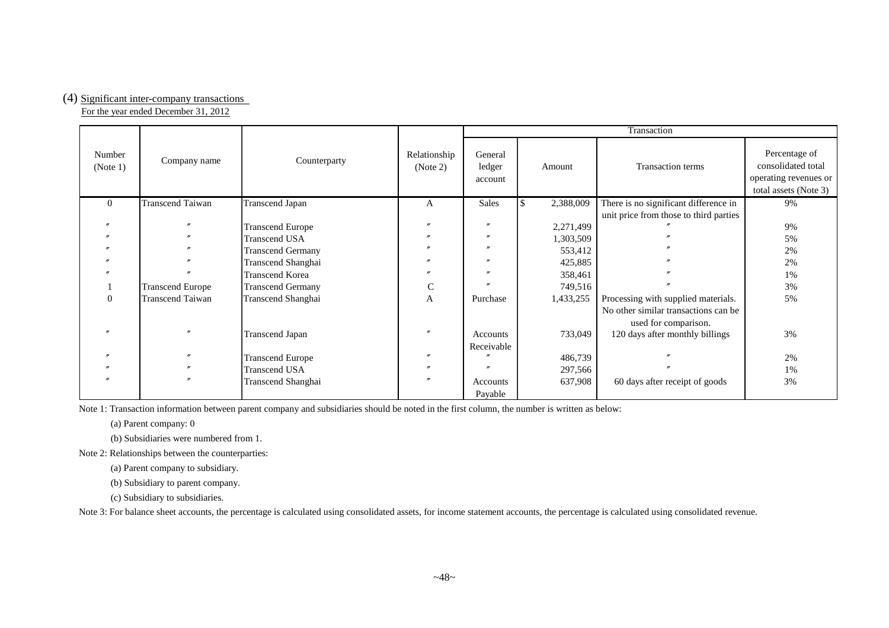#### (4) Significant inter-company transactions

For the year ended December 31, 2012

|                    |                         |                          | Transaction              |                              |           |                                        |                                                                                       |  |
|--------------------|-------------------------|--------------------------|--------------------------|------------------------------|-----------|----------------------------------------|---------------------------------------------------------------------------------------|--|
| Number<br>(Note 1) | Company name            | Counterparty             | Relationship<br>(Note 2) | General<br>ledger<br>account | Amount    | Transaction terms                      | Percentage of<br>consolidated total<br>operating revenues or<br>total assets (Note 3) |  |
| $\Omega$           | <b>Transcend Taiwan</b> | <b>Transcend Japan</b>   | A                        | Sales                        | 2,388,009 | There is no significant difference in  | 9%                                                                                    |  |
|                    |                         |                          |                          |                              |           | unit price from those to third parties |                                                                                       |  |
|                    |                         | <b>Transcend Europe</b>  |                          |                              | 2,271,499 |                                        | 9%                                                                                    |  |
|                    |                         | <b>Transcend USA</b>     |                          | $\prime$                     | 1,303,509 |                                        | 5%                                                                                    |  |
|                    |                         | <b>Transcend Germany</b> |                          |                              | 553,412   |                                        | 2%                                                                                    |  |
|                    |                         | Transcend Shanghai       |                          |                              | 425,885   |                                        | 2%                                                                                    |  |
|                    |                         | Transcend Korea          |                          |                              | 358,461   |                                        | 1%                                                                                    |  |
|                    | <b>Transcend Europe</b> | <b>Transcend Germany</b> |                          |                              | 749,516   |                                        | 3%                                                                                    |  |
| $\Omega$           | <b>Transcend Taiwan</b> | Transcend Shanghai       | A                        | Purchase                     | 1,433,255 | Processing with supplied materials.    | 5%                                                                                    |  |
|                    |                         |                          |                          |                              |           | No other similar transactions can be.  |                                                                                       |  |
|                    |                         |                          |                          |                              |           | used for comparison.                   |                                                                                       |  |
|                    |                         | <b>Transcend Japan</b>   |                          | Accounts                     | 733,049   | 120 days after monthly billings        | 3%                                                                                    |  |
|                    |                         |                          |                          | Receivable                   |           |                                        |                                                                                       |  |
|                    |                         | <b>Transcend Europe</b>  |                          |                              | 486,739   |                                        | 2%                                                                                    |  |
|                    |                         | <b>Transcend USA</b>     |                          |                              | 297,566   |                                        | 1%                                                                                    |  |
|                    | $\boldsymbol{''}$       | Transcend Shanghai       |                          | Accounts                     | 637,908   | 60 days after receipt of goods         | 3%                                                                                    |  |
|                    |                         |                          |                          | Payable                      |           |                                        |                                                                                       |  |

Note 1: Transaction information between parent company and subsidiaries should be noted in the first column, the number is written as below:

(a) Parent company: 0

(b) Subsidiaries were numbered from 1.

Note 2: Relationships between the counterparties:

(a) Parent company to subsidiary.

(b) Subsidiary to parent company.

(c) Subsidiary to subsidiaries.

Note 3: For balance sheet accounts, the percentage is calculated using consolidated assets, for income statement accounts, the percentage is calculated using consolidated revenue.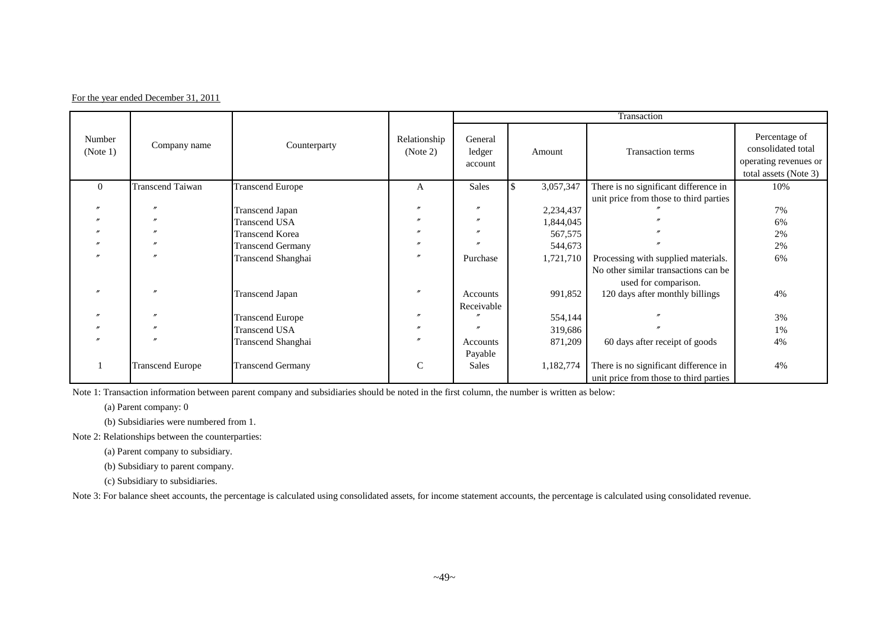|  | For the year ended December 31, 2011 |  |
|--|--------------------------------------|--|
|  |                                      |  |

|                    |                         |                          |                          | Transaction                  |           |                                        |                                                                                       |  |  |
|--------------------|-------------------------|--------------------------|--------------------------|------------------------------|-----------|----------------------------------------|---------------------------------------------------------------------------------------|--|--|
| Number<br>(Note 1) | Company name            | Counterparty             | Relationship<br>(Note 2) | General<br>ledger<br>account | Amount    | Transaction terms                      | Percentage of<br>consolidated total<br>operating revenues or<br>total assets (Note 3) |  |  |
| $\Omega$           | <b>Transcend Taiwan</b> | <b>Transcend Europe</b>  | A                        | Sales                        | 3,057,347 | There is no significant difference in  | 10%                                                                                   |  |  |
|                    |                         |                          |                          |                              |           | unit price from those to third parties |                                                                                       |  |  |
|                    |                         | <b>Transcend Japan</b>   |                          | $^{\prime\prime}$            | 2,234,437 |                                        | 7%                                                                                    |  |  |
|                    |                         | <b>Transcend USA</b>     |                          | $\prime$                     | 1,844,045 |                                        | 6%                                                                                    |  |  |
|                    |                         | <b>Transcend Korea</b>   |                          |                              | 567,575   |                                        | 2%                                                                                    |  |  |
|                    |                         | <b>Transcend Germany</b> |                          |                              | 544,673   |                                        | 2%                                                                                    |  |  |
|                    |                         | Transcend Shanghai       | $\prime\prime$           | Purchase                     | 1,721,710 | Processing with supplied materials.    | 6%                                                                                    |  |  |
|                    |                         |                          |                          |                              |           | No other similar transactions can be.  |                                                                                       |  |  |
|                    |                         |                          |                          |                              |           | used for comparison.                   |                                                                                       |  |  |
|                    |                         | <b>Transcend Japan</b>   |                          | Accounts                     | 991,852   | 120 days after monthly billings        | 4%                                                                                    |  |  |
|                    |                         |                          |                          | Receivable                   |           |                                        |                                                                                       |  |  |
|                    |                         | <b>Transcend Europe</b>  | $\prime$                 |                              | 554,144   |                                        | 3%                                                                                    |  |  |
|                    |                         | <b>Transcend USA</b>     | $\prime\prime$           |                              | 319,686   |                                        | 1%                                                                                    |  |  |
|                    |                         | Transcend Shanghai       | $\prime\prime$           | Accounts                     | 871,209   | 60 days after receipt of goods         | 4%                                                                                    |  |  |
|                    |                         |                          |                          | Payable                      |           |                                        |                                                                                       |  |  |
|                    | <b>Transcend Europe</b> | <b>Transcend Germany</b> | C                        | <b>Sales</b>                 | 1,182,774 | There is no significant difference in  | 4%                                                                                    |  |  |
|                    |                         |                          |                          |                              |           | unit price from those to third parties |                                                                                       |  |  |

Note 1: Transaction information between parent company and subsidiaries should be noted in the first column, the number is written as below:

(a) Parent company: 0

(b) Subsidiaries were numbered from 1.

Note 2: Relationships between the counterparties:

(a) Parent company to subsidiary.

(b) Subsidiary to parent company.

(c) Subsidiary to subsidiaries.

Note 3: For balance sheet accounts, the percentage is calculated using consolidated assets, for income statement accounts, the percentage is calculated using consolidated revenue.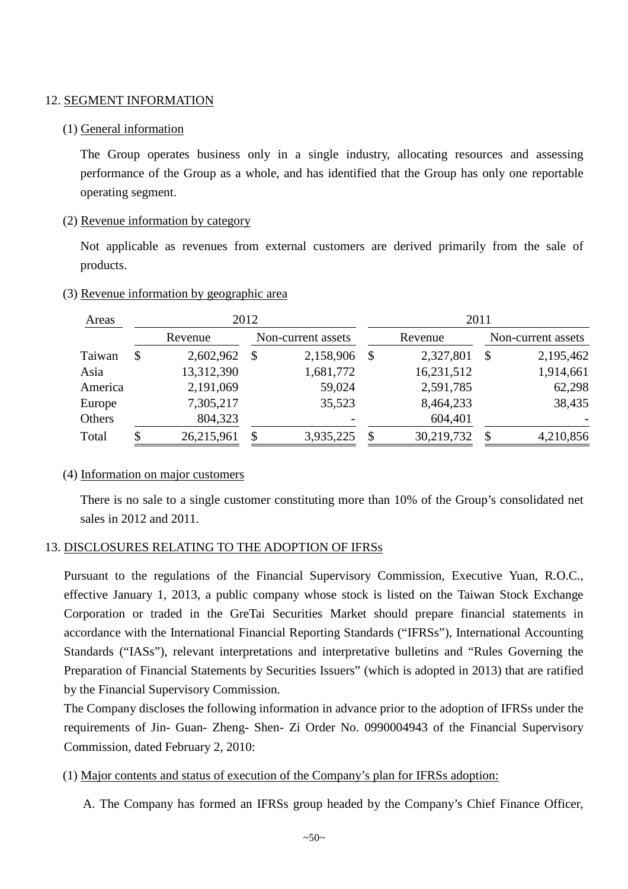#### 12. SEGMENT INFORMATION

## (1) General information

The Group operates business only in a single industry, allocating resources and assessing performance of the Group as a whole, and has identified that the Group has only one reportable operating segment.

## (2) Revenue information by category

Not applicable as revenues from external customers are derived primarily from the sale of products.

## (3) Revenue information by geographic area

| Areas   |                           |            | 2012               |           |               |            | 2011               |           |
|---------|---------------------------|------------|--------------------|-----------|---------------|------------|--------------------|-----------|
|         | Revenue                   |            | Non-current assets |           |               | Revenue    | Non-current assets |           |
| Taiwan  | $\boldsymbol{\mathsf{S}}$ | 2,602,962  | <sup>\$</sup>      | 2,158,906 | $\mathcal{S}$ | 2,327,801  | $\mathbb{S}$       | 2,195,462 |
| Asia    |                           | 13,312,390 |                    | 1,681,772 |               | 16,231,512 |                    | 1,914,661 |
| America |                           | 2,191,069  |                    | 59,024    |               | 2,591,785  |                    | 62,298    |
| Europe  |                           | 7,305,217  |                    | 35,523    |               | 8,464,233  |                    | 38,435    |
| Others  |                           | 804,323    |                    |           |               | 604,401    |                    |           |
| Total   | S                         | 26,215,961 | \$                 | 3,935,225 | \$            | 30,219,732 | S                  | 4,210,856 |

#### (4) Information on major customers

There is no sale to a single customer constituting more than 10% of the Group's consolidated net sales in 2012 and 2011.

## 13. DISCLOSURES RELATING TO THE ADOPTION OF IFRSs

Pursuant to the regulations of the Financial Supervisory Commission, Executive Yuan, R.O.C., effective January 1, 2013, a public company whose stock is listed on the Taiwan Stock Exchange Corporation or traded in the GreTai Securities Market should prepare financial statements in accordance with the International Financial Reporting Standards ("IFRSs"), International Accounting Standards ("IASs"), relevant interpretations and interpretative bulletins and "Rules Governing the Preparation of Financial Statements by Securities Issuers" (which is adopted in 2013) that are ratified by the Financial Supervisory Commission.

The Company discloses the following information in advance prior to the adoption of IFRSs under the requirements of Jin- Guan- Zheng- Shen- Zi Order No. 0990004943 of the Financial Supervisory Commission, dated February 2, 2010:

## (1) Major contents and status of execution of the Company's plan for IFRSs adoption:

A. The Company has formed an IFRSs group headed by the Company's Chief Finance Officer,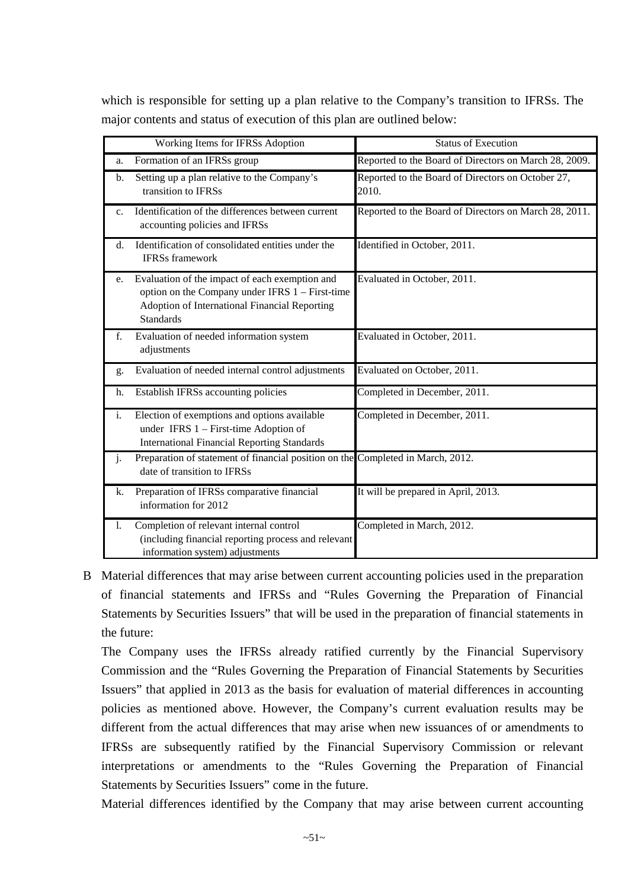which is responsible for setting up a plan relative to the Company's transition to IFRSs. The major contents and status of execution of this plan are outlined below:

|                | Working Items for IFRSs Adoption                                                                                                                                       | <b>Status of Execution</b>                                 |
|----------------|------------------------------------------------------------------------------------------------------------------------------------------------------------------------|------------------------------------------------------------|
| a.             | Formation of an IFRSs group                                                                                                                                            | Reported to the Board of Directors on March 28, 2009.      |
| b.             | Setting up a plan relative to the Company's<br>transition to IFRSs                                                                                                     | Reported to the Board of Directors on October 27,<br>2010. |
| C <sub>1</sub> | Identification of the differences between current<br>accounting policies and IFRSs                                                                                     | Reported to the Board of Directors on March 28, 2011.      |
| $\mathbf{d}$ . | Identification of consolidated entities under the<br><b>IFRSs</b> framework                                                                                            | Identified in October, 2011.                               |
| e.             | Evaluation of the impact of each exemption and<br>option on the Company under IFRS 1 – First-time<br>Adoption of International Financial Reporting<br><b>Standards</b> | Evaluated in October, 2011.                                |
| f.             | Evaluation of needed information system<br>adjustments                                                                                                                 | Evaluated in October, 2011.                                |
| g.             | Evaluation of needed internal control adjustments                                                                                                                      | Evaluated on October, 2011.                                |
| h.             | Establish IFRSs accounting policies                                                                                                                                    | Completed in December, 2011.                               |
| i.             | Election of exemptions and options available<br>under IFRS $1 -$ First-time Adoption of<br><b>International Financial Reporting Standards</b>                          | Completed in December, 2011.                               |
| j.             | Preparation of statement of financial position on the Completed in March, 2012.<br>date of transition to IFRSs                                                         |                                                            |
| k.             | Preparation of IFRSs comparative financial<br>information for 2012                                                                                                     | It will be prepared in April, 2013.                        |
| 1.             | Completion of relevant internal control<br>(including financial reporting process and relevant<br>information system) adjustments                                      | Completed in March, 2012.                                  |

B Material differences that may arise between current accounting policies used in the preparation of financial statements and IFRSs and "Rules Governing the Preparation of Financial Statements by Securities Issuers" that will be used in the preparation of financial statements in the future:

The Company uses the IFRSs already ratified currently by the Financial Supervisory Commission and the "Rules Governing the Preparation of Financial Statements by Securities Issuers" that applied in 2013 as the basis for evaluation of material differences in accounting policies as mentioned above. However, the Company's current evaluation results may be different from the actual differences that may arise when new issuances of or amendments to IFRSs are subsequently ratified by the Financial Supervisory Commission or relevant interpretations or amendments to the "Rules Governing the Preparation of Financial Statements by Securities Issuers" come in the future.

Material differences identified by the Company that may arise between current accounting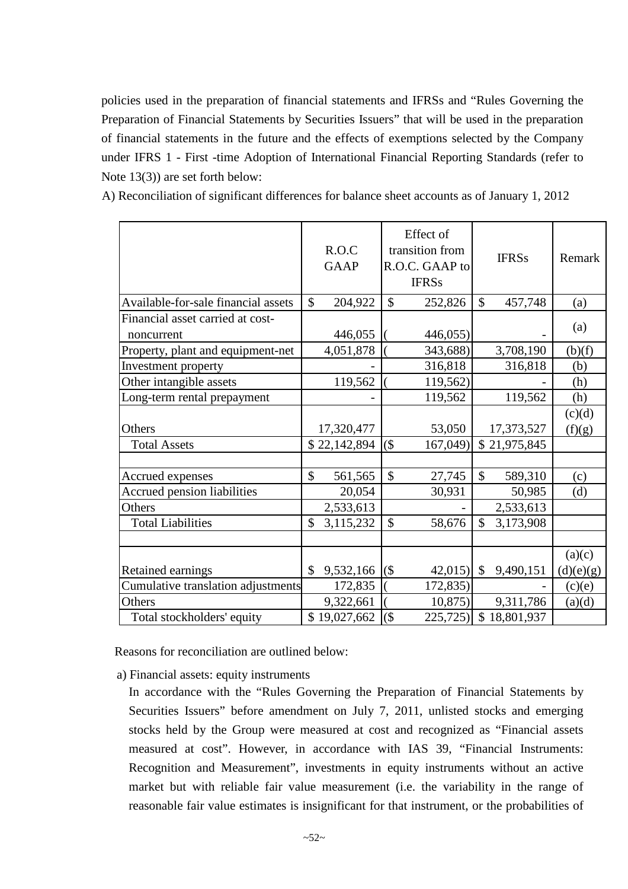policies used in the preparation of financial statements and IFRSs and "Rules Governing the Preparation of Financial Statements by Securities Issuers" that will be used in the preparation of financial statements in the future and the effects of exemptions selected by the Company under IFRS 1 - First -time Adoption of International Financial Reporting Standards (refer to Note 13(3)) are set forth below:

A) Reconciliation of significant differences for balance sheet accounts as of January 1, 2012

|                                     | R.O.C<br><b>GAAP</b>       | Effect of<br>transition from<br>R.O.C. GAAP to<br><b>IFRSs</b> | <b>IFRSs</b>    | Remark               |
|-------------------------------------|----------------------------|----------------------------------------------------------------|-----------------|----------------------|
| Available-for-sale financial assets | $\mathcal{S}$<br>204,922   | $\mathbb{S}$<br>252,826                                        | \$<br>457,748   | (a)                  |
| Financial asset carried at cost-    |                            |                                                                |                 |                      |
| noncurrent                          | 446,055                    | 446,055)                                                       |                 | (a)                  |
| Property, plant and equipment-net   | 4,051,878                  | 343,688)                                                       | 3,708,190       | $\underline{(b)}(f)$ |
| <b>Investment</b> property          |                            | 316,818                                                        | 316,818         | (b)                  |
| Other intangible assets             | 119,562                    | 119,562)                                                       |                 | (h)                  |
| Long-term rental prepayment         |                            | 119,562                                                        | 119,562         | (h)                  |
|                                     |                            |                                                                |                 | (c)(d)               |
| Others                              | 17,320,477                 | 53,050                                                         | 17,373,527      | (f)(g)               |
| <b>Total Assets</b>                 | \$22,142,894               | $($ \$<br>167,049)                                             | \$21,975,845    |                      |
|                                     |                            |                                                                |                 |                      |
| Accrued expenses                    | $\mathcal{S}$<br>561,565   | \$<br>27,745                                                   | \$<br>589,310   | (c)                  |
| <b>Accrued pension liabilities</b>  | 20,054                     | 30,931                                                         | 50,985          | (d)                  |
| Others                              | 2,533,613                  |                                                                | 2,533,613       |                      |
| <b>Total Liabilities</b>            | $\mathcal{S}$<br>3,115,232 | $\mathbb{S}$<br>58,676                                         | \$<br>3,173,908 |                      |
|                                     |                            |                                                                |                 |                      |
|                                     |                            |                                                                |                 | (a)(c)               |
| Retained earnings                   | 9,532,166<br>\$            | $($ \$<br>42,015                                               | \$<br>9,490,151 | (d)(e)(g)            |
| Cumulative translation adjustments  | 172,835                    | 172,835)                                                       |                 | (c)(e)               |
| Others                              | 9,322,661                  | 10,875                                                         | 9,311,786       | (a)(d)               |
| Total stockholders' equity          | \$19,027,662               | $($ \$<br>225,725                                              | \$18,801,937    |                      |

Reasons for reconciliation are outlined below:

a) Financial assets: equity instruments

In accordance with the "Rules Governing the Preparation of Financial Statements by Securities Issuers" before amendment on July 7, 2011, unlisted stocks and emerging stocks held by the Group were measured at cost and recognized as "Financial assets measured at cost". However, in accordance with IAS 39, "Financial Instruments: Recognition and Measurement", investments in equity instruments without an active market but with reliable fair value measurement (i.e. the variability in the range of reasonable fair value estimates is insignificant for that instrument, or the probabilities of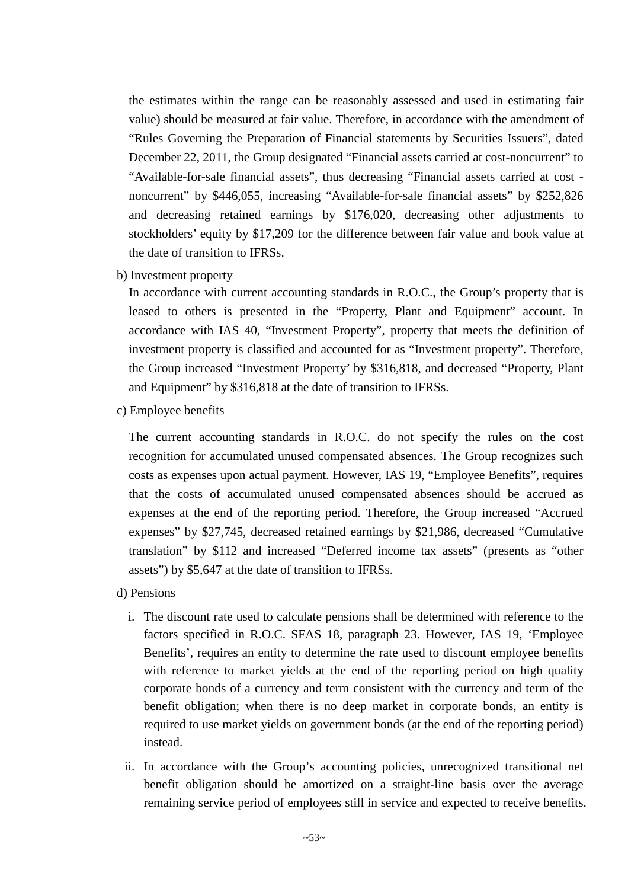the estimates within the range can be reasonably assessed and used in estimating fair value) should be measured at fair value. Therefore, in accordance with the amendment of "Rules Governing the Preparation of Financial statements by Securities Issuers", dated December 22, 2011, the Group designated "Financial assets carried at cost-noncurrent" to "Available-for-sale financial assets", thus decreasing "Financial assets carried at cost noncurrent" by \$446,055, increasing "Available-for-sale financial assets" by \$252,826 and decreasing retained earnings by \$176,020, decreasing other adjustments to stockholders' equity by \$17,209 for the difference between fair value and book value at the date of transition to IFRSs.

b) Investment property

In accordance with current accounting standards in R.O.C., the Group's property that is leased to others is presented in the "Property, Plant and Equipment" account. In accordance with IAS 40, "Investment Property", property that meets the definition of investment property is classified and accounted for as "Investment property". Therefore, the Group increased "Investment Property' by \$316,818, and decreased "Property, Plant and Equipment" by \$316,818 at the date of transition to IFRSs.

c) Employee benefits

The current accounting standards in R.O.C. do not specify the rules on the cost recognition for accumulated unused compensated absences. The Group recognizes such costs as expenses upon actual payment. However, IAS 19, "Employee Benefits", requires that the costs of accumulated unused compensated absences should be accrued as expenses at the end of the reporting period. Therefore, the Group increased "Accrued expenses" by \$27,745, decreased retained earnings by \$21,986, decreased "Cumulative translation" by \$112 and increased "Deferred income tax assets" (presents as "other assets") by \$5,647 at the date of transition to IFRSs.

- d) Pensions
	- i. The discount rate used to calculate pensions shall be determined with reference to the factors specified in R.O.C. SFAS 18, paragraph 23. However, IAS 19, 'Employee Benefits', requires an entity to determine the rate used to discount employee benefits with reference to market yields at the end of the reporting period on high quality corporate bonds of a currency and term consistent with the currency and term of the benefit obligation; when there is no deep market in corporate bonds, an entity is required to use market yields on government bonds (at the end of the reporting period) instead.
	- ii. In accordance with the Group's accounting policies, unrecognized transitional net benefit obligation should be amortized on a straight-line basis over the average remaining service period of employees still in service and expected to receive benefits.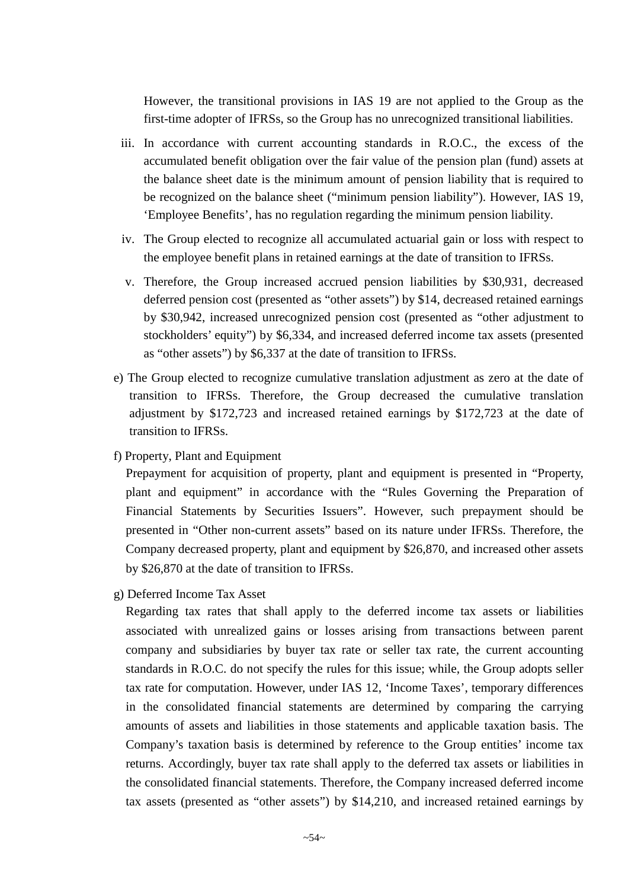However, the transitional provisions in IAS 19 are not applied to the Group as the first-time adopter of IFRSs, so the Group has no unrecognized transitional liabilities.

- iii. In accordance with current accounting standards in R.O.C., the excess of the accumulated benefit obligation over the fair value of the pension plan (fund) assets at the balance sheet date is the minimum amount of pension liability that is required to be recognized on the balance sheet ("minimum pension liability"). However, IAS 19, 'Employee Benefits', has no regulation regarding the minimum pension liability.
- iv. The Group elected to recognize all accumulated actuarial gain or loss with respect to the employee benefit plans in retained earnings at the date of transition to IFRSs.
- v. Therefore, the Group increased accrued pension liabilities by \$30,931, decreased deferred pension cost (presented as "other assets") by \$14, decreased retained earnings by \$30,942, increased unrecognized pension cost (presented as "other adjustment to stockholders' equity") by \$6,334, and increased deferred income tax assets (presented as "other assets") by \$6,337 at the date of transition to IFRSs.
- e) The Group elected to recognize cumulative translation adjustment as zero at the date of transition to IFRSs. Therefore, the Group decreased the cumulative translation adjustment by \$172,723 and increased retained earnings by \$172,723 at the date of transition to IFRSs.
- f) Property, Plant and Equipment

Prepayment for acquisition of property, plant and equipment is presented in "Property, plant and equipment" in accordance with the "Rules Governing the Preparation of Financial Statements by Securities Issuers". However, such prepayment should be presented in "Other non-current assets" based on its nature under IFRSs. Therefore, the Company decreased property, plant and equipment by \$26,870, and increased other assets by \$26,870 at the date of transition to IFRSs.

g) Deferred Income Tax Asset

Regarding tax rates that shall apply to the deferred income tax assets or liabilities associated with unrealized gains or losses arising from transactions between parent company and subsidiaries by buyer tax rate or seller tax rate, the current accounting standards in R.O.C. do not specify the rules for this issue; while, the Group adopts seller tax rate for computation. However, under IAS 12, 'Income Taxes', temporary differences in the consolidated financial statements are determined by comparing the carrying amounts of assets and liabilities in those statements and applicable taxation basis. The Company's taxation basis is determined by reference to the Group entities' income tax returns. Accordingly, buyer tax rate shall apply to the deferred tax assets or liabilities in the consolidated financial statements. Therefore, the Company increased deferred income tax assets (presented as "other assets") by \$14,210, and increased retained earnings by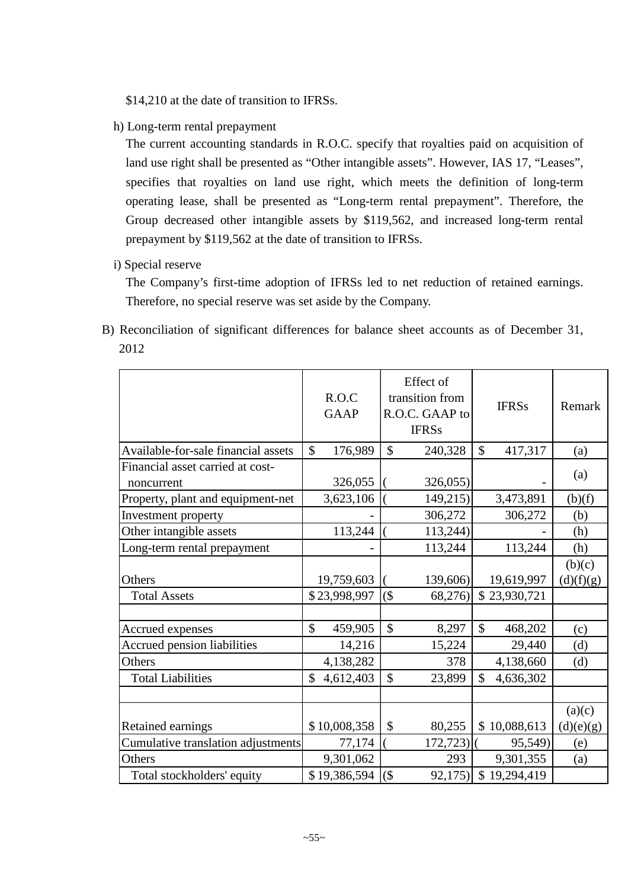\$14,210 at the date of transition to IFRSs.

h) Long-term rental prepayment

The current accounting standards in R.O.C. specify that royalties paid on acquisition of land use right shall be presented as "Other intangible assets". However, IAS 17, "Leases", specifies that royalties on land use right, which meets the definition of long-term operating lease, shall be presented as "Long-term rental prepayment". Therefore, the Group decreased other intangible assets by \$119,562, and increased long-term rental prepayment by \$119,562 at the date of transition to IFRSs.

i) Special reserve

The Company's first-time adoption of IFRSs led to net reduction of retained earnings. Therefore, no special reserve was set aside by the Company.

B) Reconciliation of significant differences for balance sheet accounts as of December 31, 2012

|                                                | R.O.C<br><b>GAAP</b>          | Effect of<br>transition from<br>R.O.C. GAAP to<br><b>IFRSs</b> | <b>IFRSs</b>                | Remark    |
|------------------------------------------------|-------------------------------|----------------------------------------------------------------|-----------------------------|-----------|
| Available-for-sale financial assets            | \$<br>176,989                 | \$<br>240,328                                                  | \$<br>417,317               | (a)       |
| Financial asset carried at cost-<br>noncurrent | 326,055                       | 326,055)                                                       |                             | (a)       |
| Property, plant and equipment-net              | 3,623,106                     | 149,215)                                                       | 3,473,891                   | (b)(f)    |
| Investment property                            |                               | 306,272                                                        | 306,272                     | (b)       |
| Other intangible assets                        | 113,244                       | 113,244)                                                       |                             | (h)       |
| Long-term rental prepayment                    |                               | 113,244                                                        | 113,244                     | (h)       |
|                                                |                               |                                                                |                             | (b)(c)    |
| Others                                         | 19,759,603                    | 139,606)                                                       | 19,619,997                  | (d)(f)(g) |
| <b>Total Assets</b>                            | \$23,998,997                  | $($ \$<br>68,276)                                              | \$23,930,721                |           |
|                                                |                               |                                                                |                             |           |
| Accrued expenses                               | $\mathbf{\hat{S}}$<br>459,905 | $\mathbb{S}$<br>8,297                                          | \$<br>468,202               | (c)       |
| Accrued pension liabilities                    | 14,216                        | 15,224                                                         | 29,440                      | (d)       |
| Others                                         | 4,138,282                     | 378                                                            | 4,138,660                   | (d)       |
| <b>Total Liabilities</b>                       | \$<br>4,612,403               | $\mathcal{S}$<br>23,899                                        | $\mathcal{S}$<br>4,636,302  |           |
|                                                |                               |                                                                |                             |           |
|                                                |                               |                                                                |                             | (a)(c)    |
| Retained earnings                              | \$10,008,358                  | \$<br>80,255                                                   | \$10,088,613                | (d)(e)(g) |
| Cumulative translation adjustments             | 77,174                        | 172,723)                                                       | 95,549)                     | (e)       |
| Others                                         | 9,301,062                     | 293                                                            | 9,301,355                   | (a)       |
| Total stockholders' equity                     | \$19,386,594                  | $($ \$<br>92,175)                                              | $\mathcal{S}$<br>19,294,419 |           |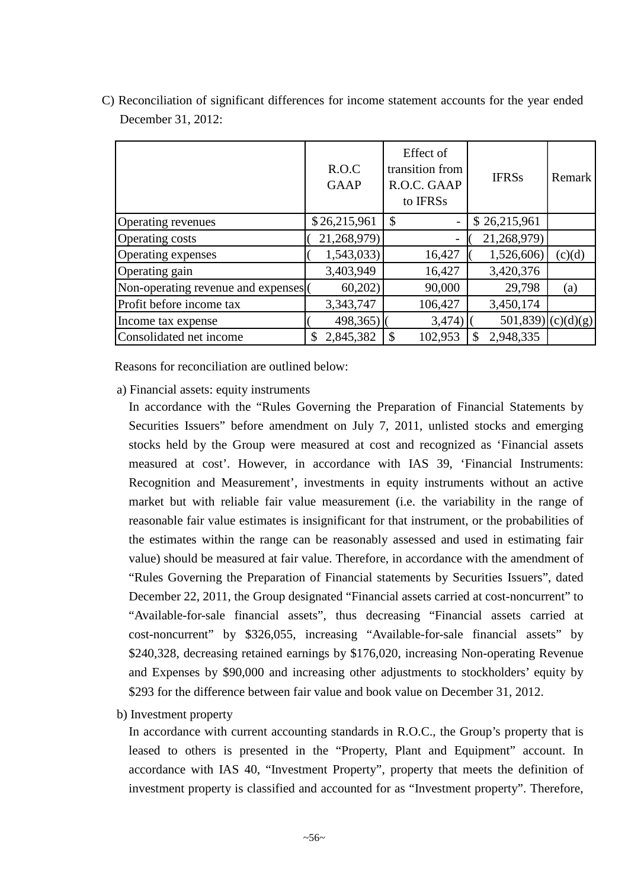|                                    | R.O.C<br><b>GAAP</b> | Effect of<br>transition from<br>R.O.C. GAAP<br>to IFRSs | <b>IFRSs</b>        | Remark |
|------------------------------------|----------------------|---------------------------------------------------------|---------------------|--------|
| <b>Operating revenues</b>          | \$26,215,961         | \$<br>-                                                 | \$26,215,961        |        |
| <b>Operating costs</b>             | 21,268,979)          |                                                         | 21,268,979)         |        |
| Operating expenses                 | 1,543,033)           | 16,427                                                  | 1,526,606)          | (c)(d) |
| Operating gain                     | 3,403,949            | 16,427                                                  | 3,420,376           |        |
| Non-operating revenue and expenses | 60,202               | 90,000                                                  | 29,798              | (a)    |
| Profit before income tax           | 3,343,747            | 106,427                                                 | 3,450,174           |        |
| Income tax expense                 | 498,365)             | 3,474)                                                  | $501,839$ (c)(d)(g) |        |
| Consolidated net income            | 2,845,382<br>S       | 102,953                                                 | 2,948,335<br>\$     |        |

C) Reconciliation of significant differences for income statement accounts for the year ended December 31, 2012:

Reasons for reconciliation are outlined below:

a) Financial assets: equity instruments

In accordance with the "Rules Governing the Preparation of Financial Statements by Securities Issuers" before amendment on July 7, 2011, unlisted stocks and emerging stocks held by the Group were measured at cost and recognized as 'Financial assets measured at cost'. However, in accordance with IAS 39, 'Financial Instruments: Recognition and Measurement', investments in equity instruments without an active market but with reliable fair value measurement (i.e. the variability in the range of reasonable fair value estimates is insignificant for that instrument, or the probabilities of the estimates within the range can be reasonably assessed and used in estimating fair value) should be measured at fair value. Therefore, in accordance with the amendment of "Rules Governing the Preparation of Financial statements by Securities Issuers", dated December 22, 2011, the Group designated "Financial assets carried at cost-noncurrent" to "Available-for-sale financial assets", thus decreasing "Financial assets carried at cost-noncurrent" by \$326,055, increasing "Available-for-sale financial assets" by \$240,328, decreasing retained earnings by \$176,020, increasing Non-operating Revenue and Expenses by \$90,000 and increasing other adjustments to stockholders' equity by \$293 for the difference between fair value and book value on December 31, 2012.

b) Investment property

In accordance with current accounting standards in R.O.C., the Group's property that is leased to others is presented in the "Property, Plant and Equipment" account. In accordance with IAS 40, "Investment Property", property that meets the definition of investment property is classified and accounted for as "Investment property". Therefore,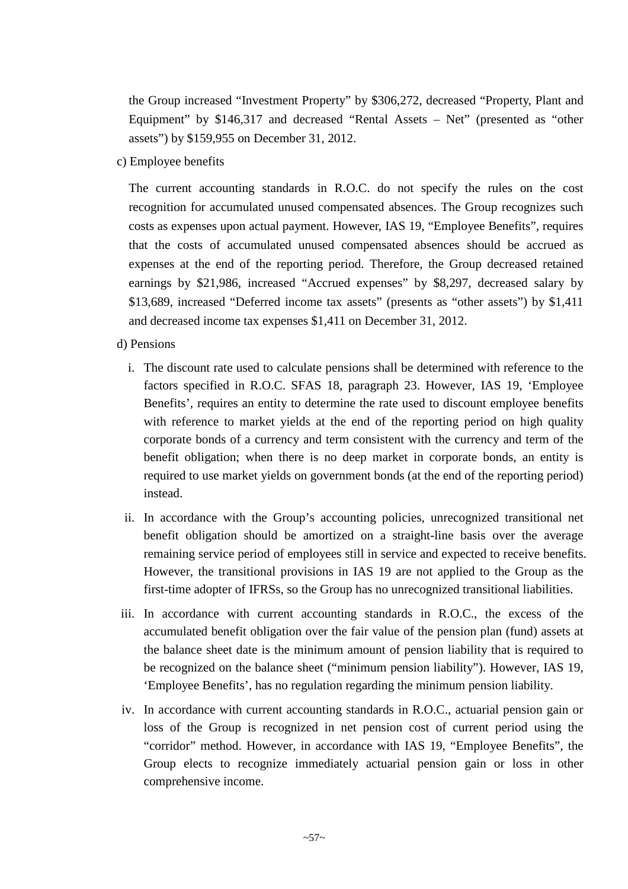the Group increased "Investment Property" by \$306,272, decreased "Property, Plant and Equipment" by \$146,317 and decreased "Rental Assets – Net" (presented as "other assets") by \$159,955 on December 31, 2012.

c) Employee benefits

The current accounting standards in R.O.C. do not specify the rules on the cost recognition for accumulated unused compensated absences. The Group recognizes such costs as expenses upon actual payment. However, IAS 19, "Employee Benefits", requires that the costs of accumulated unused compensated absences should be accrued as expenses at the end of the reporting period. Therefore, the Group decreased retained earnings by \$21,986, increased "Accrued expenses" by \$8,297, decreased salary by \$13,689, increased "Deferred income tax assets" (presents as "other assets") by \$1,411 and decreased income tax expenses \$1,411 on December 31, 2012.

## d) Pensions

- i. The discount rate used to calculate pensions shall be determined with reference to the factors specified in R.O.C. SFAS 18, paragraph 23. However, IAS 19, 'Employee Benefits', requires an entity to determine the rate used to discount employee benefits with reference to market yields at the end of the reporting period on high quality corporate bonds of a currency and term consistent with the currency and term of the benefit obligation; when there is no deep market in corporate bonds, an entity is required to use market yields on government bonds (at the end of the reporting period) instead.
- ii. In accordance with the Group's accounting policies, unrecognized transitional net benefit obligation should be amortized on a straight-line basis over the average remaining service period of employees still in service and expected to receive benefits. However, the transitional provisions in IAS 19 are not applied to the Group as the first-time adopter of IFRSs, so the Group has no unrecognized transitional liabilities.
- iii. In accordance with current accounting standards in R.O.C., the excess of the accumulated benefit obligation over the fair value of the pension plan (fund) assets at the balance sheet date is the minimum amount of pension liability that is required to be recognized on the balance sheet ("minimum pension liability"). However, IAS 19, 'Employee Benefits', has no regulation regarding the minimum pension liability.
- iv. In accordance with current accounting standards in R.O.C., actuarial pension gain or loss of the Group is recognized in net pension cost of current period using the "corridor" method. However, in accordance with IAS 19, "Employee Benefits", the Group elects to recognize immediately actuarial pension gain or loss in other comprehensive income.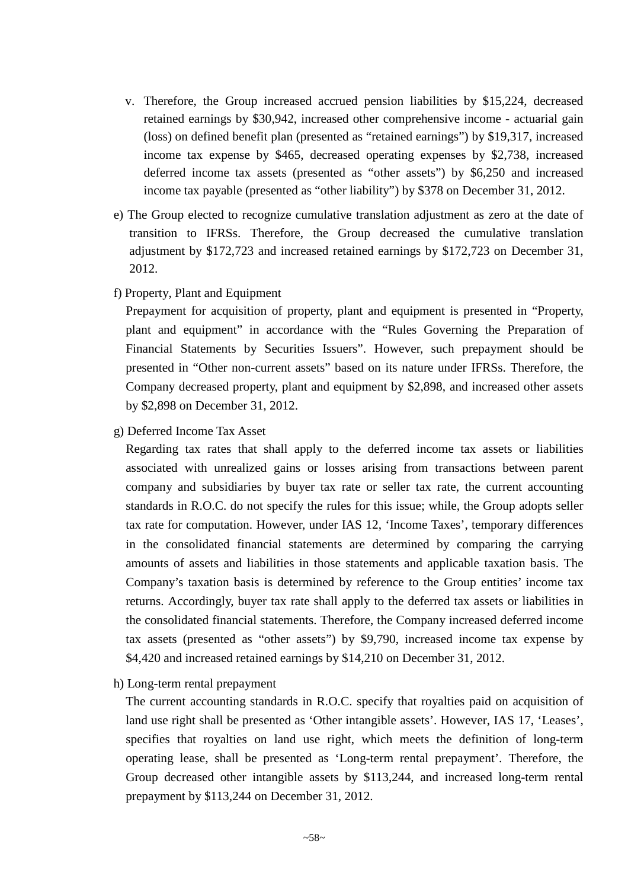- v. Therefore, the Group increased accrued pension liabilities by \$15,224, decreased retained earnings by \$30,942, increased other comprehensive income - actuarial gain (loss) on defined benefit plan (presented as "retained earnings") by \$19,317, increased income tax expense by \$465, decreased operating expenses by \$2,738, increased deferred income tax assets (presented as "other assets") by \$6,250 and increased income tax payable (presented as "other liability") by \$378 on December 31, 2012.
- e) The Group elected to recognize cumulative translation adjustment as zero at the date of transition to IFRSs. Therefore, the Group decreased the cumulative translation adjustment by \$172,723 and increased retained earnings by \$172,723 on December 31, 2012.
- f) Property, Plant and Equipment

Prepayment for acquisition of property, plant and equipment is presented in "Property, plant and equipment" in accordance with the "Rules Governing the Preparation of Financial Statements by Securities Issuers". However, such prepayment should be presented in "Other non-current assets" based on its nature under IFRSs. Therefore, the Company decreased property, plant and equipment by \$2,898, and increased other assets by \$2,898 on December 31, 2012.

g) Deferred Income Tax Asset

Regarding tax rates that shall apply to the deferred income tax assets or liabilities associated with unrealized gains or losses arising from transactions between parent company and subsidiaries by buyer tax rate or seller tax rate, the current accounting standards in R.O.C. do not specify the rules for this issue; while, the Group adopts seller tax rate for computation. However, under IAS 12, 'Income Taxes', temporary differences in the consolidated financial statements are determined by comparing the carrying amounts of assets and liabilities in those statements and applicable taxation basis. The Company's taxation basis is determined by reference to the Group entities' income tax returns. Accordingly, buyer tax rate shall apply to the deferred tax assets or liabilities in the consolidated financial statements. Therefore, the Company increased deferred income tax assets (presented as "other assets") by \$9,790, increased income tax expense by \$4,420 and increased retained earnings by \$14,210 on December 31, 2012.

h) Long-term rental prepayment

The current accounting standards in R.O.C. specify that royalties paid on acquisition of land use right shall be presented as 'Other intangible assets'. However, IAS 17, 'Leases', specifies that royalties on land use right, which meets the definition of long-term operating lease, shall be presented as 'Long-term rental prepayment'. Therefore, the Group decreased other intangible assets by \$113,244, and increased long-term rental prepayment by \$113,244 on December 31, 2012.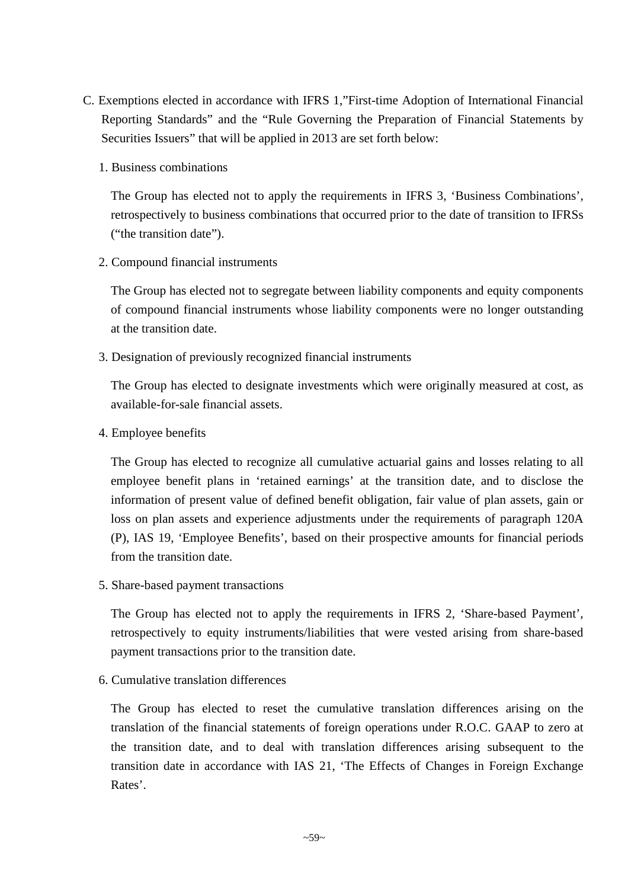- C. Exemptions elected in accordance with IFRS 1,"First-time Adoption of International Financial Reporting Standards" and the "Rule Governing the Preparation of Financial Statements by Securities Issuers" that will be applied in 2013 are set forth below:
	- 1. Business combinations

The Group has elected not to apply the requirements in IFRS 3, 'Business Combinations', retrospectively to business combinations that occurred prior to the date of transition to IFRSs ("the transition date").

2. Compound financial instruments

The Group has elected not to segregate between liability components and equity components of compound financial instruments whose liability components were no longer outstanding at the transition date.

3. Designation of previously recognized financial instruments

The Group has elected to designate investments which were originally measured at cost, as available-for-sale financial assets.

4. Employee benefits

The Group has elected to recognize all cumulative actuarial gains and losses relating to all employee benefit plans in 'retained earnings' at the transition date, and to disclose the information of present value of defined benefit obligation, fair value of plan assets, gain or loss on plan assets and experience adjustments under the requirements of paragraph 120A (P), IAS 19, 'Employee Benefits', based on their prospective amounts for financial periods from the transition date.

5. Share-based payment transactions

The Group has elected not to apply the requirements in IFRS 2, 'Share-based Payment', retrospectively to equity instruments/liabilities that were vested arising from share-based payment transactions prior to the transition date.

6. Cumulative translation differences

The Group has elected to reset the cumulative translation differences arising on the translation of the financial statements of foreign operations under R.O.C. GAAP to zero at the transition date, and to deal with translation differences arising subsequent to the transition date in accordance with IAS 21, 'The Effects of Changes in Foreign Exchange Rates'.